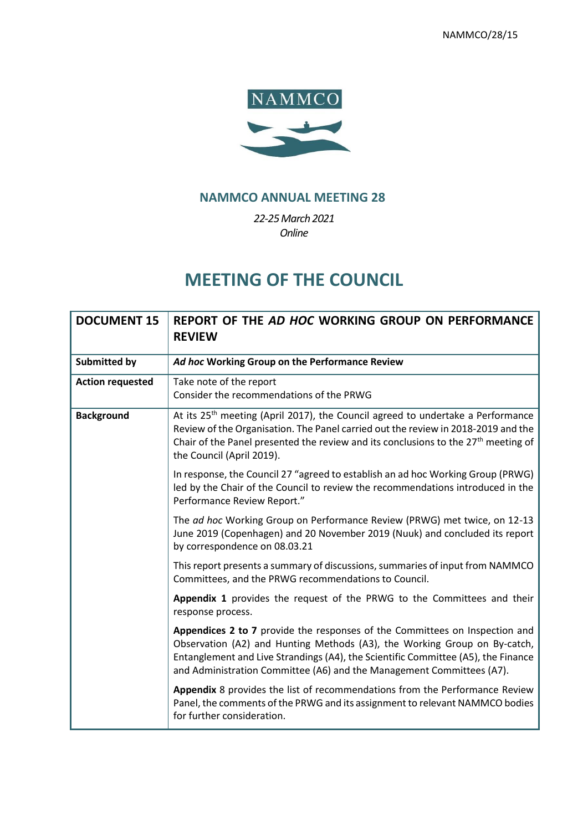

# **NAMMCO ANNUAL MEETING 28**

*22-25March 2021 Online*

# **MEETING OF THE COUNCIL**

| <b>DOCUMENT 15</b>      | REPORT OF THE AD HOC WORKING GROUP ON PERFORMANCE<br><b>REVIEW</b>                                                                                                                                                                                                                                                     |
|-------------------------|------------------------------------------------------------------------------------------------------------------------------------------------------------------------------------------------------------------------------------------------------------------------------------------------------------------------|
| <b>Submitted by</b>     | Ad hoc Working Group on the Performance Review                                                                                                                                                                                                                                                                         |
| <b>Action requested</b> | Take note of the report<br>Consider the recommendations of the PRWG                                                                                                                                                                                                                                                    |
| <b>Background</b>       | At its 25 <sup>th</sup> meeting (April 2017), the Council agreed to undertake a Performance<br>Review of the Organisation. The Panel carried out the review in 2018-2019 and the<br>Chair of the Panel presented the review and its conclusions to the 27 <sup>th</sup> meeting of<br>the Council (April 2019).        |
|                         | In response, the Council 27 "agreed to establish an ad hoc Working Group (PRWG)<br>led by the Chair of the Council to review the recommendations introduced in the<br>Performance Review Report."                                                                                                                      |
|                         | The ad hoc Working Group on Performance Review (PRWG) met twice, on 12-13<br>June 2019 (Copenhagen) and 20 November 2019 (Nuuk) and concluded its report<br>by correspondence on 08.03.21                                                                                                                              |
|                         | This report presents a summary of discussions, summaries of input from NAMMCO<br>Committees, and the PRWG recommendations to Council.                                                                                                                                                                                  |
|                         | Appendix 1 provides the request of the PRWG to the Committees and their<br>response process.                                                                                                                                                                                                                           |
|                         | Appendices 2 to 7 provide the responses of the Committees on Inspection and<br>Observation (A2) and Hunting Methods (A3), the Working Group on By-catch,<br>Entanglement and Live Strandings (A4), the Scientific Committee (A5), the Finance<br>and Administration Committee (A6) and the Management Committees (A7). |
|                         | Appendix 8 provides the list of recommendations from the Performance Review<br>Panel, the comments of the PRWG and its assignment to relevant NAMMCO bodies<br>for further consideration.                                                                                                                              |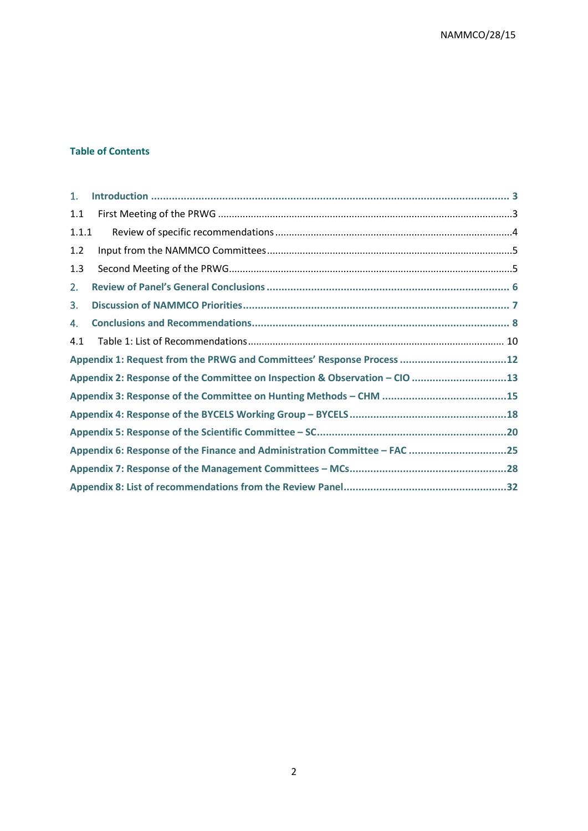#### **Table of Contents**

<span id="page-1-0"></span>

| 1.    |                                                                            |  |
|-------|----------------------------------------------------------------------------|--|
| 1.1   |                                                                            |  |
| 1.1.1 |                                                                            |  |
| 1.2   |                                                                            |  |
| 1.3   |                                                                            |  |
| 2.    |                                                                            |  |
| 3.    |                                                                            |  |
| 4.    |                                                                            |  |
| 4.1   |                                                                            |  |
|       | Appendix 1: Request from the PRWG and Committees' Response Process 12      |  |
|       | Appendix 2: Response of the Committee on Inspection & Observation - CIO 13 |  |
|       |                                                                            |  |
|       |                                                                            |  |
|       |                                                                            |  |
|       | Appendix 6: Response of the Finance and Administration Committee - FAC 25  |  |
|       |                                                                            |  |
|       |                                                                            |  |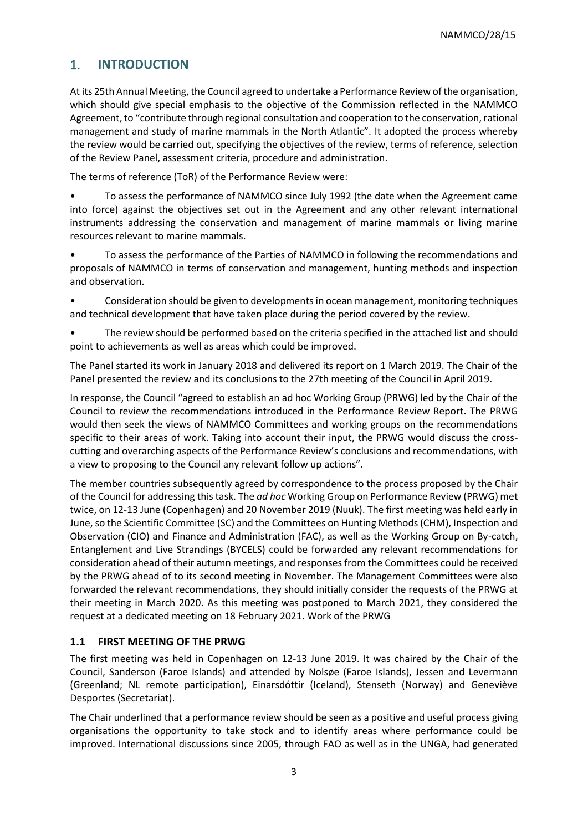# 1. **INTRODUCTION**

At its 25th Annual Meeting, the Council agreed to undertake a Performance Review of the organisation, which should give special emphasis to the objective of the Commission reflected in the NAMMCO Agreement, to "contribute through regional consultation and cooperation to the conservation, rational management and study of marine mammals in the North Atlantic". It adopted the process whereby the review would be carried out, specifying the objectives of the review, terms of reference, selection of the Review Panel, assessment criteria, procedure and administration.

The terms of reference (ToR) of the Performance Review were:

- To assess the performance of NAMMCO since July 1992 (the date when the Agreement came into force) against the objectives set out in the Agreement and any other relevant international instruments addressing the conservation and management of marine mammals or living marine resources relevant to marine mammals.
- To assess the performance of the Parties of NAMMCO in following the recommendations and proposals of NAMMCO in terms of conservation and management, hunting methods and inspection and observation.
- Consideration should be given to developments in ocean management, monitoring techniques and technical development that have taken place during the period covered by the review.
- The review should be performed based on the criteria specified in the attached list and should point to achievements as well as areas which could be improved.

The Panel started its work in January 2018 and delivered its report on 1 March 2019. The Chair of the Panel presented the review and its conclusions to the 27th meeting of the Council in April 2019.

In response, the Council "agreed to establish an ad hoc Working Group (PRWG) led by the Chair of the Council to review the recommendations introduced in the Performance Review Report. The PRWG would then seek the views of NAMMCO Committees and working groups on the recommendations specific to their areas of work. Taking into account their input, the PRWG would discuss the crosscutting and overarching aspects of the Performance Review's conclusions and recommendations, with a view to proposing to the Council any relevant follow up actions".

The member countries subsequently agreed by correspondence to the process proposed by the Chair of the Council for addressing this task. The *ad hoc* Working Group on Performance Review (PRWG) met twice, on 12-13 June (Copenhagen) and 20 November 2019 (Nuuk). The first meeting was held early in June, so the Scientific Committee (SC) and the Committees on Hunting Methods (CHM), Inspection and Observation (CIO) and Finance and Administration (FAC), as well as the Working Group on By-catch, Entanglement and Live Strandings (BYCELS) could be forwarded any relevant recommendations for consideration ahead of their autumn meetings, and responses from the Committees could be received by the PRWG ahead of to its second meeting in November. The Management Committees were also forwarded the relevant recommendations, they should initially consider the requests of the PRWG at their meeting in March 2020. As this meeting was postponed to March 2021, they considered the request at a dedicated meeting on 18 February 2021. Work of the PRWG

### <span id="page-2-0"></span>**1.1 FIRST MEETING OF THE PRWG**

The first meeting was held in Copenhagen on 12-13 June 2019. It was chaired by the Chair of the Council, Sanderson (Faroe Islands) and attended by Nolsøe (Faroe Islands), Jessen and Levermann (Greenland; NL remote participation), Einarsdóttir (Iceland), Stenseth (Norway) and Geneviève Desportes (Secretariat).

The Chair underlined that a performance review should be seen as a positive and useful process giving organisations the opportunity to take stock and to identify areas where performance could be improved. International discussions since 2005, through FAO as well as in the UNGA, had generated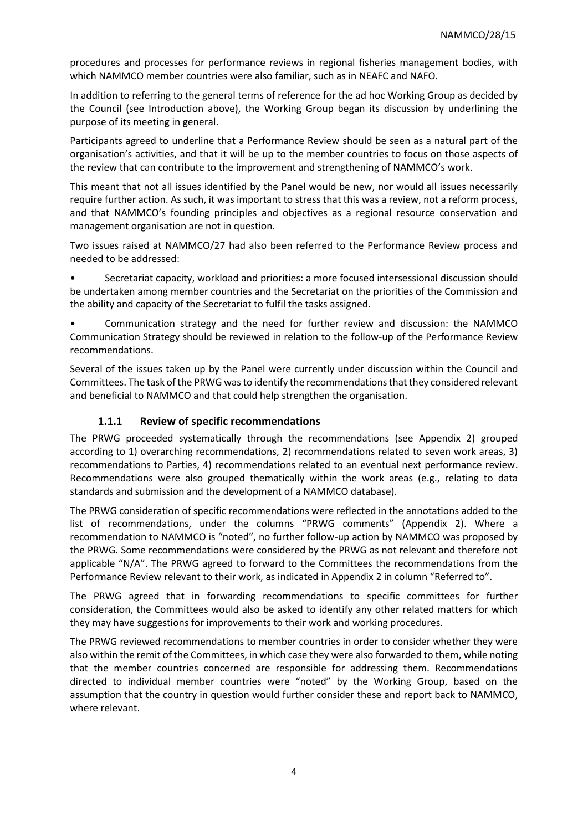procedures and processes for performance reviews in regional fisheries management bodies, with which NAMMCO member countries were also familiar, such as in NEAFC and NAFO.

In addition to referring to the general terms of reference for the ad hoc Working Group as decided by the Council (see Introduction above), the Working Group began its discussion by underlining the purpose of its meeting in general.

Participants agreed to underline that a Performance Review should be seen as a natural part of the organisation's activities, and that it will be up to the member countries to focus on those aspects of the review that can contribute to the improvement and strengthening of NAMMCO's work.

This meant that not all issues identified by the Panel would be new, nor would all issues necessarily require further action. As such, it was important to stress that this was a review, not a reform process, and that NAMMCO's founding principles and objectives as a regional resource conservation and management organisation are not in question.

Two issues raised at NAMMCO/27 had also been referred to the Performance Review process and needed to be addressed:

• Secretariat capacity, workload and priorities: a more focused intersessional discussion should be undertaken among member countries and the Secretariat on the priorities of the Commission and the ability and capacity of the Secretariat to fulfil the tasks assigned.

• Communication strategy and the need for further review and discussion: the NAMMCO Communication Strategy should be reviewed in relation to the follow-up of the Performance Review recommendations.

Several of the issues taken up by the Panel were currently under discussion within the Council and Committees. The task of the PRWG was to identify the recommendations that they considered relevant and beneficial to NAMMCO and that could help strengthen the organisation.

### **1.1.1 Review of specific recommendations**

<span id="page-3-0"></span>The PRWG proceeded systematically through the recommendations (see Appendix 2) grouped according to 1) overarching recommendations, 2) recommendations related to seven work areas, 3) recommendations to Parties, 4) recommendations related to an eventual next performance review. Recommendations were also grouped thematically within the work areas (e.g., relating to data standards and submission and the development of a NAMMCO database).

The PRWG consideration of specific recommendations were reflected in the annotations added to the list of recommendations, under the columns "PRWG comments" (Appendix 2). Where a recommendation to NAMMCO is "noted", no further follow-up action by NAMMCO was proposed by the PRWG. Some recommendations were considered by the PRWG as not relevant and therefore not applicable "N/A". The PRWG agreed to forward to the Committees the recommendations from the Performance Review relevant to their work, as indicated in Appendix 2 in column "Referred to".

The PRWG agreed that in forwarding recommendations to specific committees for further consideration, the Committees would also be asked to identify any other related matters for which they may have suggestions for improvements to their work and working procedures.

The PRWG reviewed recommendations to member countries in order to consider whether they were also within the remit of the Committees, in which case they were also forwarded to them, while noting that the member countries concerned are responsible for addressing them. Recommendations directed to individual member countries were "noted" by the Working Group, based on the assumption that the country in question would further consider these and report back to NAMMCO, where relevant.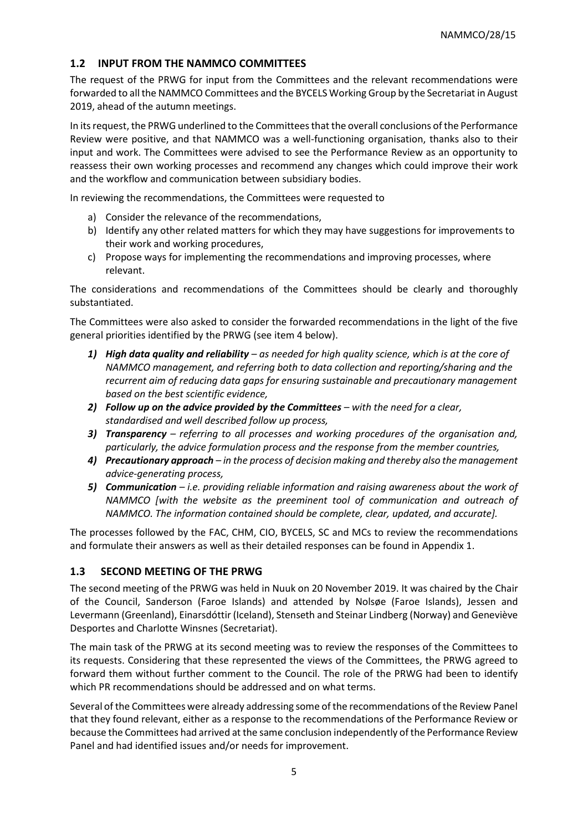### <span id="page-4-0"></span>**1.2 INPUT FROM THE NAMMCO COMMITTEES**

The request of the PRWG for input from the Committees and the relevant recommendations were forwarded to all the NAMMCO Committees and the BYCELS Working Group by the Secretariat in August 2019, ahead of the autumn meetings.

In its request, the PRWG underlined to the Committees that the overall conclusions of the Performance Review were positive, and that NAMMCO was a well-functioning organisation, thanks also to their input and work. The Committees were advised to see the Performance Review as an opportunity to reassess their own working processes and recommend any changes which could improve their work and the workflow and communication between subsidiary bodies.

In reviewing the recommendations, the Committees were requested to

- a) Consider the relevance of the recommendations,
- b) Identify any other related matters for which they may have suggestions for improvements to their work and working procedures,
- c) Propose ways for implementing the recommendations and improving processes, where relevant.

The considerations and recommendations of the Committees should be clearly and thoroughly substantiated.

The Committees were also asked to consider the forwarded recommendations in the light of the five general priorities identified by the PRWG (see item 4 below).

- *1) High data quality and reliability – as needed for high quality science, which is at the core of NAMMCO management, and referring both to data collection and reporting/sharing and the recurrent aim of reducing data gaps for ensuring sustainable and precautionary management based on the best scientific evidence,*
- *2) Follow up on the advice provided by the Committees – with the need for a clear, standardised and well described follow up process,*
- *3) Transparency – referring to all processes and working procedures of the organisation and, particularly, the advice formulation process and the response from the member countries,*
- *4) Precautionary approach – in the process of decision making and thereby also the management advice-generating process,*
- *5) Communication – i.e. providing reliable information and raising awareness about the work of NAMMCO [with the website as the preeminent tool of communication and outreach of NAMMCO. The information contained should be complete, clear, updated, and accurate].*

The processes followed by the FAC, CHM, CIO, BYCELS, SC and MCs to review the recommendations and formulate their answers as well as their detailed responses can be found in Appendix 1.

### <span id="page-4-1"></span>**1.3 SECOND MEETING OF THE PRWG**

The second meeting of the PRWG was held in Nuuk on 20 November 2019. It was chaired by the Chair of the Council, Sanderson (Faroe Islands) and attended by Nolsøe (Faroe Islands), Jessen and Levermann (Greenland), Einarsdóttir (Iceland), Stenseth and Steinar Lindberg (Norway) and Geneviève Desportes and Charlotte Winsnes (Secretariat).

The main task of the PRWG at its second meeting was to review the responses of the Committees to its requests. Considering that these represented the views of the Committees, the PRWG agreed to forward them without further comment to the Council. The role of the PRWG had been to identify which PR recommendations should be addressed and on what terms.

Several of the Committees were already addressing some of the recommendations of the Review Panel that they found relevant, either as a response to the recommendations of the Performance Review or because the Committees had arrived at the same conclusion independently of the Performance Review Panel and had identified issues and/or needs for improvement.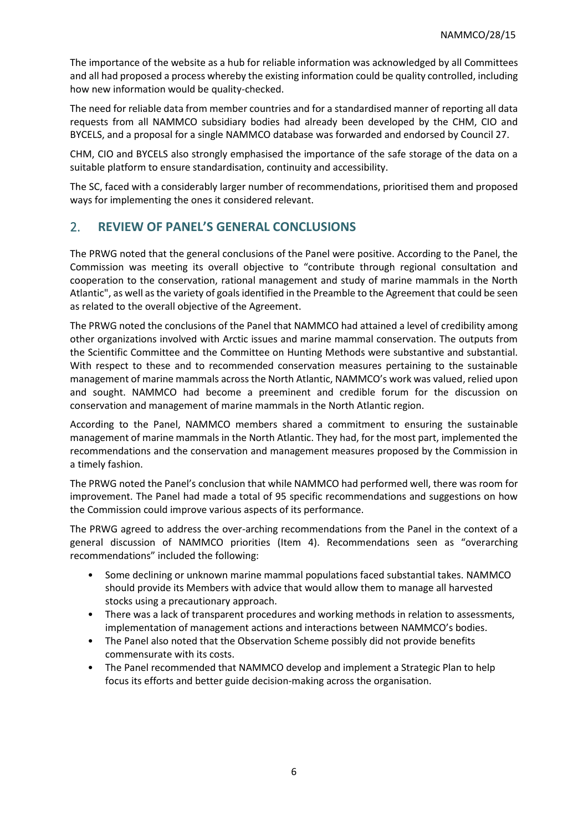The importance of the website as a hub for reliable information was acknowledged by all Committees and all had proposed a process whereby the existing information could be quality controlled, including how new information would be quality-checked.

The need for reliable data from member countries and for a standardised manner of reporting all data requests from all NAMMCO subsidiary bodies had already been developed by the CHM, CIO and BYCELS, and a proposal for a single NAMMCO database was forwarded and endorsed by Council 27.

CHM, CIO and BYCELS also strongly emphasised the importance of the safe storage of the data on a suitable platform to ensure standardisation, continuity and accessibility.

The SC, faced with a considerably larger number of recommendations, prioritised them and proposed ways for implementing the ones it considered relevant.

### <span id="page-5-0"></span>2. **REVIEW OF PANEL'S GENERAL CONCLUSIONS**

The PRWG noted that the general conclusions of the Panel were positive. According to the Panel, the Commission was meeting its overall objective to "contribute through regional consultation and cooperation to the conservation, rational management and study of marine mammals in the North Atlantic", as well as the variety of goals identified in the Preamble to the Agreement that could be seen as related to the overall objective of the Agreement.

The PRWG noted the conclusions of the Panel that NAMMCO had attained a level of credibility among other organizations involved with Arctic issues and marine mammal conservation. The outputs from the Scientific Committee and the Committee on Hunting Methods were substantive and substantial. With respect to these and to recommended conservation measures pertaining to the sustainable management of marine mammals across the North Atlantic, NAMMCO's work was valued, relied upon and sought. NAMMCO had become a preeminent and credible forum for the discussion on conservation and management of marine mammals in the North Atlantic region.

According to the Panel, NAMMCO members shared a commitment to ensuring the sustainable management of marine mammals in the North Atlantic. They had, for the most part, implemented the recommendations and the conservation and management measures proposed by the Commission in a timely fashion.

The PRWG noted the Panel's conclusion that while NAMMCO had performed well, there was room for improvement. The Panel had made a total of 95 specific recommendations and suggestions on how the Commission could improve various aspects of its performance.

The PRWG agreed to address the over-arching recommendations from the Panel in the context of a general discussion of NAMMCO priorities (Item 4). Recommendations seen as "overarching recommendations" included the following:

- Some declining or unknown marine mammal populations faced substantial takes. NAMMCO should provide its Members with advice that would allow them to manage all harvested stocks using a precautionary approach.
- There was a lack of transparent procedures and working methods in relation to assessments, implementation of management actions and interactions between NAMMCO's bodies.
- The Panel also noted that the Observation Scheme possibly did not provide benefits commensurate with its costs.
- The Panel recommended that NAMMCO develop and implement a Strategic Plan to help focus its efforts and better guide decision-making across the organisation.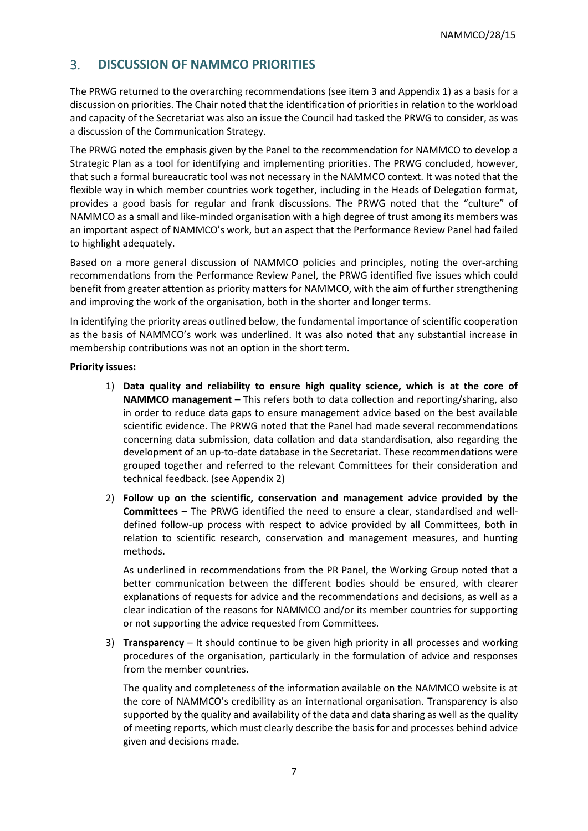# <span id="page-6-0"></span>3. **DISCUSSION OF NAMMCO PRIORITIES**

The PRWG returned to the overarching recommendations (see item 3 and Appendix 1) as a basis for a discussion on priorities. The Chair noted that the identification of priorities in relation to the workload and capacity of the Secretariat was also an issue the Council had tasked the PRWG to consider, as was a discussion of the Communication Strategy.

The PRWG noted the emphasis given by the Panel to the recommendation for NAMMCO to develop a Strategic Plan as a tool for identifying and implementing priorities. The PRWG concluded, however, that such a formal bureaucratic tool was not necessary in the NAMMCO context. It was noted that the flexible way in which member countries work together, including in the Heads of Delegation format, provides a good basis for regular and frank discussions. The PRWG noted that the "culture" of NAMMCO as a small and like-minded organisation with a high degree of trust among its members was an important aspect of NAMMCO's work, but an aspect that the Performance Review Panel had failed to highlight adequately.

Based on a more general discussion of NAMMCO policies and principles, noting the over-arching recommendations from the Performance Review Panel, the PRWG identified five issues which could benefit from greater attention as priority matters for NAMMCO, with the aim of further strengthening and improving the work of the organisation, both in the shorter and longer terms.

In identifying the priority areas outlined below, the fundamental importance of scientific cooperation as the basis of NAMMCO's work was underlined. It was also noted that any substantial increase in membership contributions was not an option in the short term.

#### **Priority issues:**

- 1) **Data quality and reliability to ensure high quality science, which is at the core of NAMMCO management** – This refers both to data collection and reporting/sharing, also in order to reduce data gaps to ensure management advice based on the best available scientific evidence. The PRWG noted that the Panel had made several recommendations concerning data submission, data collation and data standardisation, also regarding the development of an up-to-date database in the Secretariat. These recommendations were grouped together and referred to the relevant Committees for their consideration and technical feedback. (see Appendix 2)
- 2) **Follow up on the scientific, conservation and management advice provided by the Committees** – The PRWG identified the need to ensure a clear, standardised and welldefined follow-up process with respect to advice provided by all Committees, both in relation to scientific research, conservation and management measures, and hunting methods.

As underlined in recommendations from the PR Panel, the Working Group noted that a better communication between the different bodies should be ensured, with clearer explanations of requests for advice and the recommendations and decisions, as well as a clear indication of the reasons for NAMMCO and/or its member countries for supporting or not supporting the advice requested from Committees.

3) **Transparency** – It should continue to be given high priority in all processes and working procedures of the organisation, particularly in the formulation of advice and responses from the member countries.

The quality and completeness of the information available on the NAMMCO website is at the core of NAMMCO's credibility as an international organisation. Transparency is also supported by the quality and availability of the data and data sharing as well as the quality of meeting reports, which must clearly describe the basis for and processes behind advice given and decisions made.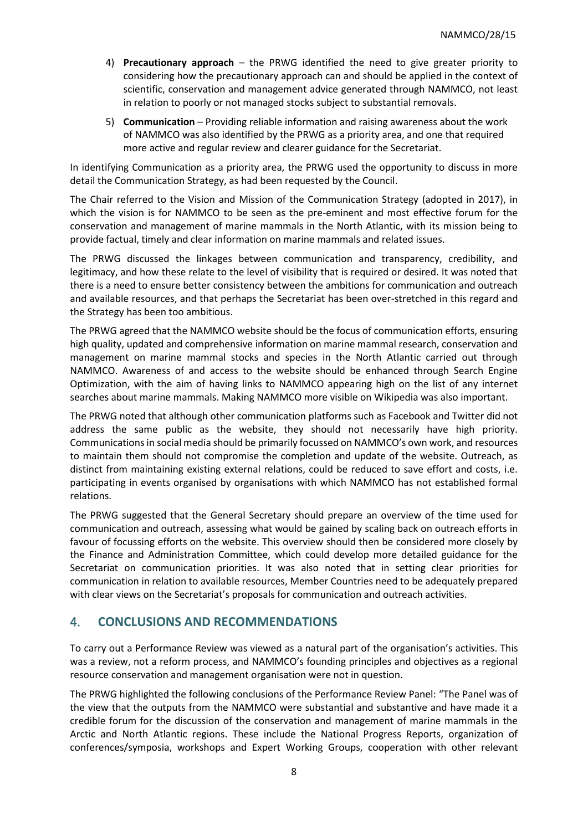- 4) **Precautionary approach** the PRWG identified the need to give greater priority to considering how the precautionary approach can and should be applied in the context of scientific, conservation and management advice generated through NAMMCO, not least in relation to poorly or not managed stocks subject to substantial removals.
- 5) **Communication** Providing reliable information and raising awareness about the work of NAMMCO was also identified by the PRWG as a priority area, and one that required more active and regular review and clearer guidance for the Secretariat.

In identifying Communication as a priority area, the PRWG used the opportunity to discuss in more detail the Communication Strategy, as had been requested by the Council.

The Chair referred to the Vision and Mission of the Communication Strategy (adopted in 2017), in which the vision is for NAMMCO to be seen as the pre-eminent and most effective forum for the conservation and management of marine mammals in the North Atlantic, with its mission being to provide factual, timely and clear information on marine mammals and related issues.

The PRWG discussed the linkages between communication and transparency, credibility, and legitimacy, and how these relate to the level of visibility that is required or desired. It was noted that there is a need to ensure better consistency between the ambitions for communication and outreach and available resources, and that perhaps the Secretariat has been over-stretched in this regard and the Strategy has been too ambitious.

The PRWG agreed that the NAMMCO website should be the focus of communication efforts, ensuring high quality, updated and comprehensive information on marine mammal research, conservation and management on marine mammal stocks and species in the North Atlantic carried out through NAMMCO. Awareness of and access to the website should be enhanced through Search Engine Optimization, with the aim of having links to NAMMCO appearing high on the list of any internet searches about marine mammals. Making NAMMCO more visible on Wikipedia was also important.

The PRWG noted that although other communication platforms such as Facebook and Twitter did not address the same public as the website, they should not necessarily have high priority. Communications in social media should be primarily focussed on NAMMCO's own work, and resources to maintain them should not compromise the completion and update of the website. Outreach, as distinct from maintaining existing external relations, could be reduced to save effort and costs, i.e. participating in events organised by organisations with which NAMMCO has not established formal relations.

The PRWG suggested that the General Secretary should prepare an overview of the time used for communication and outreach, assessing what would be gained by scaling back on outreach efforts in favour of focussing efforts on the website. This overview should then be considered more closely by the Finance and Administration Committee, which could develop more detailed guidance for the Secretariat on communication priorities. It was also noted that in setting clear priorities for communication in relation to available resources, Member Countries need to be adequately prepared with clear views on the Secretariat's proposals for communication and outreach activities.

# <span id="page-7-0"></span>4. **CONCLUSIONS AND RECOMMENDATIONS**

To carry out a Performance Review was viewed as a natural part of the organisation's activities. This was a review, not a reform process, and NAMMCO's founding principles and objectives as a regional resource conservation and management organisation were not in question.

The PRWG highlighted the following conclusions of the Performance Review Panel: "The Panel was of the view that the outputs from the NAMMCO were substantial and substantive and have made it a credible forum for the discussion of the conservation and management of marine mammals in the Arctic and North Atlantic regions. These include the National Progress Reports, organization of conferences/symposia, workshops and Expert Working Groups, cooperation with other relevant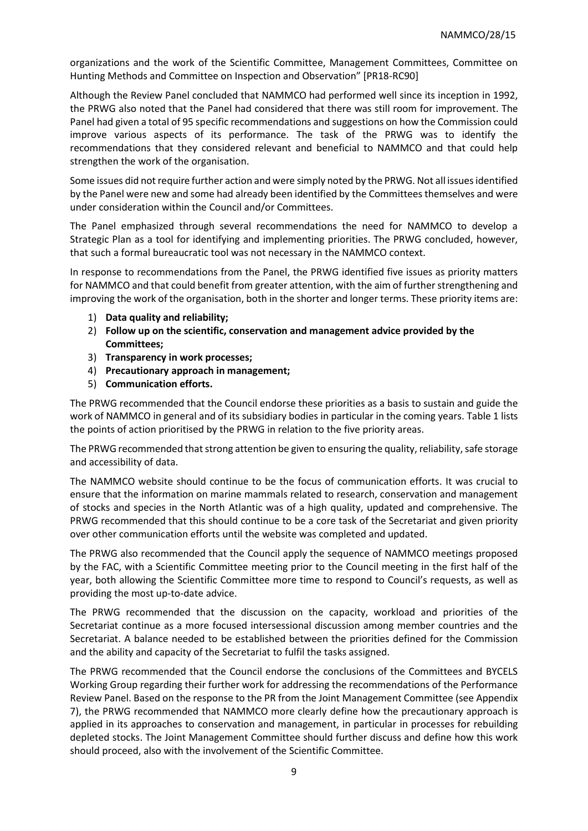organizations and the work of the Scientific Committee, Management Committees, Committee on Hunting Methods and Committee on Inspection and Observation" [PR18-RC90]

Although the Review Panel concluded that NAMMCO had performed well since its inception in 1992, the PRWG also noted that the Panel had considered that there was still room for improvement. The Panel had given a total of 95 specific recommendations and suggestions on how the Commission could improve various aspects of its performance. The task of the PRWG was to identify the recommendations that they considered relevant and beneficial to NAMMCO and that could help strengthen the work of the organisation.

Some issues did not require further action and were simply noted by the PRWG. Not all issues identified by the Panel were new and some had already been identified by the Committees themselves and were under consideration within the Council and/or Committees.

The Panel emphasized through several recommendations the need for NAMMCO to develop a Strategic Plan as a tool for identifying and implementing priorities. The PRWG concluded, however, that such a formal bureaucratic tool was not necessary in the NAMMCO context.

In response to recommendations from the Panel, the PRWG identified five issues as priority matters for NAMMCO and that could benefit from greater attention, with the aim of further strengthening and improving the work of the organisation, both in the shorter and longer terms. These priority items are:

- 1) **Data quality and reliability;**
- 2) **Follow up on the scientific, conservation and management advice provided by the Committees;**
- 3) **Transparency in work processes;**
- 4) **Precautionary approach in management;**
- 5) **Communication efforts.**

The PRWG recommended that the Council endorse these priorities as a basis to sustain and guide the work of NAMMCO in general and of its subsidiary bodies in particular in the coming years. Table 1 lists the points of action prioritised by the PRWG in relation to the five priority areas.

The PRWG recommended that strong attention be given to ensuring the quality, reliability, safe storage and accessibility of data.

The NAMMCO website should continue to be the focus of communication efforts. It was crucial to ensure that the information on marine mammals related to research, conservation and management of stocks and species in the North Atlantic was of a high quality, updated and comprehensive. The PRWG recommended that this should continue to be a core task of the Secretariat and given priority over other communication efforts until the website was completed and updated.

The PRWG also recommended that the Council apply the sequence of NAMMCO meetings proposed by the FAC, with a Scientific Committee meeting prior to the Council meeting in the first half of the year, both allowing the Scientific Committee more time to respond to Council's requests, as well as providing the most up-to-date advice.

The PRWG recommended that the discussion on the capacity, workload and priorities of the Secretariat continue as a more focused intersessional discussion among member countries and the Secretariat. A balance needed to be established between the priorities defined for the Commission and the ability and capacity of the Secretariat to fulfil the tasks assigned.

The PRWG recommended that the Council endorse the conclusions of the Committees and BYCELS Working Group regarding their further work for addressing the recommendations of the Performance Review Panel. Based on the response to the PR from the Joint Management Committee (see Appendix 7), the PRWG recommended that NAMMCO more clearly define how the precautionary approach is applied in its approaches to conservation and management, in particular in processes for rebuilding depleted stocks. The Joint Management Committee should further discuss and define how this work should proceed, also with the involvement of the Scientific Committee.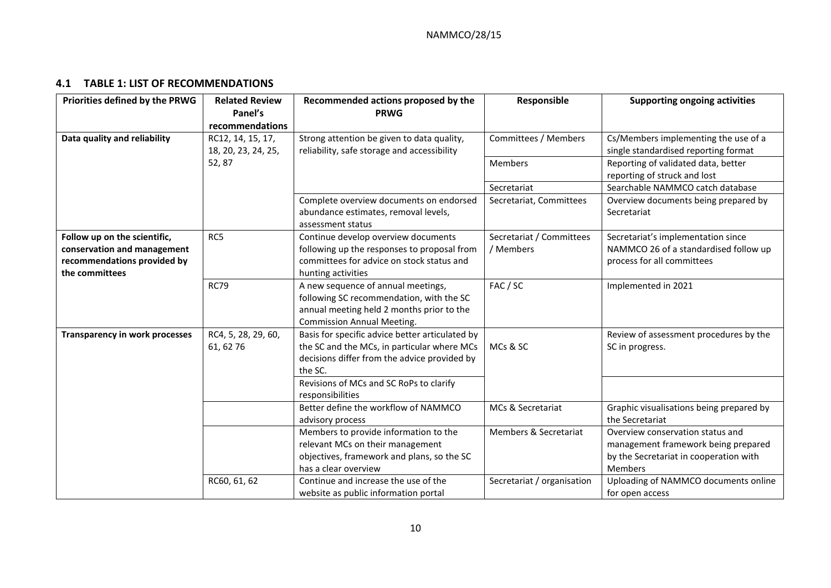### **4.1 TABLE 1: LIST OF RECOMMENDATIONS**

<span id="page-9-0"></span>

| Priorities defined by the PRWG                                                                               | <b>Related Review</b><br>Panel's         | Recommended actions proposed by the<br><b>PRWG</b>                                                                                                                                                   | Responsible                           | <b>Supporting ongoing activities</b>                                                                                                |
|--------------------------------------------------------------------------------------------------------------|------------------------------------------|------------------------------------------------------------------------------------------------------------------------------------------------------------------------------------------------------|---------------------------------------|-------------------------------------------------------------------------------------------------------------------------------------|
|                                                                                                              | recommendations                          |                                                                                                                                                                                                      |                                       |                                                                                                                                     |
| Data quality and reliability                                                                                 | RC12, 14, 15, 17,<br>18, 20, 23, 24, 25, | Strong attention be given to data quality,<br>reliability, safe storage and accessibility                                                                                                            | Committees / Members                  | Cs/Members implementing the use of a<br>single standardised reporting format                                                        |
|                                                                                                              | 52,87                                    |                                                                                                                                                                                                      | Members                               | Reporting of validated data, better<br>reporting of struck and lost                                                                 |
|                                                                                                              |                                          |                                                                                                                                                                                                      | Secretariat                           | Searchable NAMMCO catch database                                                                                                    |
|                                                                                                              |                                          | Complete overview documents on endorsed<br>abundance estimates, removal levels,<br>assessment status                                                                                                 | Secretariat, Committees               | Overview documents being prepared by<br>Secretariat                                                                                 |
| Follow up on the scientific,<br>conservation and management<br>recommendations provided by<br>the committees | RC5                                      | Continue develop overview documents<br>following up the responses to proposal from<br>committees for advice on stock status and<br>hunting activities                                                | Secretariat / Committees<br>/ Members | Secretariat's implementation since<br>NAMMCO 26 of a standardised follow up<br>process for all committees                           |
|                                                                                                              | <b>RC79</b>                              | A new sequence of annual meetings,<br>following SC recommendation, with the SC<br>annual meeting held 2 months prior to the<br><b>Commission Annual Meeting.</b>                                     | FAC / SC                              | Implemented in 2021                                                                                                                 |
| <b>Transparency in work processes</b>                                                                        | RC4, 5, 28, 29, 60,<br>61, 62 76         | Basis for specific advice better articulated by<br>the SC and the MCs, in particular where MCs<br>decisions differ from the advice provided by<br>the SC.<br>Revisions of MCs and SC RoPs to clarify | MCs & SC                              | Review of assessment procedures by the<br>SC in progress.                                                                           |
|                                                                                                              |                                          | responsibilities                                                                                                                                                                                     |                                       |                                                                                                                                     |
|                                                                                                              |                                          | Better define the workflow of NAMMCO<br>advisory process                                                                                                                                             | MCs & Secretariat                     | Graphic visualisations being prepared by<br>the Secretariat                                                                         |
|                                                                                                              |                                          | Members to provide information to the<br>relevant MCs on their management<br>objectives, framework and plans, so the SC<br>has a clear overview                                                      | <b>Members &amp; Secretariat</b>      | Overview conservation status and<br>management framework being prepared<br>by the Secretariat in cooperation with<br><b>Members</b> |
|                                                                                                              | RC60, 61, 62                             | Continue and increase the use of the<br>website as public information portal                                                                                                                         | Secretariat / organisation            | Uploading of NAMMCO documents online<br>for open access                                                                             |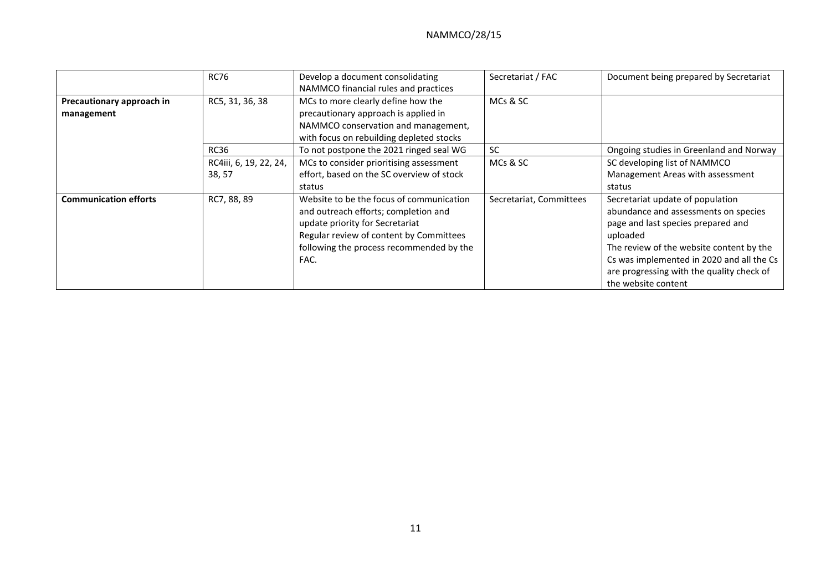|                                         | <b>RC76</b>                                     | Develop a document consolidating<br>NAMMCO financial rules and practices                                                                                                                                           | Secretariat / FAC       | Document being prepared by Secretariat                                                                                                                                                                                                                                                  |
|-----------------------------------------|-------------------------------------------------|--------------------------------------------------------------------------------------------------------------------------------------------------------------------------------------------------------------------|-------------------------|-----------------------------------------------------------------------------------------------------------------------------------------------------------------------------------------------------------------------------------------------------------------------------------------|
| Precautionary approach in<br>management | RC5, 31, 36, 38                                 | MCs to more clearly define how the<br>precautionary approach is applied in<br>NAMMCO conservation and management,<br>with focus on rebuilding depleted stocks                                                      | MCs & SC                |                                                                                                                                                                                                                                                                                         |
|                                         | <b>RC36</b><br>RC4iii, 6, 19, 22, 24,<br>38, 57 | To not postpone the 2021 ringed seal WG<br>MCs to consider prioritising assessment<br>effort, based on the SC overview of stock<br>status                                                                          | <b>SC</b><br>MCs & SC   | Ongoing studies in Greenland and Norway<br>SC developing list of NAMMCO<br>Management Areas with assessment<br>status                                                                                                                                                                   |
| <b>Communication efforts</b>            | RC7, 88, 89                                     | Website to be the focus of communication<br>and outreach efforts; completion and<br>update priority for Secretariat<br>Regular review of content by Committees<br>following the process recommended by the<br>FAC. | Secretariat, Committees | Secretariat update of population<br>abundance and assessments on species<br>page and last species prepared and<br>uploaded<br>The review of the website content by the<br>Cs was implemented in 2020 and all the Cs<br>are progressing with the quality check of<br>the website content |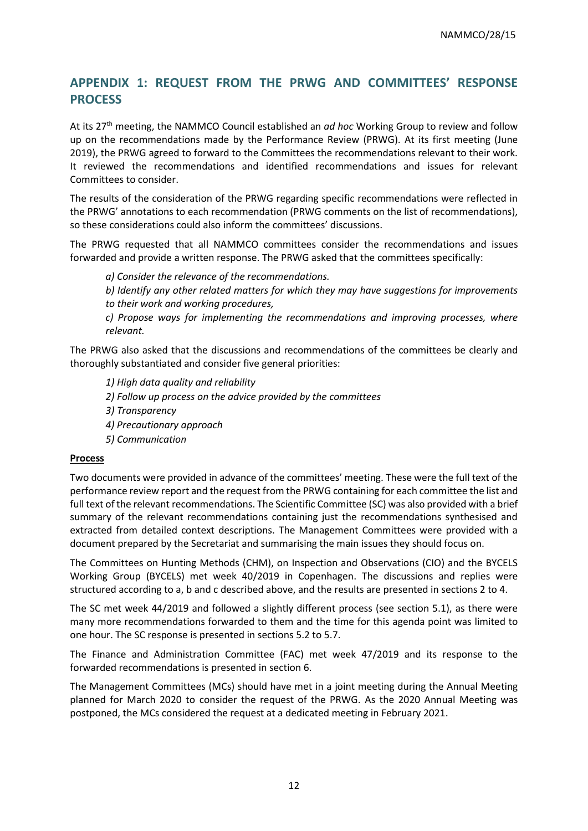# <span id="page-11-0"></span>**APPENDIX 1: REQUEST FROM THE PRWG AND COMMITTEES' RESPONSE PROCESS**

At its 27th meeting, the NAMMCO Council established an *ad hoc* Working Group to review and follow up on the recommendations made by the Performance Review (PRWG). At its first meeting (June 2019), the PRWG agreed to forward to the Committees the recommendations relevant to their work. It reviewed the recommendations and identified recommendations and issues for relevant Committees to consider.

The results of the consideration of the PRWG regarding specific recommendations were reflected in the PRWG' annotations to each recommendation (PRWG comments on the list of recommendations), so these considerations could also inform the committees' discussions.

The PRWG requested that all NAMMCO committees consider the recommendations and issues forwarded and provide a written response. The PRWG asked that the committees specifically:

*a) Consider the relevance of the recommendations.* 

*b) Identify any other related matters for which they may have suggestions for improvements to their work and working procedures,* 

*c) Propose ways for implementing the recommendations and improving processes, where relevant.* 

The PRWG also asked that the discussions and recommendations of the committees be clearly and thoroughly substantiated and consider five general priorities:

*1) High data quality and reliability*

- *2) Follow up process on the advice provided by the committees*
- *3) Transparency*
- *4) Precautionary approach*
- *5) Communication*

#### **Process**

Two documents were provided in advance of the committees' meeting. These were the full text of the performance review report and the request from the PRWG containing for each committee the list and full text of the relevant recommendations. The Scientific Committee (SC) was also provided with a brief summary of the relevant recommendations containing just the recommendations synthesised and extracted from detailed context descriptions. The Management Committees were provided with a document prepared by the Secretariat and summarising the main issues they should focus on.

The Committees on Hunting Methods (CHM), on Inspection and Observations (CIO) and the BYCELS Working Group (BYCELS) met week 40/2019 in Copenhagen. The discussions and replies were structured according to a, b and c described above, and the results are presented in sections 2 to 4.

The SC met week 44/2019 and followed a slightly different process (see section 5.1), as there were many more recommendations forwarded to them and the time for this agenda point was limited to one hour. The SC response is presented in sections 5.2 to 5.7.

The Finance and Administration Committee (FAC) met week 47/2019 and its response to the forwarded recommendations is presented in section 6.

The Management Committees (MCs) should have met in a joint meeting during the Annual Meeting planned for March 2020 to consider the request of the PRWG. As the 2020 Annual Meeting was postponed, the MCs considered the request at a dedicated meeting in February 2021.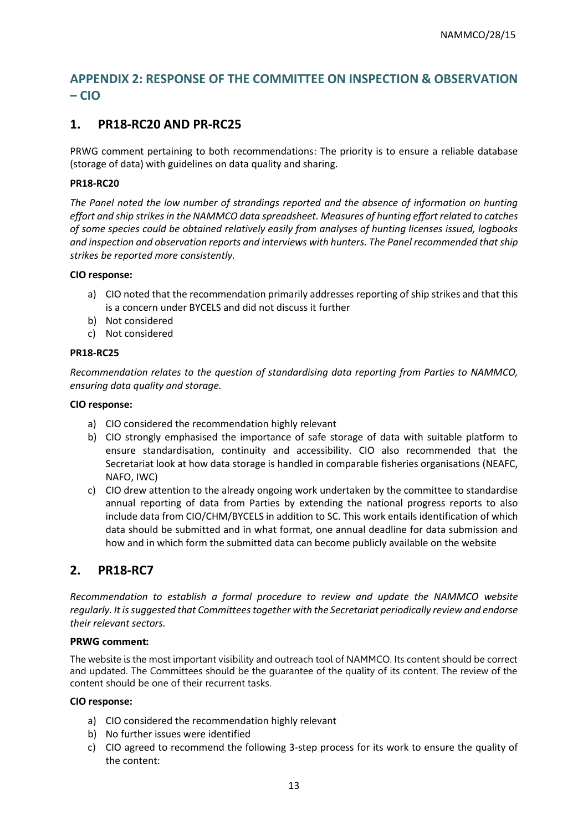# <span id="page-12-0"></span>**APPENDIX 2: RESPONSE OF THE COMMITTEE ON INSPECTION & OBSERVATION – CIO**

# **1. PR18-RC20 AND PR-RC25**

PRWG comment pertaining to both recommendations: The priority is to ensure a reliable database (storage of data) with guidelines on data quality and sharing.

#### **PR18-RC20**

*The Panel noted the low number of strandings reported and the absence of information on hunting effort and ship strikes in the NAMMCO data spreadsheet. Measures of hunting effort related to catches of some species could be obtained relatively easily from analyses of hunting licenses issued, logbooks and inspection and observation reports and interviews with hunters. The Panel recommended that ship strikes be reported more consistently.*

#### **CIO response:**

- a) CIO noted that the recommendation primarily addresses reporting of ship strikes and that this is a concern under BYCELS and did not discuss it further
- b) Not considered
- c) Not considered

#### **PR18-RC25**

*Recommendation relates to the question of standardising data reporting from Parties to NAMMCO, ensuring data quality and storage.* 

#### **CIO response:**

- a) CIO considered the recommendation highly relevant
- b) CIO strongly emphasised the importance of safe storage of data with suitable platform to ensure standardisation, continuity and accessibility. CIO also recommended that the Secretariat look at how data storage is handled in comparable fisheries organisations (NEAFC, NAFO, IWC)
- c) CIO drew attention to the already ongoing work undertaken by the committee to standardise annual reporting of data from Parties by extending the national progress reports to also include data from CIO/CHM/BYCELS in addition to SC. This work entails identification of which data should be submitted and in what format, one annual deadline for data submission and how and in which form the submitted data can become publicly available on the website

# **2. PR18-RC7**

*Recommendation to establish a formal procedure to review and update the NAMMCO website regularly. It is suggested that Committees together with the Secretariat periodically review and endorse their relevant sectors.* 

### **PRWG comment:**

The website is the most important visibility and outreach tool of NAMMCO. Its content should be correct and updated. The Committees should be the guarantee of the quality of its content. The review of the content should be one of their recurrent tasks.

#### **CIO response:**

- a) CIO considered the recommendation highly relevant
- b) No further issues were identified
- c) CIO agreed to recommend the following 3-step process for its work to ensure the quality of the content: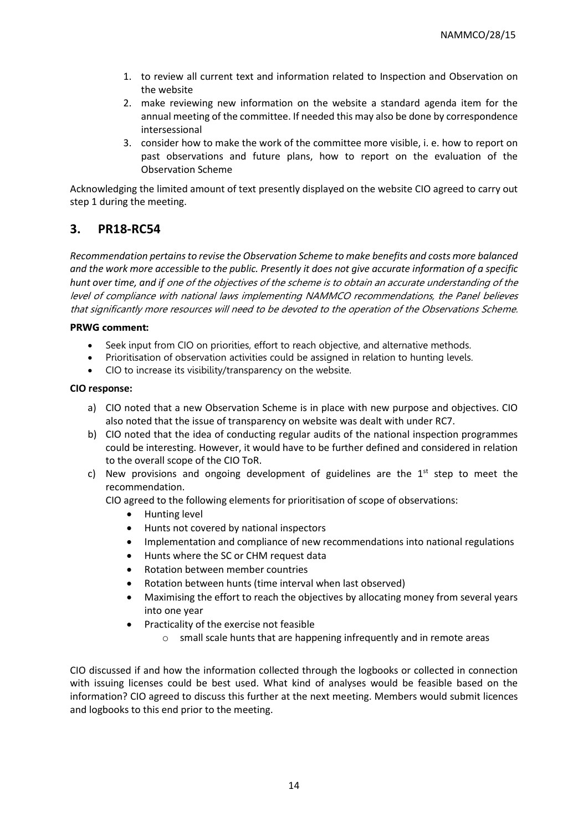- 1. to review all current text and information related to Inspection and Observation on the website
- 2. make reviewing new information on the website a standard agenda item for the annual meeting of the committee. If needed this may also be done by correspondence intersessional
- 3. consider how to make the work of the committee more visible, i. e. how to report on past observations and future plans, how to report on the evaluation of the Observation Scheme

Acknowledging the limited amount of text presently displayed on the website CIO agreed to carry out step 1 during the meeting.

### **3. PR18-RC54**

*Recommendation pertains to revise the Observation Scheme to make benefits and costs more balanced and the work more accessible to the public. Presently it does not give accurate information of a specific hunt over time, and if* one of the objectives of the scheme is to obtain an accurate understanding of the level of compliance with national laws implementing NAMMCO recommendations, the Panel believes that significantly more resources will need to be devoted to the operation of the Observations Scheme.

#### **PRWG comment:**

- Seek input from CIO on priorities, effort to reach objective, and alternative methods.
- Prioritisation of observation activities could be assigned in relation to hunting levels.
- CIO to increase its visibility/transparency on the website.

#### **CIO response:**

- a) CIO noted that a new Observation Scheme is in place with new purpose and objectives. CIO also noted that the issue of transparency on website was dealt with under RC7.
- b) CIO noted that the idea of conducting regular audits of the national inspection programmes could be interesting. However, it would have to be further defined and considered in relation to the overall scope of the CIO ToR.
- c) New provisions and ongoing development of guidelines are the  $1<sup>st</sup>$  step to meet the recommendation.

CIO agreed to the following elements for prioritisation of scope of observations:

- Hunting level
- Hunts not covered by national inspectors
- Implementation and compliance of new recommendations into national regulations
- Hunts where the SC or CHM request data
- Rotation between member countries
- Rotation between hunts (time interval when last observed)
- Maximising the effort to reach the objectives by allocating money from several years into one year
- Practicality of the exercise not feasible
	- o small scale hunts that are happening infrequently and in remote areas

CIO discussed if and how the information collected through the logbooks or collected in connection with issuing licenses could be best used. What kind of analyses would be feasible based on the information? CIO agreed to discuss this further at the next meeting. Members would submit licences and logbooks to this end prior to the meeting.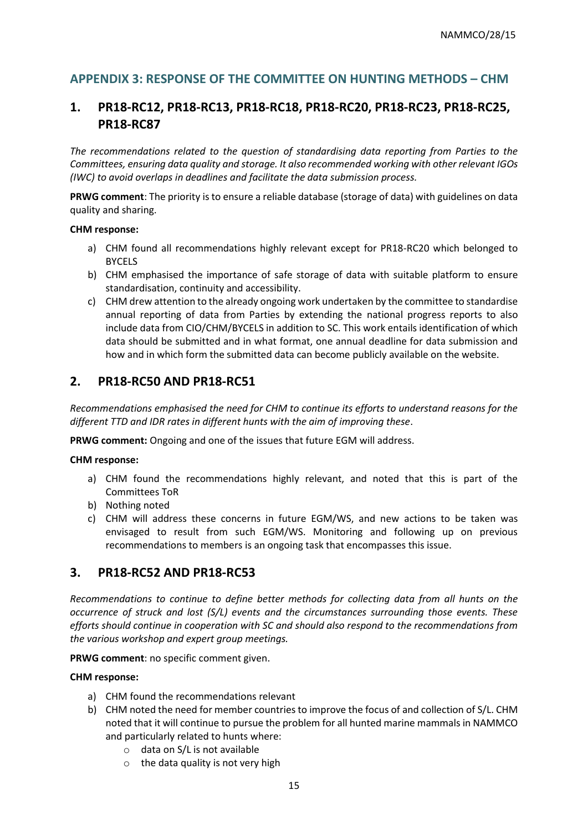# <span id="page-14-0"></span>**APPENDIX 3: RESPONSE OF THE COMMITTEE ON HUNTING METHODS – CHM**

# **1. PR18-RC12, PR18-RC13, PR18-RC18, PR18-RC20, PR18-RC23, PR18-RC25, PR18-RC87**

*The recommendations related to the question of standardising data reporting from Parties to the Committees, ensuring data quality and storage. It also recommended working with other relevant IGOs (IWC) to avoid overlaps in deadlines and facilitate the data submission process.* 

**PRWG comment**: The priority is to ensure a reliable database (storage of data) with guidelines on data quality and sharing.

#### **CHM response:**

- a) CHM found all recommendations highly relevant except for PR18-RC20 which belonged to BYCELS
- b) CHM emphasised the importance of safe storage of data with suitable platform to ensure standardisation, continuity and accessibility.
- c) CHM drew attention to the already ongoing work undertaken by the committee to standardise annual reporting of data from Parties by extending the national progress reports to also include data from CIO/CHM/BYCELS in addition to SC. This work entails identification of which data should be submitted and in what format, one annual deadline for data submission and how and in which form the submitted data can become publicly available on the website.

### **2. PR18-RC50 AND PR18-RC51**

*Recommendations emphasised the need for CHM to continue its efforts to understand reasons for the different TTD and IDR rates in different hunts with the aim of improving these*.

**PRWG comment:** Ongoing and one of the issues that future EGM will address.

#### **CHM response:**

- a) CHM found the recommendations highly relevant, and noted that this is part of the Committees ToR
- b) Nothing noted
- c) CHM will address these concerns in future EGM/WS, and new actions to be taken was envisaged to result from such EGM/WS. Monitoring and following up on previous recommendations to members is an ongoing task that encompasses this issue.

### **3. PR18-RC52 AND PR18-RC53**

*Recommendations to continue to define better methods for collecting data from all hunts on the occurrence of struck and lost (S/L) events and the circumstances surrounding those events. These efforts should continue in cooperation with SC and should also respond to the recommendations from the various workshop and expert group meetings.* 

**PRWG comment**: no specific comment given.

#### **CHM response:**

- a) CHM found the recommendations relevant
- b) CHM noted the need for member countries to improve the focus of and collection of S/L. CHM noted that it will continue to pursue the problem for all hunted marine mammals in NAMMCO and particularly related to hunts where:
	- o data on S/L is not available
	- $\circ$  the data quality is not very high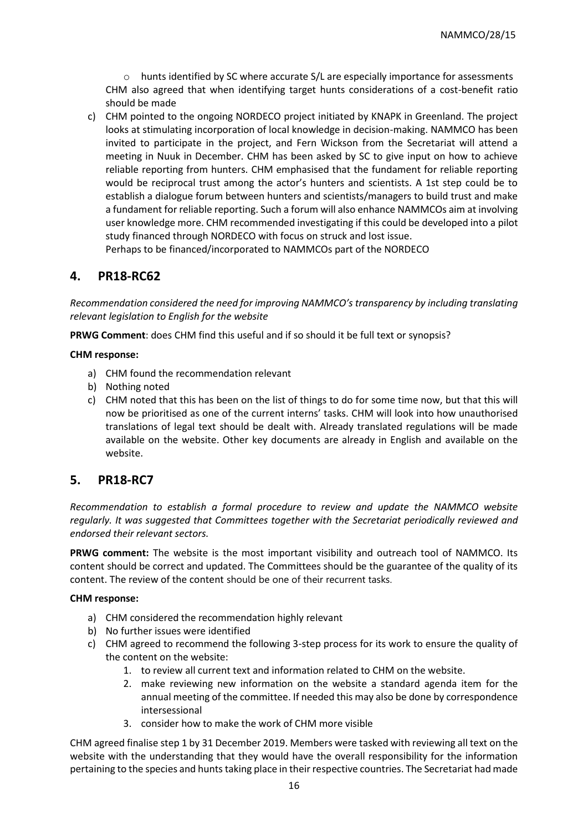$\circ$  hunts identified by SC where accurate S/L are especially importance for assessments CHM also agreed that when identifying target hunts considerations of a cost-benefit ratio should be made

c) CHM pointed to the ongoing NORDECO project initiated by KNAPK in Greenland. The project looks at stimulating incorporation of local knowledge in decision-making. NAMMCO has been invited to participate in the project, and Fern Wickson from the Secretariat will attend a meeting in Nuuk in December. CHM has been asked by SC to give input on how to achieve reliable reporting from hunters. CHM emphasised that the fundament for reliable reporting would be reciprocal trust among the actor's hunters and scientists. A 1st step could be to establish a dialogue forum between hunters and scientists/managers to build trust and make a fundament for reliable reporting. Such a forum will also enhance NAMMCOs aim at involving user knowledge more. CHM recommended investigating if this could be developed into a pilot study financed through NORDECO with focus on struck and lost issue.

Perhaps to be financed/incorporated to NAMMCOs part of the NORDECO

### **4. PR18-RC62**

*Recommendation considered the need for improving NAMMCO's transparency by including translating relevant legislation to English for the website*

**PRWG Comment**: does CHM find this useful and if so should it be full text or synopsis?

#### **CHM response:**

- a) CHM found the recommendation relevant
- b) Nothing noted
- c) CHM noted that this has been on the list of things to do for some time now, but that this will now be prioritised as one of the current interns' tasks. CHM will look into how unauthorised translations of legal text should be dealt with. Already translated regulations will be made available on the website. Other key documents are already in English and available on the website.

### **5. PR18-RC7**

*Recommendation to establish a formal procedure to review and update the NAMMCO website regularly. It was suggested that Committees together with the Secretariat periodically reviewed and endorsed their relevant sectors.* 

**PRWG comment:** The website is the most important visibility and outreach tool of NAMMCO. Its content should be correct and updated. The Committees should be the guarantee of the quality of its content. The review of the content should be one of their recurrent tasks.

#### **CHM response:**

- a) CHM considered the recommendation highly relevant
- b) No further issues were identified
- c) CHM agreed to recommend the following 3-step process for its work to ensure the quality of the content on the website:
	- 1. to review all current text and information related to CHM on the website.
	- 2. make reviewing new information on the website a standard agenda item for the annual meeting of the committee. If needed this may also be done by correspondence intersessional
	- 3. consider how to make the work of CHM more visible

CHM agreed finalise step 1 by 31 December 2019. Members were tasked with reviewing all text on the website with the understanding that they would have the overall responsibility for the information pertaining to the species and hunts taking place in their respective countries. The Secretariat had made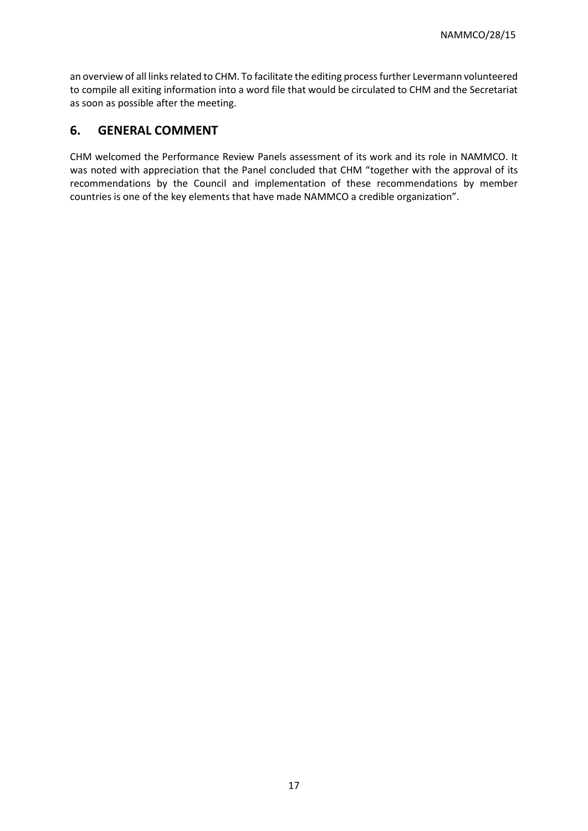an overview of all links related to CHM. To facilitate the editing process further Levermann volunteered to compile all exiting information into a word file that would be circulated to CHM and the Secretariat as soon as possible after the meeting.

# **6. GENERAL COMMENT**

CHM welcomed the Performance Review Panels assessment of its work and its role in NAMMCO. It was noted with appreciation that the Panel concluded that CHM "together with the approval of its recommendations by the Council and implementation of these recommendations by member countries is one of the key elements that have made NAMMCO a credible organization".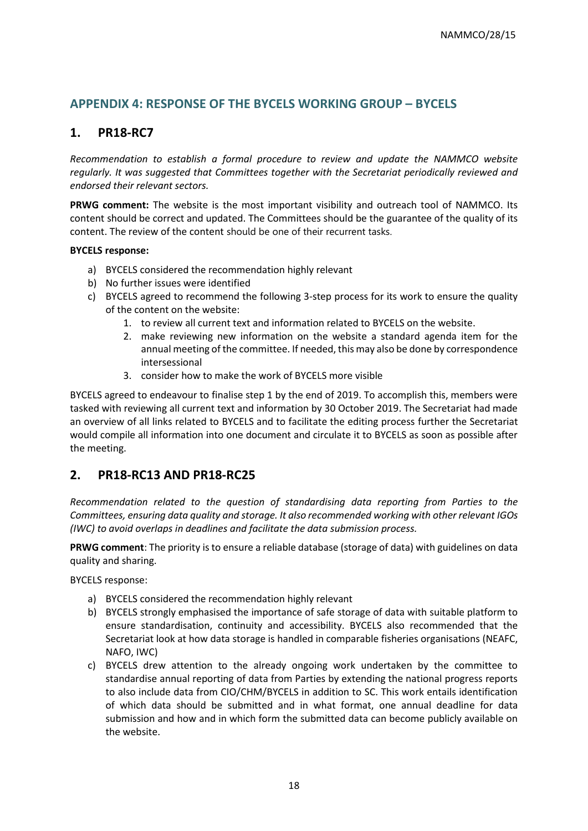# <span id="page-17-0"></span>**APPENDIX 4: RESPONSE OF THE BYCELS WORKING GROUP – BYCELS**

# **1. PR18-RC7**

*Recommendation to establish a formal procedure to review and update the NAMMCO website regularly. It was suggested that Committees together with the Secretariat periodically reviewed and endorsed their relevant sectors.* 

**PRWG comment:** The website is the most important visibility and outreach tool of NAMMCO. Its content should be correct and updated. The Committees should be the guarantee of the quality of its content. The review of the content should be one of their recurrent tasks.

#### **BYCELS response:**

- a) BYCELS considered the recommendation highly relevant
- b) No further issues were identified
- c) BYCELS agreed to recommend the following 3-step process for its work to ensure the quality of the content on the website:
	- 1. to review all current text and information related to BYCELS on the website.
	- 2. make reviewing new information on the website a standard agenda item for the annual meeting of the committee. If needed, this may also be done by correspondence intersessional
	- 3. consider how to make the work of BYCELS more visible

BYCELS agreed to endeavour to finalise step 1 by the end of 2019. To accomplish this, members were tasked with reviewing all current text and information by 30 October 2019. The Secretariat had made an overview of all links related to BYCELS and to facilitate the editing process further the Secretariat would compile all information into one document and circulate it to BYCELS as soon as possible after the meeting.

### **2. PR18-RC13 AND PR18-RC25**

*Recommendation related to the question of standardising data reporting from Parties to the Committees, ensuring data quality and storage. It also recommended working with other relevant IGOs (IWC) to avoid overlaps in deadlines and facilitate the data submission process.* 

**PRWG comment**: The priority is to ensure a reliable database (storage of data) with guidelines on data quality and sharing.

BYCELS response:

- a) BYCELS considered the recommendation highly relevant
- b) BYCELS strongly emphasised the importance of safe storage of data with suitable platform to ensure standardisation, continuity and accessibility. BYCELS also recommended that the Secretariat look at how data storage is handled in comparable fisheries organisations (NEAFC, NAFO, IWC)
- c) BYCELS drew attention to the already ongoing work undertaken by the committee to standardise annual reporting of data from Parties by extending the national progress reports to also include data from CIO/CHM/BYCELS in addition to SC. This work entails identification of which data should be submitted and in what format, one annual deadline for data submission and how and in which form the submitted data can become publicly available on the website.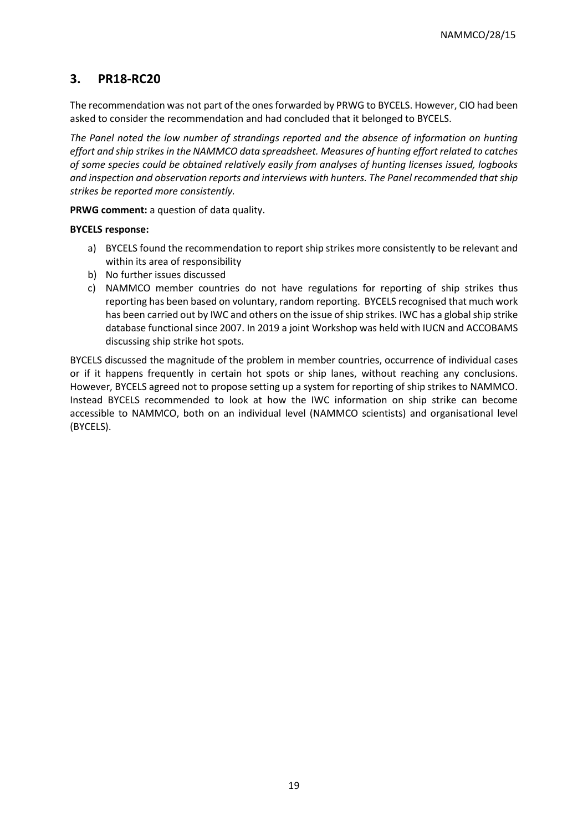# **3. PR18-RC20**

The recommendation was not part of the ones forwarded by PRWG to BYCELS. However, CIO had been asked to consider the recommendation and had concluded that it belonged to BYCELS.

*The Panel noted the low number of strandings reported and the absence of information on hunting effort and ship strikes in the NAMMCO data spreadsheet. Measures of hunting effort related to catches of some species could be obtained relatively easily from analyses of hunting licenses issued, logbooks and inspection and observation reports and interviews with hunters. The Panel recommended that ship strikes be reported more consistently.*

**PRWG comment:** a question of data quality.

#### **BYCELS response:**

- a) BYCELS found the recommendation to report ship strikes more consistently to be relevant and within its area of responsibility
- b) No further issues discussed
- c) NAMMCO member countries do not have regulations for reporting of ship strikes thus reporting has been based on voluntary, random reporting. BYCELS recognised that much work has been carried out by IWC and others on the issue of ship strikes. IWC has a global ship strike database functional since 2007. In 2019 a joint Workshop was held with IUCN and ACCOBAMS discussing ship strike hot spots.

BYCELS discussed the magnitude of the problem in member countries, occurrence of individual cases or if it happens frequently in certain hot spots or ship lanes, without reaching any conclusions. However, BYCELS agreed not to propose setting up a system for reporting of ship strikes to NAMMCO. Instead BYCELS recommended to look at how the IWC information on ship strike can become accessible to NAMMCO, both on an individual level (NAMMCO scientists) and organisational level (BYCELS).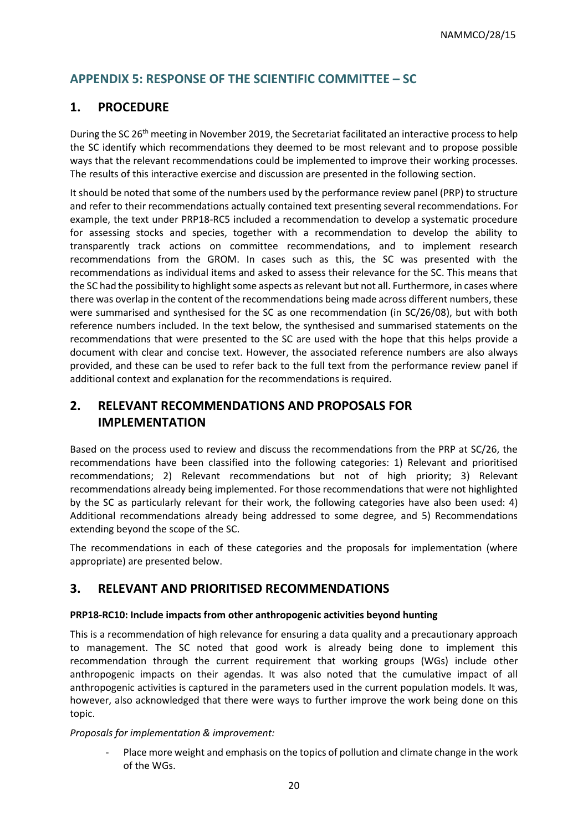# <span id="page-19-0"></span>**APPENDIX 5: RESPONSE OF THE SCIENTIFIC COMMITTEE – SC**

### **1. PROCEDURE**

During the SC 26<sup>th</sup> meeting in November 2019, the Secretariat facilitated an interactive process to help the SC identify which recommendations they deemed to be most relevant and to propose possible ways that the relevant recommendations could be implemented to improve their working processes. The results of this interactive exercise and discussion are presented in the following section.

It should be noted that some of the numbers used by the performance review panel (PRP) to structure and refer to their recommendations actually contained text presenting several recommendations. For example, the text under PRP18-RC5 included a recommendation to develop a systematic procedure for assessing stocks and species, together with a recommendation to develop the ability to transparently track actions on committee recommendations, and to implement research recommendations from the GROM. In cases such as this, the SC was presented with the recommendations as individual items and asked to assess their relevance for the SC. This means that the SC had the possibility to highlight some aspects as relevant but not all. Furthermore, in cases where there was overlap in the content of the recommendations being made across different numbers, these were summarised and synthesised for the SC as one recommendation (in SC/26/08), but with both reference numbers included. In the text below, the synthesised and summarised statements on the recommendations that were presented to the SC are used with the hope that this helps provide a document with clear and concise text. However, the associated reference numbers are also always provided, and these can be used to refer back to the full text from the performance review panel if additional context and explanation for the recommendations is required.

# **2. RELEVANT RECOMMENDATIONS AND PROPOSALS FOR IMPLEMENTATION**

Based on the process used to review and discuss the recommendations from the PRP at SC/26, the recommendations have been classified into the following categories: 1) Relevant and prioritised recommendations; 2) Relevant recommendations but not of high priority; 3) Relevant recommendations already being implemented. For those recommendations that were not highlighted by the SC as particularly relevant for their work, the following categories have also been used: 4) Additional recommendations already being addressed to some degree, and 5) Recommendations extending beyond the scope of the SC.

The recommendations in each of these categories and the proposals for implementation (where appropriate) are presented below.

### **3. RELEVANT AND PRIORITISED RECOMMENDATIONS**

#### **PRP18-RC10: Include impacts from other anthropogenic activities beyond hunting**

This is a recommendation of high relevance for ensuring a data quality and a precautionary approach to management. The SC noted that good work is already being done to implement this recommendation through the current requirement that working groups (WGs) include other anthropogenic impacts on their agendas. It was also noted that the cumulative impact of all anthropogenic activities is captured in the parameters used in the current population models. It was, however, also acknowledged that there were ways to further improve the work being done on this topic.

#### *Proposals for implementation & improvement:*

Place more weight and emphasis on the topics of pollution and climate change in the work of the WGs.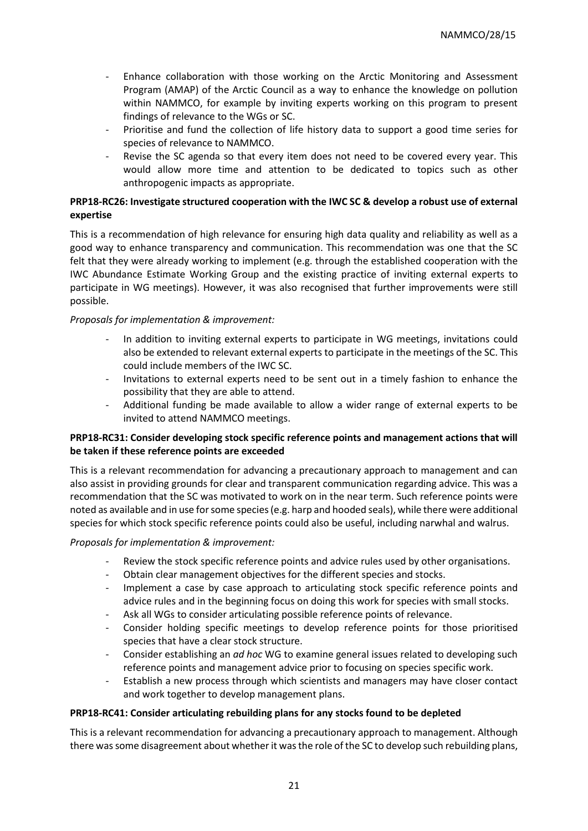- Enhance collaboration with those working on the Arctic Monitoring and Assessment Program (AMAP) of the Arctic Council as a way to enhance the knowledge on pollution within NAMMCO, for example by inviting experts working on this program to present findings of relevance to the WGs or SC.
- Prioritise and fund the collection of life history data to support a good time series for species of relevance to NAMMCO.
- Revise the SC agenda so that every item does not need to be covered every year. This would allow more time and attention to be dedicated to topics such as other anthropogenic impacts as appropriate.

#### **PRP18-RC26: Investigate structured cooperation with the IWC SC & develop a robust use of external expertise**

This is a recommendation of high relevance for ensuring high data quality and reliability as well as a good way to enhance transparency and communication. This recommendation was one that the SC felt that they were already working to implement (e.g. through the established cooperation with the IWC Abundance Estimate Working Group and the existing practice of inviting external experts to participate in WG meetings). However, it was also recognised that further improvements were still possible.

#### *Proposals for implementation & improvement:*

- In addition to inviting external experts to participate in WG meetings, invitations could also be extended to relevant external experts to participate in the meetings of the SC. This could include members of the IWC SC.
- Invitations to external experts need to be sent out in a timely fashion to enhance the possibility that they are able to attend.
- Additional funding be made available to allow a wider range of external experts to be invited to attend NAMMCO meetings.

#### **PRP18-RC31: Consider developing stock specific reference points and management actions that will be taken if these reference points are exceeded**

This is a relevant recommendation for advancing a precautionary approach to management and can also assist in providing grounds for clear and transparent communication regarding advice. This was a recommendation that the SC was motivated to work on in the near term. Such reference points were noted as available and in use for some species (e.g. harp and hooded seals), while there were additional species for which stock specific reference points could also be useful, including narwhal and walrus.

#### *Proposals for implementation & improvement:*

- Review the stock specific reference points and advice rules used by other organisations.
- Obtain clear management objectives for the different species and stocks.
- Implement a case by case approach to articulating stock specific reference points and advice rules and in the beginning focus on doing this work for species with small stocks.
- Ask all WGs to consider articulating possible reference points of relevance.
- Consider holding specific meetings to develop reference points for those prioritised species that have a clear stock structure.
- Consider establishing an *ad hoc* WG to examine general issues related to developing such reference points and management advice prior to focusing on species specific work.
- Establish a new process through which scientists and managers may have closer contact and work together to develop management plans.

#### **PRP18-RC41: Consider articulating rebuilding plans for any stocks found to be depleted**

This is a relevant recommendation for advancing a precautionary approach to management. Although there was some disagreement about whether it was the role of the SC to develop such rebuilding plans,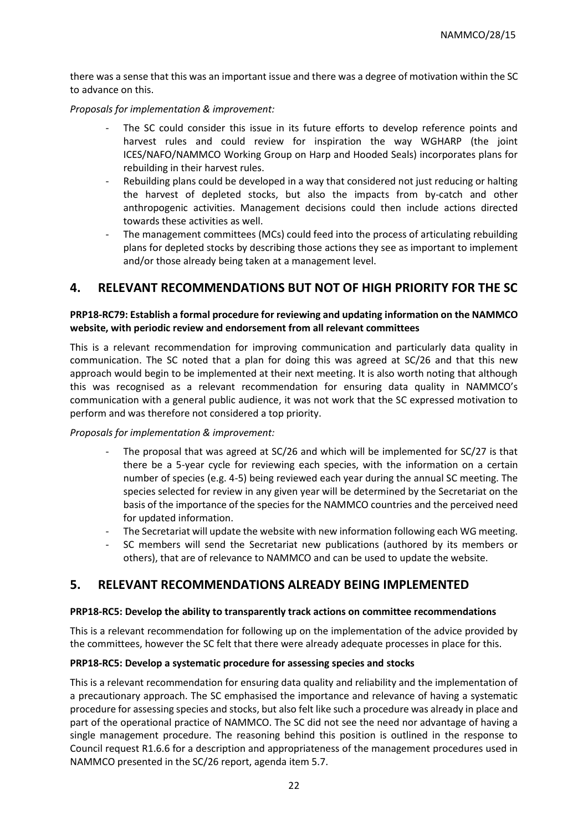there was a sense that this was an important issue and there was a degree of motivation within the SC to advance on this.

*Proposals for implementation & improvement:*

- The SC could consider this issue in its future efforts to develop reference points and harvest rules and could review for inspiration the way WGHARP (the joint ICES/NAFO/NAMMCO Working Group on Harp and Hooded Seals) incorporates plans for rebuilding in their harvest rules.
- Rebuilding plans could be developed in a way that considered not just reducing or halting the harvest of depleted stocks, but also the impacts from by-catch and other anthropogenic activities. Management decisions could then include actions directed towards these activities as well.
- The management committees (MCs) could feed into the process of articulating rebuilding plans for depleted stocks by describing those actions they see as important to implement and/or those already being taken at a management level.

### **4. RELEVANT RECOMMENDATIONS BUT NOT OF HIGH PRIORITY FOR THE SC**

#### **PRP18-RC79: Establish a formal procedure for reviewing and updating information on the NAMMCO website, with periodic review and endorsement from all relevant committees**

This is a relevant recommendation for improving communication and particularly data quality in communication. The SC noted that a plan for doing this was agreed at SC/26 and that this new approach would begin to be implemented at their next meeting. It is also worth noting that although this was recognised as a relevant recommendation for ensuring data quality in NAMMCO's communication with a general public audience, it was not work that the SC expressed motivation to perform and was therefore not considered a top priority.

#### *Proposals for implementation & improvement:*

- The proposal that was agreed at SC/26 and which will be implemented for SC/27 is that there be a 5-year cycle for reviewing each species, with the information on a certain number of species (e.g. 4-5) being reviewed each year during the annual SC meeting. The species selected for review in any given year will be determined by the Secretariat on the basis of the importance of the species for the NAMMCO countries and the perceived need for updated information.
- The Secretariat will update the website with new information following each WG meeting.
- SC members will send the Secretariat new publications (authored by its members or others), that are of relevance to NAMMCO and can be used to update the website.

### **5. RELEVANT RECOMMENDATIONS ALREADY BEING IMPLEMENTED**

#### **PRP18-RC5: Develop the ability to transparently track actions on committee recommendations**

This is a relevant recommendation for following up on the implementation of the advice provided by the committees, however the SC felt that there were already adequate processes in place for this.

#### **PRP18-RC5: Develop a systematic procedure for assessing species and stocks**

This is a relevant recommendation for ensuring data quality and reliability and the implementation of a precautionary approach. The SC emphasised the importance and relevance of having a systematic procedure for assessing species and stocks, but also felt like such a procedure was already in place and part of the operational practice of NAMMCO. The SC did not see the need nor advantage of having a single management procedure. The reasoning behind this position is outlined in the response to Council request R1.6.6 for a description and appropriateness of the management procedures used in NAMMCO presented in the SC/26 report, agenda item 5.7.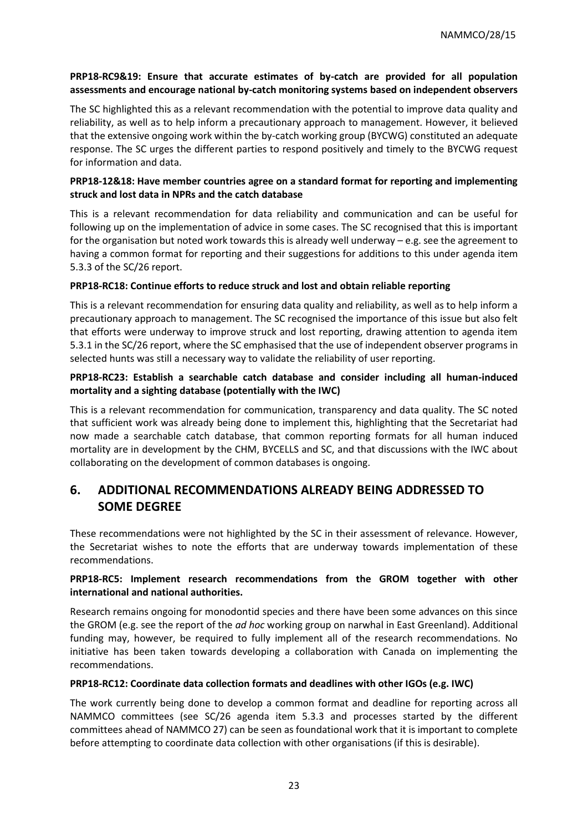#### **PRP18-RC9&19: Ensure that accurate estimates of by-catch are provided for all population assessments and encourage national by-catch monitoring systems based on independent observers**

The SC highlighted this as a relevant recommendation with the potential to improve data quality and reliability, as well as to help inform a precautionary approach to management. However, it believed that the extensive ongoing work within the by-catch working group (BYCWG) constituted an adequate response. The SC urges the different parties to respond positively and timely to the BYCWG request for information and data.

#### **PRP18-12&18: Have member countries agree on a standard format for reporting and implementing struck and lost data in NPRs and the catch database**

This is a relevant recommendation for data reliability and communication and can be useful for following up on the implementation of advice in some cases. The SC recognised that this is important for the organisation but noted work towards this is already well underway – e.g. see the agreement to having a common format for reporting and their suggestions for additions to this under agenda item 5.3.3 of the SC/26 report.

#### **PRP18-RC18: Continue efforts to reduce struck and lost and obtain reliable reporting**

This is a relevant recommendation for ensuring data quality and reliability, as well as to help inform a precautionary approach to management. The SC recognised the importance of this issue but also felt that efforts were underway to improve struck and lost reporting, drawing attention to agenda item 5.3.1 in the SC/26 report, where the SC emphasised that the use of independent observer programs in selected hunts was still a necessary way to validate the reliability of user reporting.

#### **PRP18-RC23: Establish a searchable catch database and consider including all human-induced mortality and a sighting database (potentially with the IWC)**

This is a relevant recommendation for communication, transparency and data quality. The SC noted that sufficient work was already being done to implement this, highlighting that the Secretariat had now made a searchable catch database, that common reporting formats for all human induced mortality are in development by the CHM, BYCELLS and SC, and that discussions with the IWC about collaborating on the development of common databases is ongoing.

# **6. ADDITIONAL RECOMMENDATIONS ALREADY BEING ADDRESSED TO SOME DEGREE**

These recommendations were not highlighted by the SC in their assessment of relevance. However, the Secretariat wishes to note the efforts that are underway towards implementation of these recommendations.

#### **PRP18-RC5: Implement research recommendations from the GROM together with other international and national authorities.**

Research remains ongoing for monodontid species and there have been some advances on this since the GROM (e.g. see the report of the *ad hoc* working group on narwhal in East Greenland). Additional funding may, however, be required to fully implement all of the research recommendations. No initiative has been taken towards developing a collaboration with Canada on implementing the recommendations.

#### **PRP18-RC12: Coordinate data collection formats and deadlines with other IGOs (e.g. IWC)**

The work currently being done to develop a common format and deadline for reporting across all NAMMCO committees (see SC/26 agenda item 5.3.3 and processes started by the different committees ahead of NAMMCO 27) can be seen as foundational work that it is important to complete before attempting to coordinate data collection with other organisations (if this is desirable).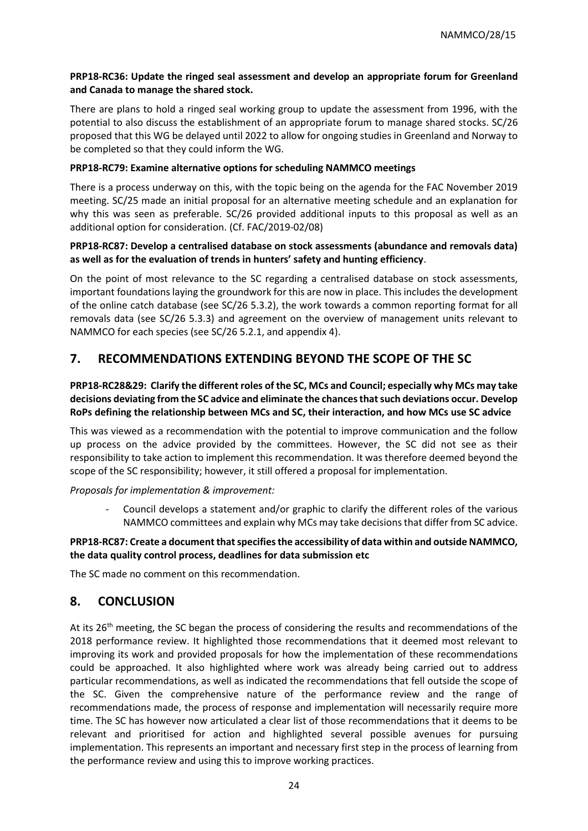#### **PRP18-RC36: Update the ringed seal assessment and develop an appropriate forum for Greenland and Canada to manage the shared stock.**

There are plans to hold a ringed seal working group to update the assessment from 1996, with the potential to also discuss the establishment of an appropriate forum to manage shared stocks. SC/26 proposed that this WG be delayed until 2022 to allow for ongoing studies in Greenland and Norway to be completed so that they could inform the WG.

#### **PRP18-RC79: Examine alternative options for scheduling NAMMCO meetings**

There is a process underway on this, with the topic being on the agenda for the FAC November 2019 meeting. SC/25 made an initial proposal for an alternative meeting schedule and an explanation for why this was seen as preferable. SC/26 provided additional inputs to this proposal as well as an additional option for consideration. (Cf. FAC/2019-02/08)

#### **PRP18-RC87: Develop a centralised database on stock assessments (abundance and removals data) as well as for the evaluation of trends in hunters' safety and hunting efficiency**.

On the point of most relevance to the SC regarding a centralised database on stock assessments, important foundations laying the groundwork for this are now in place. This includes the development of the online catch database (see SC/26 5.3.2), the work towards a common reporting format for all removals data (see SC/26 5.3.3) and agreement on the overview of management units relevant to NAMMCO for each species (see SC/26 5.2.1, and appendix 4).

# **7. RECOMMENDATIONS EXTENDING BEYOND THE SCOPE OF THE SC**

### **PRP18-RC28&29: Clarify the different roles of the SC, MCs and Council; especially why MCs may take decisions deviating from the SC advice and eliminate the chances that such deviations occur. Develop RoPs defining the relationship between MCs and SC, their interaction, and how MCs use SC advice**

This was viewed as a recommendation with the potential to improve communication and the follow up process on the advice provided by the committees. However, the SC did not see as their responsibility to take action to implement this recommendation. It was therefore deemed beyond the scope of the SC responsibility; however, it still offered a proposal for implementation.

*Proposals for implementation & improvement:*

Council develops a statement and/or graphic to clarify the different roles of the various NAMMCO committees and explain why MCs may take decisions that differ from SC advice.

#### **PRP18-RC87: Create a document that specifies the accessibility of data within and outside NAMMCO, the data quality control process, deadlines for data submission etc**

The SC made no comment on this recommendation.

# **8. CONCLUSION**

At its 26<sup>th</sup> meeting, the SC began the process of considering the results and recommendations of the 2018 performance review. It highlighted those recommendations that it deemed most relevant to improving its work and provided proposals for how the implementation of these recommendations could be approached. It also highlighted where work was already being carried out to address particular recommendations, as well as indicated the recommendations that fell outside the scope of the SC. Given the comprehensive nature of the performance review and the range of recommendations made, the process of response and implementation will necessarily require more time. The SC has however now articulated a clear list of those recommendations that it deems to be relevant and prioritised for action and highlighted several possible avenues for pursuing implementation. This represents an important and necessary first step in the process of learning from the performance review and using this to improve working practices.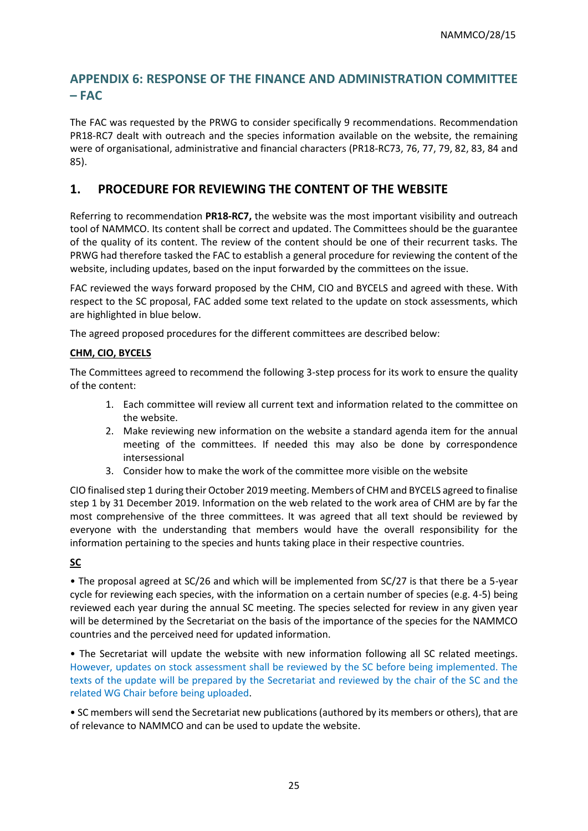# <span id="page-24-0"></span>**APPENDIX 6: RESPONSE OF THE FINANCE AND ADMINISTRATION COMMITTEE – FAC**

The FAC was requested by the PRWG to consider specifically 9 recommendations. Recommendation PR18-RC7 dealt with outreach and the species information available on the website, the remaining were of organisational, administrative and financial characters (PR18-RC73, 76, 77, 79, 82, 83, 84 and 85).

### **1. PROCEDURE FOR REVIEWING THE CONTENT OF THE WEBSITE**

Referring to recommendation **PR18-RC7,** the website was the most important visibility and outreach tool of NAMMCO. Its content shall be correct and updated. The Committees should be the guarantee of the quality of its content. The review of the content should be one of their recurrent tasks. The PRWG had therefore tasked the FAC to establish a general procedure for reviewing the content of the website, including updates, based on the input forwarded by the committees on the issue.

FAC reviewed the ways forward proposed by the CHM, CIO and BYCELS and agreed with these. With respect to the SC proposal, FAC added some text related to the update on stock assessments, which are highlighted in blue below.

The agreed proposed procedures for the different committees are described below:

#### **CHM, CIO, BYCELS**

The Committees agreed to recommend the following 3-step process for its work to ensure the quality of the content:

- 1. Each committee will review all current text and information related to the committee on the website.
- 2. Make reviewing new information on the website a standard agenda item for the annual meeting of the committees. If needed this may also be done by correspondence intersessional
- 3. Consider how to make the work of the committee more visible on the website

CIO finalised step 1 during their October 2019 meeting. Members of CHM and BYCELS agreed to finalise step 1 by 31 December 2019. Information on the web related to the work area of CHM are by far the most comprehensive of the three committees. It was agreed that all text should be reviewed by everyone with the understanding that members would have the overall responsibility for the information pertaining to the species and hunts taking place in their respective countries.

### **SC**

• The proposal agreed at SC/26 and which will be implemented from SC/27 is that there be a 5-year cycle for reviewing each species, with the information on a certain number of species (e.g. 4-5) being reviewed each year during the annual SC meeting. The species selected for review in any given year will be determined by the Secretariat on the basis of the importance of the species for the NAMMCO countries and the perceived need for updated information.

• The Secretariat will update the website with new information following all SC related meetings. However, updates on stock assessment shall be reviewed by the SC before being implemented. The texts of the update will be prepared by the Secretariat and reviewed by the chair of the SC and the related WG Chair before being uploaded.

• SC members will send the Secretariat new publications (authored by its members or others), that are of relevance to NAMMCO and can be used to update the website.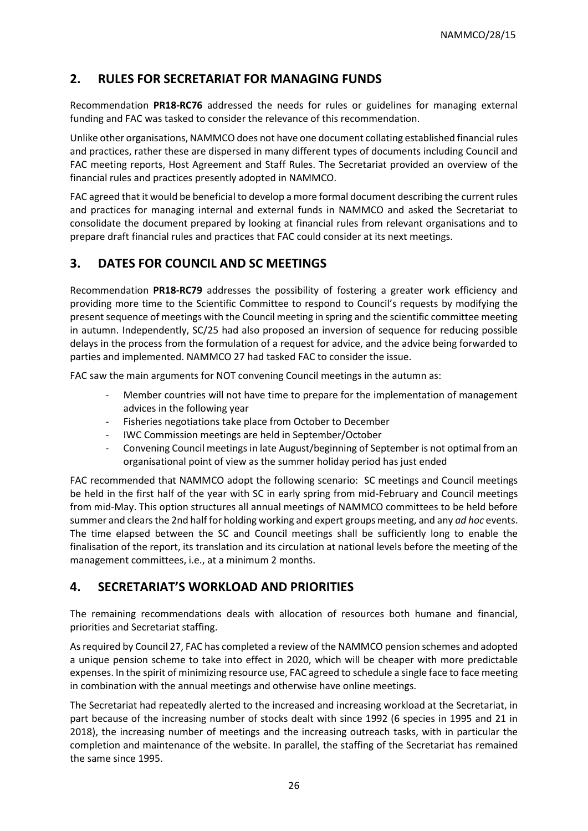# **2. RULES FOR SECRETARIAT FOR MANAGING FUNDS**

Recommendation **PR18-RC76** addressed the needs for rules or guidelines for managing external funding and FAC was tasked to consider the relevance of this recommendation.

Unlike other organisations, NAMMCO does not have one document collating established financial rules and practices, rather these are dispersed in many different types of documents including Council and FAC meeting reports, Host Agreement and Staff Rules. The Secretariat provided an overview of the financial rules and practices presently adopted in NAMMCO.

FAC agreed that it would be beneficial to develop a more formal document describing the current rules and practices for managing internal and external funds in NAMMCO and asked the Secretariat to consolidate the document prepared by looking at financial rules from relevant organisations and to prepare draft financial rules and practices that FAC could consider at its next meetings.

# **3. DATES FOR COUNCIL AND SC MEETINGS**

Recommendation **PR18-RC79** addresses the possibility of fostering a greater work efficiency and providing more time to the Scientific Committee to respond to Council's requests by modifying the present sequence of meetings with the Council meeting in spring and the scientific committee meeting in autumn. Independently, SC/25 had also proposed an inversion of sequence for reducing possible delays in the process from the formulation of a request for advice, and the advice being forwarded to parties and implemented. NAMMCO 27 had tasked FAC to consider the issue.

FAC saw the main arguments for NOT convening Council meetings in the autumn as:

- Member countries will not have time to prepare for the implementation of management advices in the following year
- Fisheries negotiations take place from October to December
- IWC Commission meetings are held in September/October
- Convening Council meetings in late August/beginning of September is not optimal from an organisational point of view as the summer holiday period has just ended

FAC recommended that NAMMCO adopt the following scenario: SC meetings and Council meetings be held in the first half of the year with SC in early spring from mid-February and Council meetings from mid-May. This option structures all annual meetings of NAMMCO committees to be held before summer and clears the 2nd half for holding working and expert groups meeting, and any *ad hoc* events. The time elapsed between the SC and Council meetings shall be sufficiently long to enable the finalisation of the report, its translation and its circulation at national levels before the meeting of the management committees, i.e., at a minimum 2 months.

# **4. SECRETARIAT'S WORKLOAD AND PRIORITIES**

The remaining recommendations deals with allocation of resources both humane and financial, priorities and Secretariat staffing.

As required by Council 27, FAC has completed a review of the NAMMCO pension schemes and adopted a unique pension scheme to take into effect in 2020, which will be cheaper with more predictable expenses. In the spirit of minimizing resource use, FAC agreed to schedule a single face to face meeting in combination with the annual meetings and otherwise have online meetings.

The Secretariat had repeatedly alerted to the increased and increasing workload at the Secretariat, in part because of the increasing number of stocks dealt with since 1992 (6 species in 1995 and 21 in 2018), the increasing number of meetings and the increasing outreach tasks, with in particular the completion and maintenance of the website. In parallel, the staffing of the Secretariat has remained the same since 1995.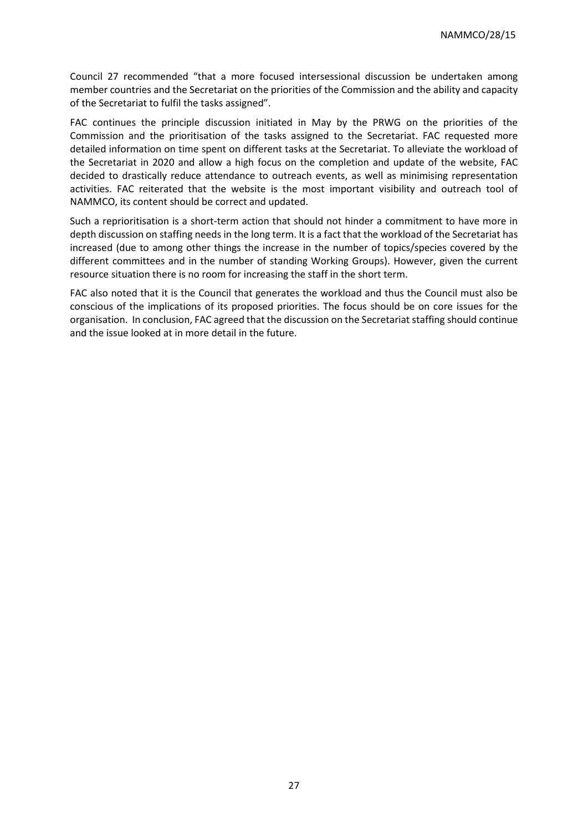Council 27 recommended "that a more focused intersessional discussion be undertaken among member countries and the Secretariat on the priorities of the Commission and the ability and capacity of the Secretariat to fulfil the tasks assigned".

FAC continues the principle discussion initiated in May by the PRWG on the priorities of the Commission and the prioritisation of the tasks assigned to the Secretariat. FAC requested more detailed information on time spent on different tasks at the Secretariat. To alleviate the workload of the Secretariat in 2020 and allow a high focus on the completion and update of the website, FAC decided to drastically reduce attendance to outreach events, as well as minimising representation activities. FAC reiterated that the website is the most important visibility and outreach tool of NAMMCO, its content should be correct and updated.

Such a reprioritisation is a short-term action that should not hinder a commitment to have more in depth discussion on staffing needs in the long term. It is a fact that the workload of the Secretariat has increased (due to among other things the increase in the number of topics/species covered by the different committees and in the number of standing Working Groups). However, given the current resource situation there is no room for increasing the staff in the short term.

FAC also noted that it is the Council that generates the workload and thus the Council must also be conscious of the implications of its proposed priorities. The focus should be on core issues for the organisation. In conclusion, FAC agreed that the discussion on the Secretariat staffing should continue and the issue looked at in more detail in the future.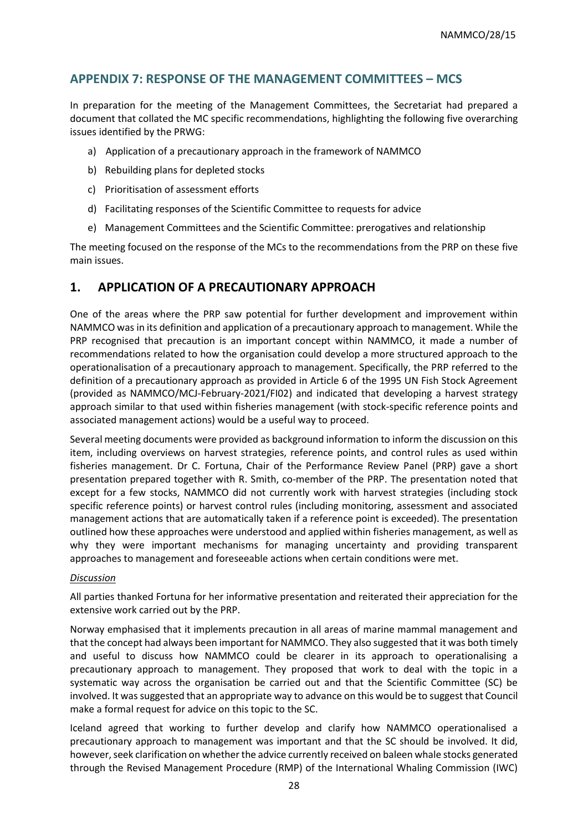# <span id="page-27-0"></span>**APPENDIX 7: RESPONSE OF THE MANAGEMENT COMMITTEES – MCS**

In preparation for the meeting of the Management Committees, the Secretariat had prepared a document that collated the MC specific recommendations, highlighting the following five overarching issues identified by the PRWG:

- a) Application of a precautionary approach in the framework of NAMMCO
- b) Rebuilding plans for depleted stocks
- c) Prioritisation of assessment efforts
- d) Facilitating responses of the Scientific Committee to requests for advice
- e) Management Committees and the Scientific Committee: prerogatives and relationship

The meeting focused on the response of the MCs to the recommendations from the PRP on these five main issues.

# **1. APPLICATION OF A PRECAUTIONARY APPROACH**

One of the areas where the PRP saw potential for further development and improvement within NAMMCO was in its definition and application of a precautionary approach to management. While the PRP recognised that precaution is an important concept within NAMMCO, it made a number of recommendations related to how the organisation could develop a more structured approach to the operationalisation of a precautionary approach to management. Specifically, the PRP referred to the definition of a precautionary approach as provided in Article 6 of the 1995 UN Fish Stock Agreement (provided as NAMMCO/MCJ-February-2021/FI02) and indicated that developing a harvest strategy approach similar to that used within fisheries management (with stock-specific reference points and associated management actions) would be a useful way to proceed.

Several meeting documents were provided as background information to inform the discussion on this item, including overviews on harvest strategies, reference points, and control rules as used within fisheries management. Dr C. Fortuna, Chair of the Performance Review Panel (PRP) gave a short presentation prepared together with R. Smith, co-member of the PRP. The presentation noted that except for a few stocks, NAMMCO did not currently work with harvest strategies (including stock specific reference points) or harvest control rules (including monitoring, assessment and associated management actions that are automatically taken if a reference point is exceeded). The presentation outlined how these approaches were understood and applied within fisheries management, as well as why they were important mechanisms for managing uncertainty and providing transparent approaches to management and foreseeable actions when certain conditions were met.

#### *Discussion*

All parties thanked Fortuna for her informative presentation and reiterated their appreciation for the extensive work carried out by the PRP.

Norway emphasised that it implements precaution in all areas of marine mammal management and that the concept had always been important for NAMMCO. They also suggested that it was both timely and useful to discuss how NAMMCO could be clearer in its approach to operationalising a precautionary approach to management. They proposed that work to deal with the topic in a systematic way across the organisation be carried out and that the Scientific Committee (SC) be involved. It was suggested that an appropriate way to advance on this would be to suggest that Council make a formal request for advice on this topic to the SC.

Iceland agreed that working to further develop and clarify how NAMMCO operationalised a precautionary approach to management was important and that the SC should be involved. It did, however, seek clarification on whether the advice currently received on baleen whale stocks generated through the Revised Management Procedure (RMP) of the International Whaling Commission (IWC)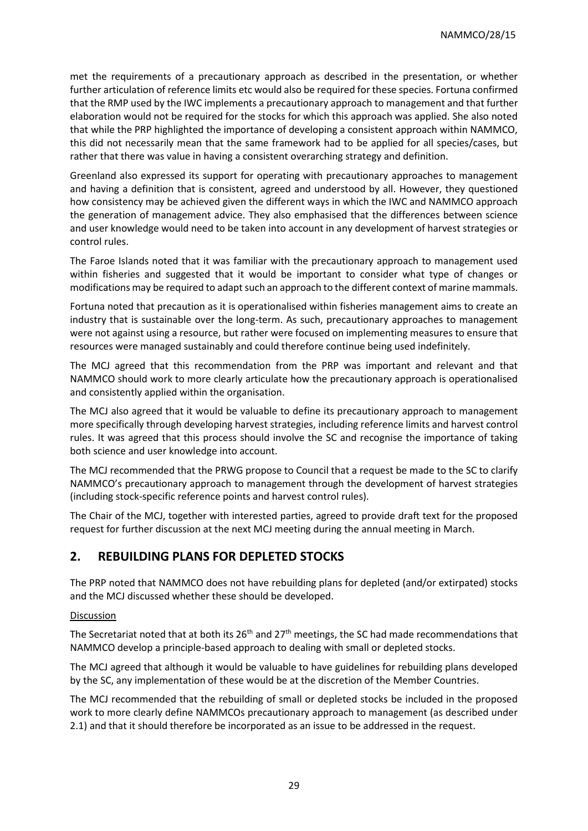met the requirements of a precautionary approach as described in the presentation, or whether further articulation of reference limits etc would also be required for these species. Fortuna confirmed that the RMP used by the IWC implements a precautionary approach to management and that further elaboration would not be required for the stocks for which this approach was applied. She also noted that while the PRP highlighted the importance of developing a consistent approach within NAMMCO, this did not necessarily mean that the same framework had to be applied for all species/cases, but rather that there was value in having a consistent overarching strategy and definition.

Greenland also expressed its support for operating with precautionary approaches to management and having a definition that is consistent, agreed and understood by all. However, they questioned how consistency may be achieved given the different ways in which the IWC and NAMMCO approach the generation of management advice. They also emphasised that the differences between science and user knowledge would need to be taken into account in any development of harvest strategies or control rules.

The Faroe Islands noted that it was familiar with the precautionary approach to management used within fisheries and suggested that it would be important to consider what type of changes or modifications may be required to adapt such an approach to the different context of marine mammals.

Fortuna noted that precaution as it is operationalised within fisheries management aims to create an industry that is sustainable over the long-term. As such, precautionary approaches to management were not against using a resource, but rather were focused on implementing measures to ensure that resources were managed sustainably and could therefore continue being used indefinitely.

The MCJ agreed that this recommendation from the PRP was important and relevant and that NAMMCO should work to more clearly articulate how the precautionary approach is operationalised and consistently applied within the organisation.

The MCJ also agreed that it would be valuable to define its precautionary approach to management more specifically through developing harvest strategies, including reference limits and harvest control rules. It was agreed that this process should involve the SC and recognise the importance of taking both science and user knowledge into account.

The MCJ recommended that the PRWG propose to Council that a request be made to the SC to clarify NAMMCO's precautionary approach to management through the development of harvest strategies (including stock-specific reference points and harvest control rules).

The Chair of the MCJ, together with interested parties, agreed to provide draft text for the proposed request for further discussion at the next MCJ meeting during the annual meeting in March.

# **2. REBUILDING PLANS FOR DEPLETED STOCKS**

The PRP noted that NAMMCO does not have rebuilding plans for depleted (and/or extirpated) stocks and the MCJ discussed whether these should be developed.

#### Discussion

The Secretariat noted that at both its  $26<sup>th</sup>$  and  $27<sup>th</sup>$  meetings, the SC had made recommendations that NAMMCO develop a principle-based approach to dealing with small or depleted stocks.

The MCJ agreed that although it would be valuable to have guidelines for rebuilding plans developed by the SC, any implementation of these would be at the discretion of the Member Countries.

The MCJ recommended that the rebuilding of small or depleted stocks be included in the proposed work to more clearly define NAMMCOs precautionary approach to management (as described under 2.1) and that it should therefore be incorporated as an issue to be addressed in the request.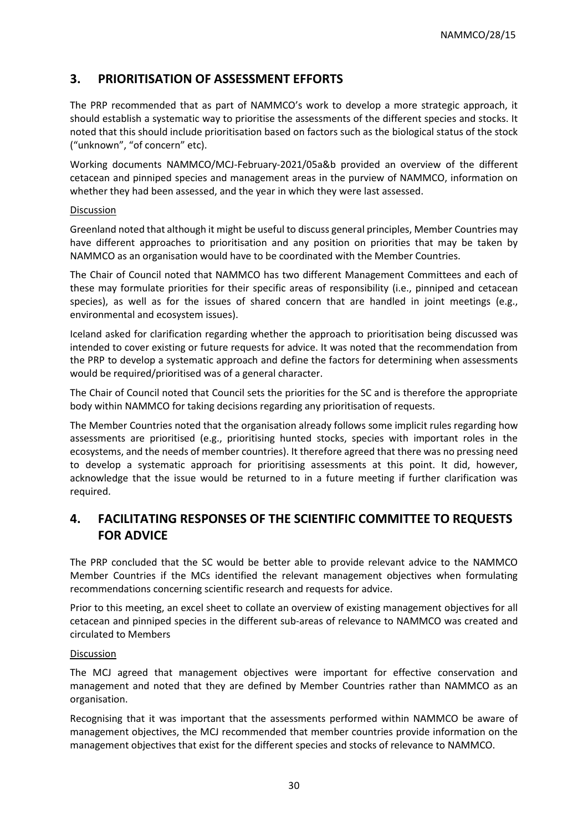# **3. PRIORITISATION OF ASSESSMENT EFFORTS**

The PRP recommended that as part of NAMMCO's work to develop a more strategic approach, it should establish a systematic way to prioritise the assessments of the different species and stocks. It noted that this should include prioritisation based on factors such as the biological status of the stock ("unknown", "of concern" etc).

Working documents NAMMCO/MCJ-February-2021/05a&b provided an overview of the different cetacean and pinniped species and management areas in the purview of NAMMCO, information on whether they had been assessed, and the year in which they were last assessed.

#### Discussion

Greenland noted that although it might be useful to discuss general principles, Member Countries may have different approaches to prioritisation and any position on priorities that may be taken by NAMMCO as an organisation would have to be coordinated with the Member Countries.

The Chair of Council noted that NAMMCO has two different Management Committees and each of these may formulate priorities for their specific areas of responsibility (i.e., pinniped and cetacean species), as well as for the issues of shared concern that are handled in joint meetings (e.g., environmental and ecosystem issues).

Iceland asked for clarification regarding whether the approach to prioritisation being discussed was intended to cover existing or future requests for advice. It was noted that the recommendation from the PRP to develop a systematic approach and define the factors for determining when assessments would be required/prioritised was of a general character.

The Chair of Council noted that Council sets the priorities for the SC and is therefore the appropriate body within NAMMCO for taking decisions regarding any prioritisation of requests.

The Member Countries noted that the organisation already follows some implicit rules regarding how assessments are prioritised (e.g., prioritising hunted stocks, species with important roles in the ecosystems, and the needs of member countries). It therefore agreed that there was no pressing need to develop a systematic approach for prioritising assessments at this point. It did, however, acknowledge that the issue would be returned to in a future meeting if further clarification was required.

# **4. FACILITATING RESPONSES OF THE SCIENTIFIC COMMITTEE TO REQUESTS FOR ADVICE**

The PRP concluded that the SC would be better able to provide relevant advice to the NAMMCO Member Countries if the MCs identified the relevant management objectives when formulating recommendations concerning scientific research and requests for advice.

Prior to this meeting, an excel sheet to collate an overview of existing management objectives for all cetacean and pinniped species in the different sub-areas of relevance to NAMMCO was created and circulated to Members

#### Discussion

The MCJ agreed that management objectives were important for effective conservation and management and noted that they are defined by Member Countries rather than NAMMCO as an organisation.

Recognising that it was important that the assessments performed within NAMMCO be aware of management objectives, the MCJ recommended that member countries provide information on the management objectives that exist for the different species and stocks of relevance to NAMMCO.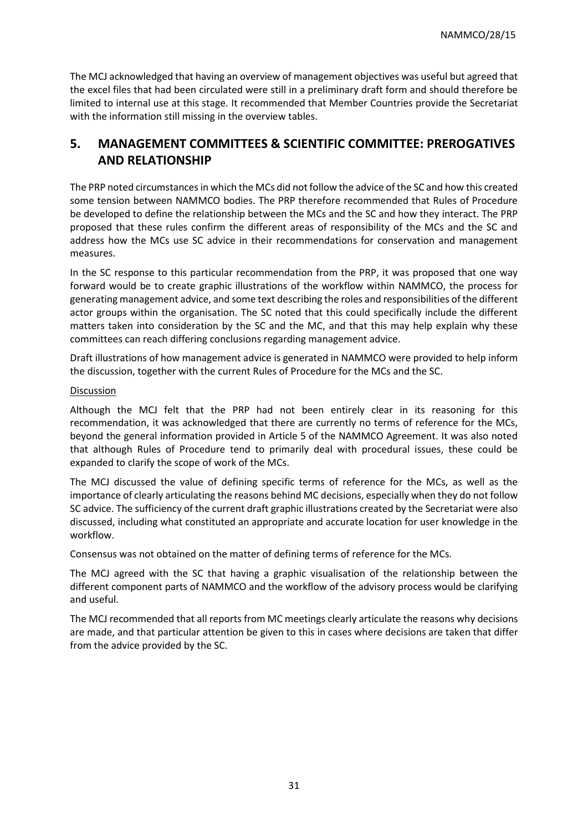The MCJ acknowledged that having an overview of management objectives was useful but agreed that the excel files that had been circulated were still in a preliminary draft form and should therefore be limited to internal use at this stage. It recommended that Member Countries provide the Secretariat with the information still missing in the overview tables.

# **5. MANAGEMENT COMMITTEES & SCIENTIFIC COMMITTEE: PREROGATIVES AND RELATIONSHIP**

The PRP noted circumstances in which the MCs did not follow the advice of the SC and how this created some tension between NAMMCO bodies. The PRP therefore recommended that Rules of Procedure be developed to define the relationship between the MCs and the SC and how they interact. The PRP proposed that these rules confirm the different areas of responsibility of the MCs and the SC and address how the MCs use SC advice in their recommendations for conservation and management measures.

In the SC response to this particular recommendation from the PRP, it was proposed that one way forward would be to create graphic illustrations of the workflow within NAMMCO, the process for generating management advice, and some text describing the roles and responsibilities of the different actor groups within the organisation. The SC noted that this could specifically include the different matters taken into consideration by the SC and the MC, and that this may help explain why these committees can reach differing conclusions regarding management advice.

Draft illustrations of how management advice is generated in NAMMCO were provided to help inform the discussion, together with the current Rules of Procedure for the MCs and the SC.

#### **Discussion**

Although the MCJ felt that the PRP had not been entirely clear in its reasoning for this recommendation, it was acknowledged that there are currently no terms of reference for the MCs, beyond the general information provided in Article 5 of the NAMMCO Agreement. It was also noted that although Rules of Procedure tend to primarily deal with procedural issues, these could be expanded to clarify the scope of work of the MCs.

The MCJ discussed the value of defining specific terms of reference for the MCs, as well as the importance of clearly articulating the reasons behind MC decisions, especially when they do not follow SC advice. The sufficiency of the current draft graphic illustrations created by the Secretariat were also discussed, including what constituted an appropriate and accurate location for user knowledge in the workflow.

Consensus was not obtained on the matter of defining terms of reference for the MCs.

The MCJ agreed with the SC that having a graphic visualisation of the relationship between the different component parts of NAMMCO and the workflow of the advisory process would be clarifying and useful.

The MCJ recommended that all reports from MC meetings clearly articulate the reasons why decisions are made, and that particular attention be given to this in cases where decisions are taken that differ from the advice provided by the SC.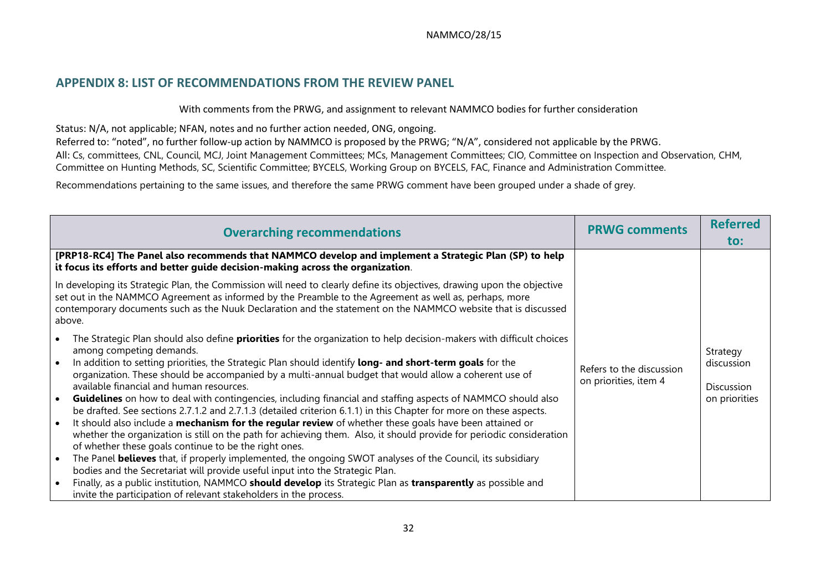### **APPENDIX 8: LIST OF RECOMMENDATIONS FROM THE REVIEW PANEL**

With comments from the PRWG, and assignment to relevant NAMMCO bodies for further consideration

Status: N/A, not applicable; NFAN, notes and no further action needed, ONG, ongoing.

Referred to: "noted", no further follow-up action by NAMMCO is proposed by the PRWG; "N/A", considered not applicable by the PRWG. All: Cs, committees, CNL, Council, MCJ, Joint Management Committees; MCs, Management Committees; CIO, Committee on Inspection and Observation, CHM, Committee on Hunting Methods, SC, Scientific Committee; BYCELS, Working Group on BYCELS, FAC, Finance and Administration Committee.

Recommendations pertaining to the same issues, and therefore the same PRWG comment have been grouped under a shade of grey.

<span id="page-31-0"></span>

| <b>Overarching recommendations</b>                                                                                                                                                                                                                                                                                                                                                                                                                                                                                                                                                                                                                                                                                                                                                                                                                                                                                                                                                                                                                                                                                                                                                                                                                                                                                                                                                   | <b>PRWG comments</b>                              | <b>Referred</b>                                       |
|--------------------------------------------------------------------------------------------------------------------------------------------------------------------------------------------------------------------------------------------------------------------------------------------------------------------------------------------------------------------------------------------------------------------------------------------------------------------------------------------------------------------------------------------------------------------------------------------------------------------------------------------------------------------------------------------------------------------------------------------------------------------------------------------------------------------------------------------------------------------------------------------------------------------------------------------------------------------------------------------------------------------------------------------------------------------------------------------------------------------------------------------------------------------------------------------------------------------------------------------------------------------------------------------------------------------------------------------------------------------------------------|---------------------------------------------------|-------------------------------------------------------|
|                                                                                                                                                                                                                                                                                                                                                                                                                                                                                                                                                                                                                                                                                                                                                                                                                                                                                                                                                                                                                                                                                                                                                                                                                                                                                                                                                                                      |                                                   | to:                                                   |
| [PRP18-RC4] The Panel also recommends that NAMMCO develop and implement a Strategic Plan (SP) to help<br>it focus its efforts and better guide decision-making across the organization.                                                                                                                                                                                                                                                                                                                                                                                                                                                                                                                                                                                                                                                                                                                                                                                                                                                                                                                                                                                                                                                                                                                                                                                              |                                                   |                                                       |
| In developing its Strategic Plan, the Commission will need to clearly define its objectives, drawing upon the objective<br>set out in the NAMMCO Agreement as informed by the Preamble to the Agreement as well as, perhaps, more<br>contemporary documents such as the Nuuk Declaration and the statement on the NAMMCO website that is discussed<br>above.                                                                                                                                                                                                                                                                                                                                                                                                                                                                                                                                                                                                                                                                                                                                                                                                                                                                                                                                                                                                                         |                                                   |                                                       |
| The Strategic Plan should also define <b>priorities</b> for the organization to help decision-makers with difficult choices<br>among competing demands.<br>In addition to setting priorities, the Strategic Plan should identify long- and short-term goals for the<br>$\bullet$<br>organization. These should be accompanied by a multi-annual budget that would allow a coherent use of<br>available financial and human resources.<br>Guidelines on how to deal with contingencies, including financial and staffing aspects of NAMMCO should also<br>be drafted. See sections 2.7.1.2 and 2.7.1.3 (detailed criterion 6.1.1) in this Chapter for more on these aspects.<br>It should also include a <b>mechanism for the regular review</b> of whether these goals have been attained or<br>$\bullet$<br>whether the organization is still on the path for achieving them. Also, it should provide for periodic consideration<br>of whether these goals continue to be the right ones.<br>The Panel <b>believes</b> that, if properly implemented, the ongoing SWOT analyses of the Council, its subsidiary<br>bodies and the Secretariat will provide useful input into the Strategic Plan.<br>Finally, as a public institution, NAMMCO should develop its Strategic Plan as transparently as possible and<br>invite the participation of relevant stakeholders in the process. | Refers to the discussion<br>on priorities, item 4 | Strategy<br>discussion<br>Discussion<br>on priorities |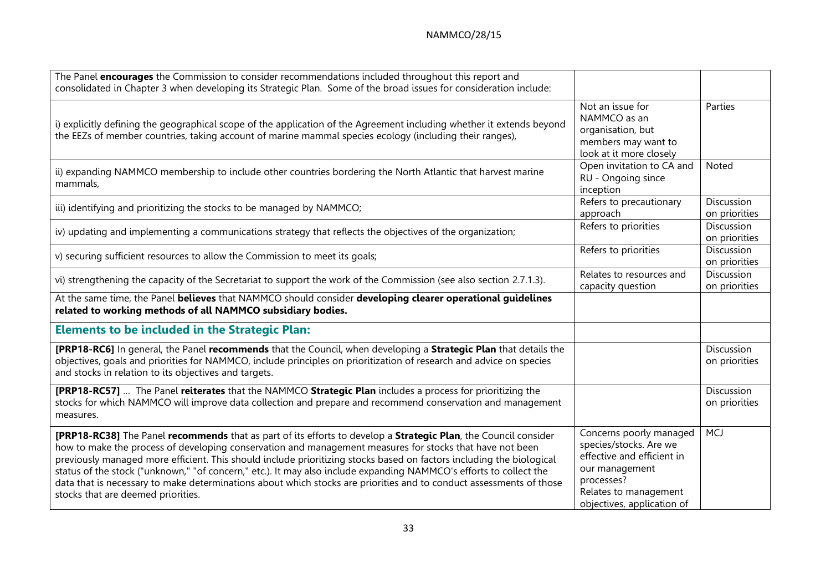| The Panel encourages the Commission to consider recommendations included throughout this report and<br>consolidated in Chapter 3 when developing its Strategic Plan. Some of the broad issues for consideration include:                                                                                                                                                                                                                                                                                                                                                                                                               |                                                                                                                                                                        |                             |
|----------------------------------------------------------------------------------------------------------------------------------------------------------------------------------------------------------------------------------------------------------------------------------------------------------------------------------------------------------------------------------------------------------------------------------------------------------------------------------------------------------------------------------------------------------------------------------------------------------------------------------------|------------------------------------------------------------------------------------------------------------------------------------------------------------------------|-----------------------------|
| i) explicitly defining the geographical scope of the application of the Agreement including whether it extends beyond<br>the EEZs of member countries, taking account of marine mammal species ecology (including their ranges),                                                                                                                                                                                                                                                                                                                                                                                                       | Not an issue for<br>NAMMCO as an<br>organisation, but<br>members may want to<br>look at it more closely                                                                | Parties                     |
| ii) expanding NAMMCO membership to include other countries bordering the North Atlantic that harvest marine<br>mammals,                                                                                                                                                                                                                                                                                                                                                                                                                                                                                                                | Open invitation to CA and<br>RU - Ongoing since<br>inception                                                                                                           | Noted                       |
| iii) identifying and prioritizing the stocks to be managed by NAMMCO;                                                                                                                                                                                                                                                                                                                                                                                                                                                                                                                                                                  | Refers to precautionary<br>approach                                                                                                                                    | Discussion<br>on priorities |
| iv) updating and implementing a communications strategy that reflects the objectives of the organization;                                                                                                                                                                                                                                                                                                                                                                                                                                                                                                                              | Refers to priorities                                                                                                                                                   | Discussion<br>on priorities |
| v) securing sufficient resources to allow the Commission to meet its goals;                                                                                                                                                                                                                                                                                                                                                                                                                                                                                                                                                            | Refers to priorities                                                                                                                                                   | Discussion<br>on priorities |
| vi) strengthening the capacity of the Secretariat to support the work of the Commission (see also section 2.7.1.3).                                                                                                                                                                                                                                                                                                                                                                                                                                                                                                                    | Relates to resources and<br>capacity question                                                                                                                          | Discussion<br>on priorities |
| At the same time, the Panel believes that NAMMCO should consider developing clearer operational guidelines<br>related to working methods of all NAMMCO subsidiary bodies.                                                                                                                                                                                                                                                                                                                                                                                                                                                              |                                                                                                                                                                        |                             |
| <b>Elements to be included in the Strategic Plan:</b>                                                                                                                                                                                                                                                                                                                                                                                                                                                                                                                                                                                  |                                                                                                                                                                        |                             |
| [PRP18-RC6] In general, the Panel recommends that the Council, when developing a Strategic Plan that details the<br>objectives, goals and priorities for NAMMCO, include principles on prioritization of research and advice on species<br>and stocks in relation to its objectives and targets.                                                                                                                                                                                                                                                                                                                                       |                                                                                                                                                                        | Discussion<br>on priorities |
| [PRP18-RC57]  The Panel reiterates that the NAMMCO Strategic Plan includes a process for prioritizing the<br>stocks for which NAMMCO will improve data collection and prepare and recommend conservation and management<br>measures.                                                                                                                                                                                                                                                                                                                                                                                                   |                                                                                                                                                                        | Discussion<br>on priorities |
| [PRP18-RC38] The Panel recommends that as part of its efforts to develop a Strategic Plan, the Council consider<br>how to make the process of developing conservation and management measures for stocks that have not been<br>previously managed more efficient. This should include prioritizing stocks based on factors including the biological<br>status of the stock ("unknown," "of concern," etc.). It may also include expanding NAMMCO's efforts to collect the<br>data that is necessary to make determinations about which stocks are priorities and to conduct assessments of those<br>stocks that are deemed priorities. | Concerns poorly managed<br>species/stocks. Are we<br>effective and efficient in<br>our management<br>processes?<br>Relates to management<br>objectives, application of | <b>MCJ</b>                  |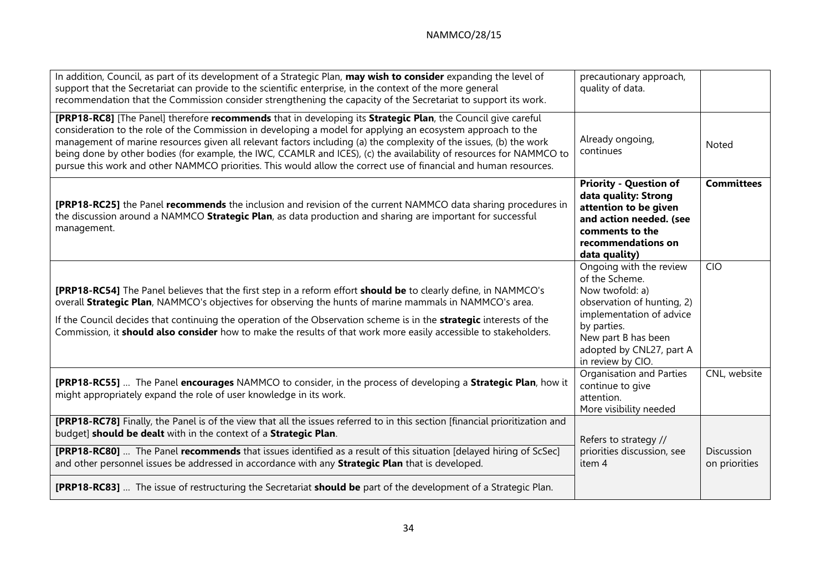| In addition, Council, as part of its development of a Strategic Plan, may wish to consider expanding the level of<br>support that the Secretariat can provide to the scientific enterprise, in the context of the more general<br>recommendation that the Commission consider strengthening the capacity of the Secretariat to support its work.                                                                                                                                                                                                                                             | precautionary approach,<br>quality of data.                                                                                                                                                                   |                             |
|----------------------------------------------------------------------------------------------------------------------------------------------------------------------------------------------------------------------------------------------------------------------------------------------------------------------------------------------------------------------------------------------------------------------------------------------------------------------------------------------------------------------------------------------------------------------------------------------|---------------------------------------------------------------------------------------------------------------------------------------------------------------------------------------------------------------|-----------------------------|
| [PRP18-RC8] [The Panel] therefore recommends that in developing its Strategic Plan, the Council give careful<br>consideration to the role of the Commission in developing a model for applying an ecosystem approach to the<br>management of marine resources given all relevant factors including (a) the complexity of the issues, (b) the work<br>being done by other bodies (for example, the IWC, CCAMLR and ICES), (c) the availability of resources for NAMMCO to<br>pursue this work and other NAMMCO priorities. This would allow the correct use of financial and human resources. | Already ongoing,<br>continues                                                                                                                                                                                 | Noted                       |
| [PRP18-RC25] the Panel recommends the inclusion and revision of the current NAMMCO data sharing procedures in<br>the discussion around a NAMMCO Strategic Plan, as data production and sharing are important for successful<br>management.                                                                                                                                                                                                                                                                                                                                                   | <b>Priority - Question of</b><br>data quality: Strong<br>attention to be given<br>and action needed. (see<br>comments to the<br>recommendations on<br>data quality)                                           | <b>Committees</b>           |
| <b>[PRP18-RC54]</b> The Panel believes that the first step in a reform effort should be to clearly define, in NAMMCO's<br>overall Strategic Plan, NAMMCO's objectives for observing the hunts of marine mammals in NAMMCO's area.<br>If the Council decides that continuing the operation of the Observation scheme is in the strategic interests of the<br>Commission, it should also consider how to make the results of that work more easily accessible to stakeholders.                                                                                                                 | Ongoing with the review<br>of the Scheme.<br>Now twofold: a)<br>observation of hunting, 2)<br>implementation of advice<br>by parties.<br>New part B has been<br>adopted by CNL27, part A<br>in review by CIO. | <b>CIO</b>                  |
| [PRP18-RC55]  The Panel encourages NAMMCO to consider, in the process of developing a Strategic Plan, how it<br>might appropriately expand the role of user knowledge in its work.                                                                                                                                                                                                                                                                                                                                                                                                           | Organisation and Parties<br>continue to give<br>attention.<br>More visibility needed                                                                                                                          | CNL, website                |
| [PRP18-RC78] Finally, the Panel is of the view that all the issues referred to in this section [financial prioritization and<br>budget] should be dealt with in the context of a Strategic Plan.<br>[PRP18-RC80]  The Panel recommends that issues identified as a result of this situation [delayed hiring of ScSec]<br>and other personnel issues be addressed in accordance with any Strategic Plan that is developed.                                                                                                                                                                    | Refers to strategy //<br>priorities discussion, see<br>item 4                                                                                                                                                 | Discussion<br>on priorities |
| [PRP18-RC83]  The issue of restructuring the Secretariat should be part of the development of a Strategic Plan.                                                                                                                                                                                                                                                                                                                                                                                                                                                                              |                                                                                                                                                                                                               |                             |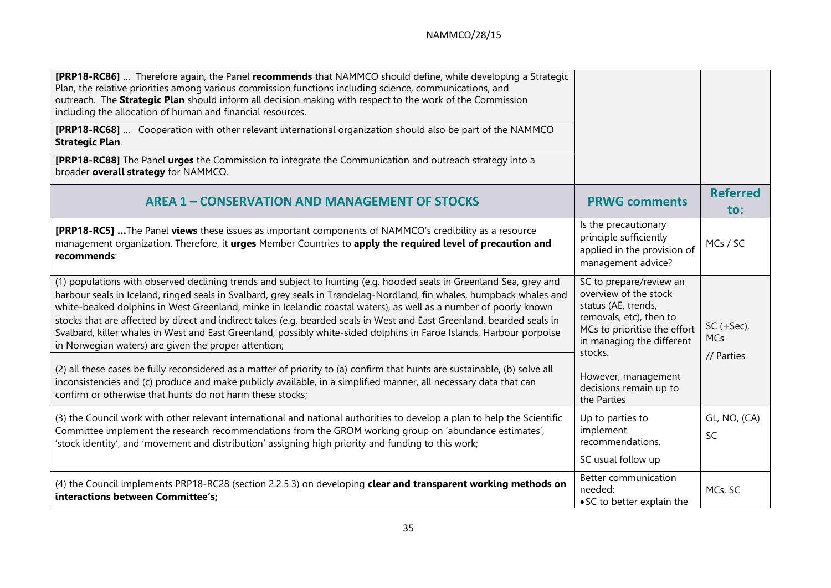| <b>[PRP18-RC86]</b> Therefore again, the Panel recommends that NAMMCO should define, while developing a Strategic<br>Plan, the relative priorities among various commission functions including science, communications, and<br>outreach. The Strategic Plan should inform all decision making with respect to the work of the Commission<br>including the allocation of human and financial resources.                                                                                                                                                                                                                                                                    |                                                                                                                                                                            |                                    |
|----------------------------------------------------------------------------------------------------------------------------------------------------------------------------------------------------------------------------------------------------------------------------------------------------------------------------------------------------------------------------------------------------------------------------------------------------------------------------------------------------------------------------------------------------------------------------------------------------------------------------------------------------------------------------|----------------------------------------------------------------------------------------------------------------------------------------------------------------------------|------------------------------------|
| [PRP18-RC68]  Cooperation with other relevant international organization should also be part of the NAMMCO<br><b>Strategic Plan.</b>                                                                                                                                                                                                                                                                                                                                                                                                                                                                                                                                       |                                                                                                                                                                            |                                    |
| [PRP18-RC88] The Panel urges the Commission to integrate the Communication and outreach strategy into a<br>broader overall strategy for NAMMCO.                                                                                                                                                                                                                                                                                                                                                                                                                                                                                                                            |                                                                                                                                                                            |                                    |
| <b>AREA 1 - CONSERVATION AND MANAGEMENT OF STOCKS</b>                                                                                                                                                                                                                                                                                                                                                                                                                                                                                                                                                                                                                      | <b>PRWG comments</b>                                                                                                                                                       | <b>Referred</b><br>$\mathsf{to}$ : |
| [PRP18-RC5] The Panel views these issues as important components of NAMMCO's credibility as a resource<br>management organization. Therefore, it urges Member Countries to apply the required level of precaution and<br>recommends:                                                                                                                                                                                                                                                                                                                                                                                                                                       | Is the precautionary<br>principle sufficiently<br>applied in the provision of<br>management advice?                                                                        | MCs / SC                           |
| (1) populations with observed declining trends and subject to hunting (e.g. hooded seals in Greenland Sea, grey and<br>harbour seals in Iceland, ringed seals in Svalbard, grey seals in Trøndelag-Nordland, fin whales, humpback whales and<br>white-beaked dolphins in West Greenland, minke in Icelandic coastal waters), as well as a number of poorly known<br>stocks that are affected by direct and indirect takes (e.g. bearded seals in West and East Greenland, bearded seals in<br>Svalbard, killer whales in West and East Greenland, possibly white-sided dolphins in Faroe Islands, Harbour porpoise<br>in Norwegian waters) are given the proper attention; | SC to prepare/review an<br>overview of the stock<br>status (AE, trends,<br>removals, etc), then to<br>MCs to prioritise the effort<br>in managing the different<br>stocks. | $SC (+ Sec),$<br><b>MCs</b>        |
| (2) all these cases be fully reconsidered as a matter of priority to (a) confirm that hunts are sustainable, (b) solve all<br>inconsistencies and (c) produce and make publicly available, in a simplified manner, all necessary data that can<br>confirm or otherwise that hunts do not harm these stocks;                                                                                                                                                                                                                                                                                                                                                                | However, management<br>decisions remain up to<br>the Parties                                                                                                               | // Parties                         |
| (3) the Council work with other relevant international and national authorities to develop a plan to help the Scientific<br>Committee implement the research recommendations from the GROM working group on 'abundance estimates',<br>'stock identity', and 'movement and distribution' assigning high priority and funding to this work;                                                                                                                                                                                                                                                                                                                                  | Up to parties to<br>implement<br>recommendations.                                                                                                                          | GL, NO, (CA)<br>SC                 |
| (4) the Council implements PRP18-RC28 (section 2.2.5.3) on developing clear and transparent working methods on<br>interactions between Committee's:                                                                                                                                                                                                                                                                                                                                                                                                                                                                                                                        | SC usual follow up<br>Better communication<br>needed:<br>• SC to better explain the                                                                                        | MCs, SC                            |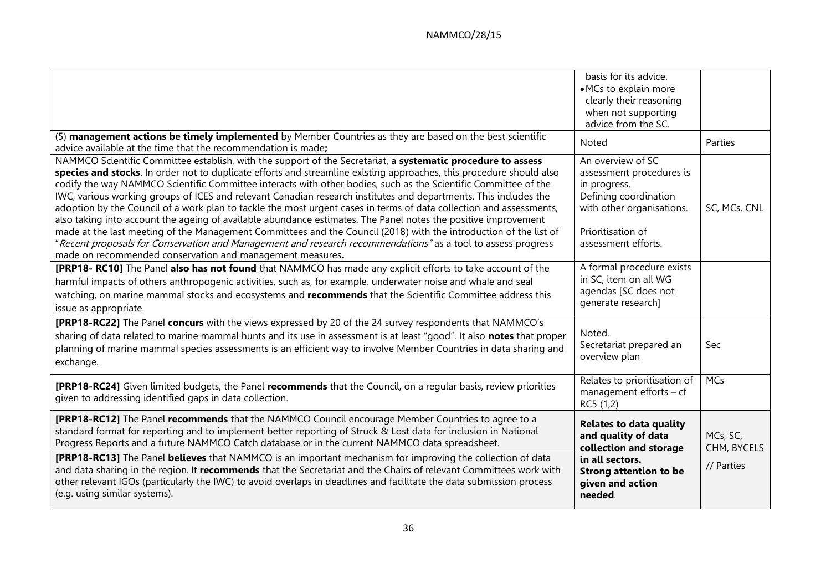|                                                                                                                                                                                                                                                                                                                                                                                                                                                                                                                                                                                                                                                                                                                                                                                                                                                                                                                                                                                                                        | basis for its advice.<br>• MCs to explain more<br>clearly their reasoning<br>when not supporting<br>advice from the SC.                                            |                                       |
|------------------------------------------------------------------------------------------------------------------------------------------------------------------------------------------------------------------------------------------------------------------------------------------------------------------------------------------------------------------------------------------------------------------------------------------------------------------------------------------------------------------------------------------------------------------------------------------------------------------------------------------------------------------------------------------------------------------------------------------------------------------------------------------------------------------------------------------------------------------------------------------------------------------------------------------------------------------------------------------------------------------------|--------------------------------------------------------------------------------------------------------------------------------------------------------------------|---------------------------------------|
| (5) management actions be timely implemented by Member Countries as they are based on the best scientific<br>advice available at the time that the recommendation is made;                                                                                                                                                                                                                                                                                                                                                                                                                                                                                                                                                                                                                                                                                                                                                                                                                                             | Noted                                                                                                                                                              | Parties                               |
| NAMMCO Scientific Committee establish, with the support of the Secretariat, a systematic procedure to assess<br>species and stocks. In order not to duplicate efforts and streamline existing approaches, this procedure should also<br>codify the way NAMMCO Scientific Committee interacts with other bodies, such as the Scientific Committee of the<br>IWC, various working groups of ICES and relevant Canadian research institutes and departments. This includes the<br>adoption by the Council of a work plan to tackle the most urgent cases in terms of data collection and assessments,<br>also taking into account the ageing of available abundance estimates. The Panel notes the positive improvement<br>made at the last meeting of the Management Committees and the Council (2018) with the introduction of the list of<br>"Recent proposals for Conservation and Management and research recommendations" as a tool to assess progress<br>made on recommended conservation and management measures. | An overview of SC<br>assessment procedures is<br>in progress.<br>Defining coordination<br>with other organisations.<br>Prioritisation of<br>assessment efforts.    | SC, MCs, CNL                          |
| [PRP18- RC10] The Panel also has not found that NAMMCO has made any explicit efforts to take account of the<br>harmful impacts of others anthropogenic activities, such as, for example, underwater noise and whale and seal<br>watching, on marine mammal stocks and ecosystems and recommends that the Scientific Committee address this<br>issue as appropriate.                                                                                                                                                                                                                                                                                                                                                                                                                                                                                                                                                                                                                                                    | A formal procedure exists<br>in SC, item on all WG<br>agendas [SC does not<br>qenerate research]                                                                   |                                       |
| [PRP18-RC22] The Panel concurs with the views expressed by 20 of the 24 survey respondents that NAMMCO's<br>sharing of data related to marine mammal hunts and its use in assessment is at least "good". It also notes that proper<br>planning of marine mammal species assessments is an efficient way to involve Member Countries in data sharing and<br>exchange.                                                                                                                                                                                                                                                                                                                                                                                                                                                                                                                                                                                                                                                   | Noted.<br>Secretariat prepared an<br>overview plan                                                                                                                 | Sec                                   |
| [PRP18-RC24] Given limited budgets, the Panel recommends that the Council, on a regular basis, review priorities<br>given to addressing identified gaps in data collection.                                                                                                                                                                                                                                                                                                                                                                                                                                                                                                                                                                                                                                                                                                                                                                                                                                            | Relates to prioritisation of<br>management efforts - cf<br>RC5 (1,2)                                                                                               | <b>MCs</b>                            |
| [PRP18-RC12] The Panel recommends that the NAMMCO Council encourage Member Countries to agree to a<br>standard format for reporting and to implement better reporting of Struck & Lost data for inclusion in National<br>Progress Reports and a future NAMMCO Catch database or in the current NAMMCO data spreadsheet.<br>[PRP18-RC13] The Panel believes that NAMMCO is an important mechanism for improving the collection of data<br>and data sharing in the region. It recommends that the Secretariat and the Chairs of relevant Committees work with<br>other relevant IGOs (particularly the IWC) to avoid overlaps in deadlines and facilitate the data submission process<br>(e.g. using similar systems).                                                                                                                                                                                                                                                                                                   | <b>Relates to data quality</b><br>and quality of data<br>collection and storage<br>in all sectors.<br><b>Strong attention to be</b><br>given and action<br>needed. | MCs, SC,<br>CHM, BYCELS<br>// Parties |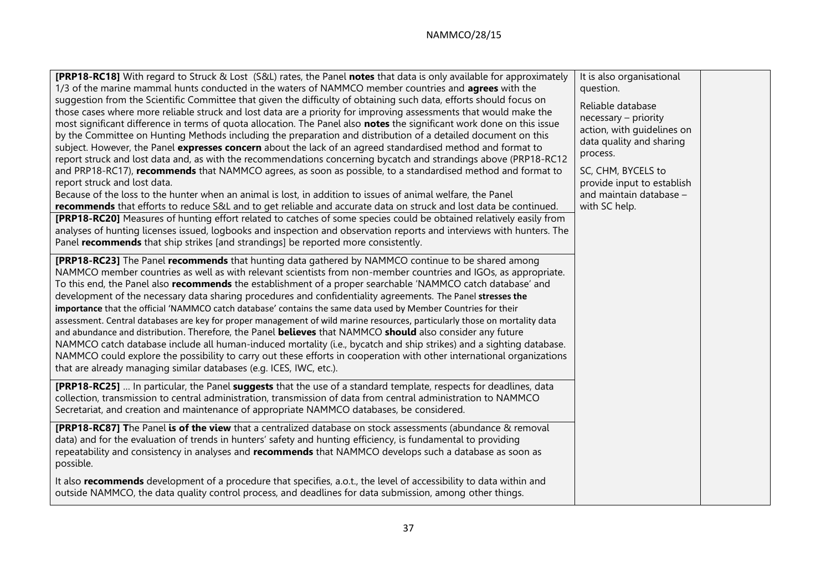| <b>[PRP18-RC18]</b> With regard to Struck & Lost (S&L) rates, the Panel notes that data is only available for approximately<br>1/3 of the marine mammal hunts conducted in the waters of NAMMCO member countries and <b>agrees</b> with the<br>suggestion from the Scientific Committee that given the difficulty of obtaining such data, efforts should focus on<br>those cases where more reliable struck and lost data are a priority for improving assessments that would make the<br>most significant difference in terms of quota allocation. The Panel also notes the significant work done on this issue<br>by the Committee on Hunting Methods including the preparation and distribution of a detailed document on this<br>subject. However, the Panel expresses concern about the lack of an agreed standardised method and format to<br>report struck and lost data and, as with the recommendations concerning bycatch and strandings above (PRP18-RC12<br>and PRP18-RC17), recommends that NAMMCO agrees, as soon as possible, to a standardised method and format to<br>report struck and lost data.<br>Because of the loss to the hunter when an animal is lost, in addition to issues of animal welfare, the Panel<br>recommends that efforts to reduce S&L and to get reliable and accurate data on struck and lost data be continued.<br>[PRP18-RC20] Measures of hunting effort related to catches of some species could be obtained relatively easily from<br>analyses of hunting licenses issued, logbooks and inspection and observation reports and interviews with hunters. The<br>Panel recommends that ship strikes [and strandings] be reported more consistently. | It is also organisational<br>question.<br>Reliable database<br>necessary - priority<br>action, with guidelines on<br>data quality and sharing<br>process.<br>SC, CHM, BYCELS to<br>provide input to establish<br>and maintain database -<br>with SC help. |  |
|------------------------------------------------------------------------------------------------------------------------------------------------------------------------------------------------------------------------------------------------------------------------------------------------------------------------------------------------------------------------------------------------------------------------------------------------------------------------------------------------------------------------------------------------------------------------------------------------------------------------------------------------------------------------------------------------------------------------------------------------------------------------------------------------------------------------------------------------------------------------------------------------------------------------------------------------------------------------------------------------------------------------------------------------------------------------------------------------------------------------------------------------------------------------------------------------------------------------------------------------------------------------------------------------------------------------------------------------------------------------------------------------------------------------------------------------------------------------------------------------------------------------------------------------------------------------------------------------------------------------------------------------------------------------------------------------|-----------------------------------------------------------------------------------------------------------------------------------------------------------------------------------------------------------------------------------------------------------|--|
| <b>[PRP18-RC23]</b> The Panel recommends that hunting data gathered by NAMMCO continue to be shared among<br>NAMMCO member countries as well as with relevant scientists from non-member countries and IGOs, as appropriate.<br>To this end, the Panel also recommends the establishment of a proper searchable 'NAMMCO catch database' and<br>development of the necessary data sharing procedures and confidentiality agreements. The Panel stresses the<br>importance that the official 'NAMMCO catch database' contains the same data used by Member Countries for their<br>assessment. Central databases are key for proper management of wild marine resources, particularly those on mortality data<br>and abundance and distribution. Therefore, the Panel believes that NAMMCO should also consider any future<br>NAMMCO catch database include all human-induced mortality (i.e., bycatch and ship strikes) and a sighting database.<br>NAMMCO could explore the possibility to carry out these efforts in cooperation with other international organizations<br>that are already managing similar databases (e.g. ICES, IWC, etc.).                                                                                                                                                                                                                                                                                                                                                                                                                                                                                                                                                 |                                                                                                                                                                                                                                                           |  |
| [PRP18-RC25]  In particular, the Panel suggests that the use of a standard template, respects for deadlines, data<br>collection, transmission to central administration, transmission of data from central administration to NAMMCO<br>Secretariat, and creation and maintenance of appropriate NAMMCO databases, be considered.                                                                                                                                                                                                                                                                                                                                                                                                                                                                                                                                                                                                                                                                                                                                                                                                                                                                                                                                                                                                                                                                                                                                                                                                                                                                                                                                                               |                                                                                                                                                                                                                                                           |  |
| [PRP18-RC87] The Panel is of the view that a centralized database on stock assessments (abundance & removal<br>data) and for the evaluation of trends in hunters' safety and hunting efficiency, is fundamental to providing<br>repeatability and consistency in analyses and recommends that NAMMCO develops such a database as soon as<br>possible.                                                                                                                                                                                                                                                                                                                                                                                                                                                                                                                                                                                                                                                                                                                                                                                                                                                                                                                                                                                                                                                                                                                                                                                                                                                                                                                                          |                                                                                                                                                                                                                                                           |  |
| It also recommends development of a procedure that specifies, a.o.t., the level of accessibility to data within and<br>outside NAMMCO, the data quality control process, and deadlines for data submission, among other things.                                                                                                                                                                                                                                                                                                                                                                                                                                                                                                                                                                                                                                                                                                                                                                                                                                                                                                                                                                                                                                                                                                                                                                                                                                                                                                                                                                                                                                                                |                                                                                                                                                                                                                                                           |  |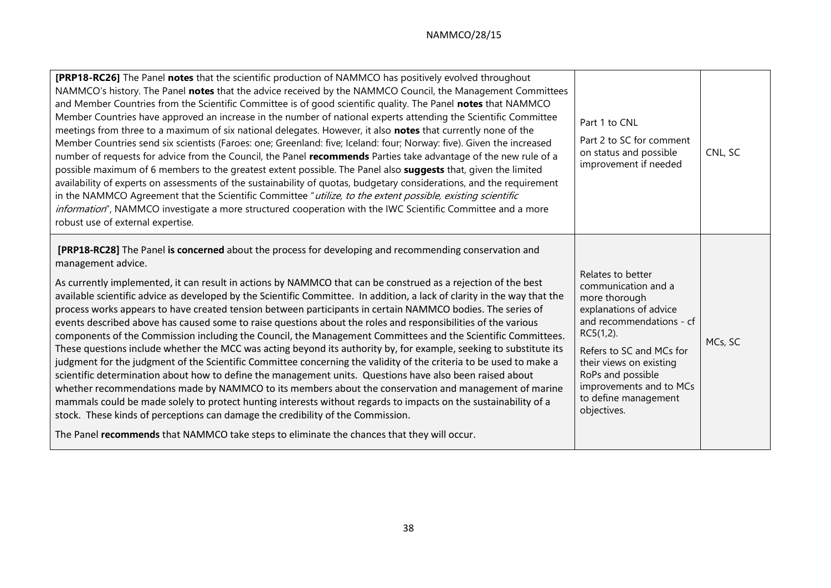| <b>[PRP18-RC26]</b> The Panel notes that the scientific production of NAMMCO has positively evolved throughout<br>NAMMCO's history. The Panel notes that the advice received by the NAMMCO Council, the Management Committees<br>and Member Countries from the Scientific Committee is of good scientific quality. The Panel notes that NAMMCO<br>Member Countries have approved an increase in the number of national experts attending the Scientific Committee<br>meetings from three to a maximum of six national delegates. However, it also notes that currently none of the<br>Member Countries send six scientists (Faroes: one; Greenland: five; Iceland: four; Norway: five). Given the increased<br>number of requests for advice from the Council, the Panel recommends Parties take advantage of the new rule of a<br>possible maximum of 6 members to the greatest extent possible. The Panel also suggests that, given the limited<br>availability of experts on assessments of the sustainability of quotas, budgetary considerations, and the requirement<br>in the NAMMCO Agreement that the Scientific Committee "utilize, to the extent possible, existing scientific<br>information", NAMMCO investigate a more structured cooperation with the IWC Scientific Committee and a more<br>robust use of external expertise.                                                                                                                                                 | Part 1 to CNL<br>Part 2 to SC for comment<br>on status and possible<br>improvement if needed                                                                                                                                                                                  | CNL, SC |
|-----------------------------------------------------------------------------------------------------------------------------------------------------------------------------------------------------------------------------------------------------------------------------------------------------------------------------------------------------------------------------------------------------------------------------------------------------------------------------------------------------------------------------------------------------------------------------------------------------------------------------------------------------------------------------------------------------------------------------------------------------------------------------------------------------------------------------------------------------------------------------------------------------------------------------------------------------------------------------------------------------------------------------------------------------------------------------------------------------------------------------------------------------------------------------------------------------------------------------------------------------------------------------------------------------------------------------------------------------------------------------------------------------------------------------------------------------------------------------------------------|-------------------------------------------------------------------------------------------------------------------------------------------------------------------------------------------------------------------------------------------------------------------------------|---------|
| [PRP18-RC28] The Panel is concerned about the process for developing and recommending conservation and<br>management advice.<br>As currently implemented, it can result in actions by NAMMCO that can be construed as a rejection of the best<br>available scientific advice as developed by the Scientific Committee. In addition, a lack of clarity in the way that the<br>process works appears to have created tension between participants in certain NAMMCO bodies. The series of<br>events described above has caused some to raise questions about the roles and responsibilities of the various<br>components of the Commission including the Council, the Management Committees and the Scientific Committees.<br>These questions include whether the MCC was acting beyond its authority by, for example, seeking to substitute its<br>judgment for the judgment of the Scientific Committee concerning the validity of the criteria to be used to make a<br>scientific determination about how to define the management units. Questions have also been raised about<br>whether recommendations made by NAMMCO to its members about the conservation and management of marine<br>mammals could be made solely to protect hunting interests without regards to impacts on the sustainability of a<br>stock. These kinds of perceptions can damage the credibility of the Commission.<br>The Panel recommends that NAMMCO take steps to eliminate the chances that they will occur. | Relates to better<br>communication and a<br>more thorough<br>explanations of advice<br>and recommendations - cf<br>$RC5(1,2)$ .<br>Refers to SC and MCs for<br>their views on existing<br>RoPs and possible<br>improvements and to MCs<br>to define management<br>objectives. | MCs, SC |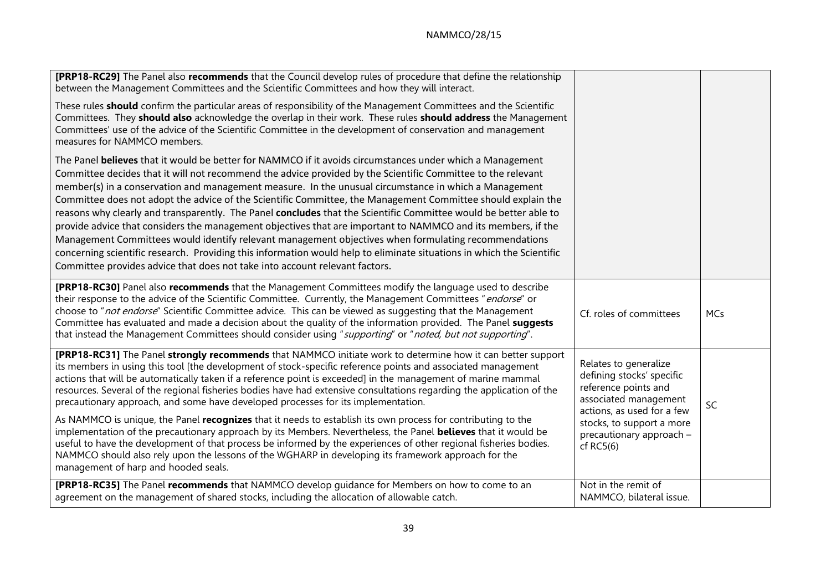| [PRP18-RC29] The Panel also recommends that the Council develop rules of procedure that define the relationship<br>between the Management Committees and the Scientific Committees and how they will interact.                                                                                                                                                                                                                                                                                                                                                                                                                                                                                                                                                                                                                                                                                                                                                                                         |                                                                                                                                   |            |
|--------------------------------------------------------------------------------------------------------------------------------------------------------------------------------------------------------------------------------------------------------------------------------------------------------------------------------------------------------------------------------------------------------------------------------------------------------------------------------------------------------------------------------------------------------------------------------------------------------------------------------------------------------------------------------------------------------------------------------------------------------------------------------------------------------------------------------------------------------------------------------------------------------------------------------------------------------------------------------------------------------|-----------------------------------------------------------------------------------------------------------------------------------|------------|
| These rules should confirm the particular areas of responsibility of the Management Committees and the Scientific<br>Committees. They should also acknowledge the overlap in their work. These rules should address the Management<br>Committees' use of the advice of the Scientific Committee in the development of conservation and management<br>measures for NAMMCO members.                                                                                                                                                                                                                                                                                                                                                                                                                                                                                                                                                                                                                      |                                                                                                                                   |            |
| The Panel believes that it would be better for NAMMCO if it avoids circumstances under which a Management<br>Committee decides that it will not recommend the advice provided by the Scientific Committee to the relevant<br>member(s) in a conservation and management measure. In the unusual circumstance in which a Management<br>Committee does not adopt the advice of the Scientific Committee, the Management Committee should explain the<br>reasons why clearly and transparently. The Panel concludes that the Scientific Committee would be better able to<br>provide advice that considers the management objectives that are important to NAMMCO and its members, if the<br>Management Committees would identify relevant management objectives when formulating recommendations<br>concerning scientific research. Providing this information would help to eliminate situations in which the Scientific<br>Committee provides advice that does not take into account relevant factors. |                                                                                                                                   |            |
| [PRP18-RC30] Panel also recommends that the Management Committees modify the language used to describe<br>their response to the advice of the Scientific Committee. Currently, the Management Committees "endorse" or<br>choose to "not endorse" Scientific Committee advice. This can be viewed as suggesting that the Management<br>Committee has evaluated and made a decision about the quality of the information provided. The Panel suggests<br>that instead the Management Committees should consider using "supporting" or "noted, but not supporting".                                                                                                                                                                                                                                                                                                                                                                                                                                       | Cf. roles of committees                                                                                                           | <b>MCs</b> |
| [PRP18-RC31] The Panel strongly recommends that NAMMCO initiate work to determine how it can better support<br>its members in using this tool [the development of stock-specific reference points and associated management<br>actions that will be automatically taken if a reference point is exceeded] in the management of marine mammal<br>resources. Several of the regional fisheries bodies have had extensive consultations regarding the application of the<br>precautionary approach, and some have developed processes for its implementation.                                                                                                                                                                                                                                                                                                                                                                                                                                             | Relates to generalize<br>defining stocks' specific<br>reference points and<br>associated management<br>actions, as used for a few | SC         |
| As NAMMCO is unique, the Panel recognizes that it needs to establish its own process for contributing to the<br>implementation of the precautionary approach by its Members. Nevertheless, the Panel believes that it would be<br>useful to have the development of that process be informed by the experiences of other regional fisheries bodies.<br>NAMMCO should also rely upon the lessons of the WGHARP in developing its framework approach for the<br>management of harp and hooded seals.                                                                                                                                                                                                                                                                                                                                                                                                                                                                                                     | stocks, to support a more<br>precautionary approach -<br>$cf$ RC5 $(6)$                                                           |            |
| [PRP18-RC35] The Panel recommends that NAMMCO develop quidance for Members on how to come to an<br>agreement on the management of shared stocks, including the allocation of allowable catch.                                                                                                                                                                                                                                                                                                                                                                                                                                                                                                                                                                                                                                                                                                                                                                                                          | Not in the remit of<br>NAMMCO, bilateral issue.                                                                                   |            |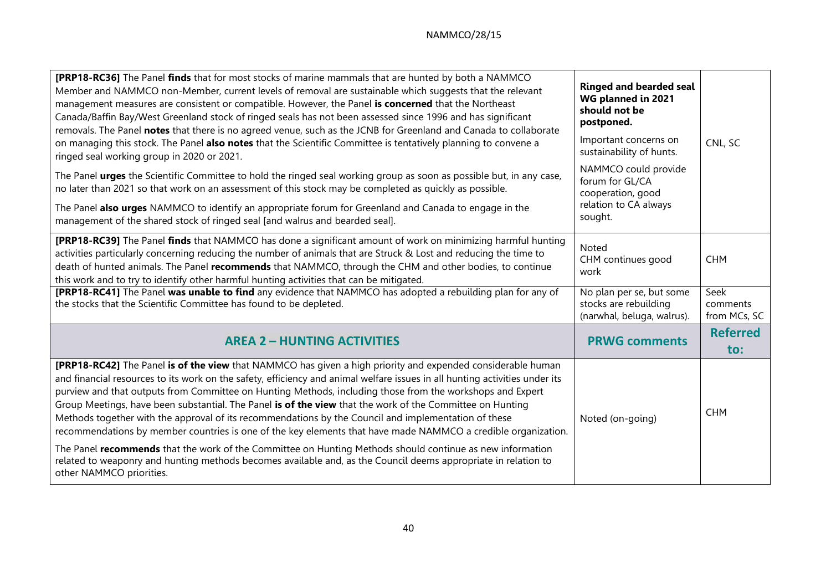| [PRP18-RC36] The Panel finds that for most stocks of marine mammals that are hunted by both a NAMMCO<br>Member and NAMMCO non-Member, current levels of removal are sustainable which suggests that the relevant<br>management measures are consistent or compatible. However, the Panel is concerned that the Northeast<br>Canada/Baffin Bay/West Greenland stock of ringed seals has not been assessed since 1996 and has significant<br>removals. The Panel notes that there is no agreed venue, such as the JCNB for Greenland and Canada to collaborate<br>on managing this stock. The Panel also notes that the Scientific Committee is tentatively planning to convene a<br>ringed seal working group in 2020 or 2021.<br>The Panel urges the Scientific Committee to hold the ringed seal working group as soon as possible but, in any case,<br>no later than 2021 so that work on an assessment of this stock may be completed as quickly as possible.<br>The Panel also urges NAMMCO to identify an appropriate forum for Greenland and Canada to engage in the<br>management of the shared stock of ringed seal [and walrus and bearded seal]. | <b>Ringed and bearded seal</b><br>WG planned in 2021<br>should not be<br>postponed.<br>Important concerns on<br>sustainability of hunts.<br>NAMMCO could provide<br>forum for GL/CA<br>cooperation, good<br>relation to CA always<br>sought. | CNL, SC                            |
|------------------------------------------------------------------------------------------------------------------------------------------------------------------------------------------------------------------------------------------------------------------------------------------------------------------------------------------------------------------------------------------------------------------------------------------------------------------------------------------------------------------------------------------------------------------------------------------------------------------------------------------------------------------------------------------------------------------------------------------------------------------------------------------------------------------------------------------------------------------------------------------------------------------------------------------------------------------------------------------------------------------------------------------------------------------------------------------------------------------------------------------------------------|----------------------------------------------------------------------------------------------------------------------------------------------------------------------------------------------------------------------------------------------|------------------------------------|
| [PRP18-RC39] The Panel finds that NAMMCO has done a significant amount of work on minimizing harmful hunting<br>activities particularly concerning reducing the number of animals that are Struck & Lost and reducing the time to<br>death of hunted animals. The Panel recommends that NAMMCO, through the CHM and other bodies, to continue<br>this work and to try to identify other harmful hunting activities that can be mitigated.                                                                                                                                                                                                                                                                                                                                                                                                                                                                                                                                                                                                                                                                                                                  | <b>Noted</b><br>CHM continues good<br>work                                                                                                                                                                                                   | <b>CHM</b>                         |
| [PRP18-RC41] The Panel was unable to find any evidence that NAMMCO has adopted a rebuilding plan for any of<br>the stocks that the Scientific Committee has found to be depleted.                                                                                                                                                                                                                                                                                                                                                                                                                                                                                                                                                                                                                                                                                                                                                                                                                                                                                                                                                                          | No plan per se, but some<br>stocks are rebuilding<br>(narwhal, beluga, walrus).                                                                                                                                                              | Seek<br>comments<br>from MCs, SC   |
| <b>AREA 2 - HUNTING ACTIVITIES</b>                                                                                                                                                                                                                                                                                                                                                                                                                                                                                                                                                                                                                                                                                                                                                                                                                                                                                                                                                                                                                                                                                                                         | <b>PRWG comments</b>                                                                                                                                                                                                                         | <b>Referred</b><br>$\mathsf{to}$ : |
| [PRP18-RC42] The Panel is of the view that NAMMCO has given a high priority and expended considerable human<br>and financial resources to its work on the safety, efficiency and animal welfare issues in all hunting activities under its<br>purview and that outputs from Committee on Hunting Methods, including those from the workshops and Expert<br>Group Meetings, have been substantial. The Panel is of the view that the work of the Committee on Hunting<br>Methods together with the approval of its recommendations by the Council and implementation of these<br>recommendations by member countries is one of the key elements that have made NAMMCO a credible organization.<br>The Panel recommends that the work of the Committee on Hunting Methods should continue as new information<br>related to weaponry and hunting methods becomes available and, as the Council deems appropriate in relation to<br>other NAMMCO priorities.                                                                                                                                                                                                   | Noted (on-going)                                                                                                                                                                                                                             | <b>CHM</b>                         |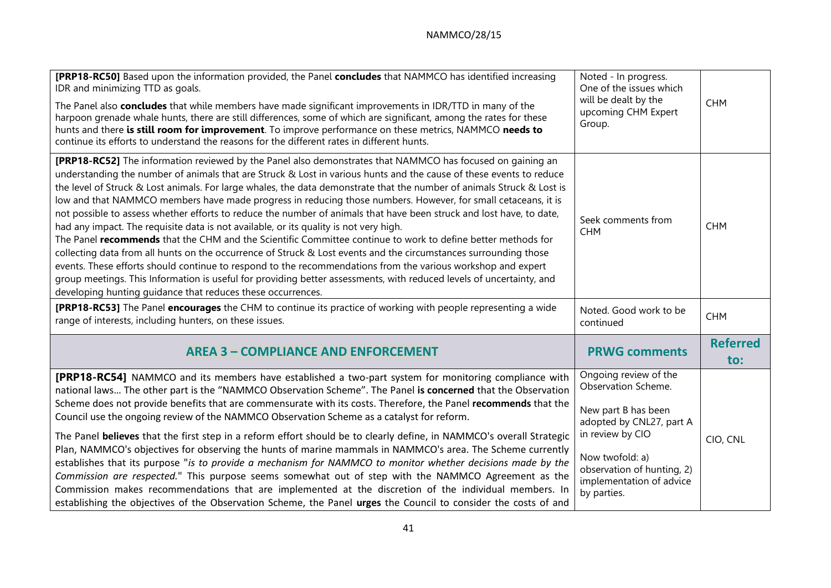| [PRP18-RC50] Based upon the information provided, the Panel concludes that NAMMCO has identified increasing<br>IDR and minimizing TTD as goals.<br>The Panel also concludes that while members have made significant improvements in IDR/TTD in many of the<br>harpoon grenade whale hunts, there are still differences, some of which are significant, among the rates for these<br>hunts and there is still room for improvement. To improve performance on these metrics, NAMMCO needs to<br>continue its efforts to understand the reasons for the different rates in different hunts.                                                                                                                                                                                                                                                                                                                                                                                                                                                                                                                                                                                                                                               | Noted - In progress.<br>One of the issues which<br>will be dealt by the<br>upcoming CHM Expert<br>Group.     | <b>CHM</b>             |
|------------------------------------------------------------------------------------------------------------------------------------------------------------------------------------------------------------------------------------------------------------------------------------------------------------------------------------------------------------------------------------------------------------------------------------------------------------------------------------------------------------------------------------------------------------------------------------------------------------------------------------------------------------------------------------------------------------------------------------------------------------------------------------------------------------------------------------------------------------------------------------------------------------------------------------------------------------------------------------------------------------------------------------------------------------------------------------------------------------------------------------------------------------------------------------------------------------------------------------------|--------------------------------------------------------------------------------------------------------------|------------------------|
| [PRP18-RC52] The information reviewed by the Panel also demonstrates that NAMMCO has focused on gaining an<br>understanding the number of animals that are Struck & Lost in various hunts and the cause of these events to reduce<br>the level of Struck & Lost animals. For large whales, the data demonstrate that the number of animals Struck & Lost is<br>low and that NAMMCO members have made progress in reducing those numbers. However, for small cetaceans, it is<br>not possible to assess whether efforts to reduce the number of animals that have been struck and lost have, to date,<br>had any impact. The requisite data is not available, or its quality is not very high.<br>The Panel recommends that the CHM and the Scientific Committee continue to work to define better methods for<br>collecting data from all hunts on the occurrence of Struck & Lost events and the circumstances surrounding those<br>events. These efforts should continue to respond to the recommendations from the various workshop and expert<br>group meetings. This Information is useful for providing better assessments, with reduced levels of uncertainty, and<br>developing hunting guidance that reduces these occurrences. | Seek comments from<br><b>CHM</b>                                                                             | <b>CHM</b>             |
| <b>[PRP18-RC53]</b> The Panel encourages the CHM to continue its practice of working with people representing a wide<br>range of interests, including hunters, on these issues.                                                                                                                                                                                                                                                                                                                                                                                                                                                                                                                                                                                                                                                                                                                                                                                                                                                                                                                                                                                                                                                          | Noted. Good work to be<br>continued                                                                          | <b>CHM</b>             |
| <b>AREA 3 - COMPLIANCE AND ENFORCEMENT</b>                                                                                                                                                                                                                                                                                                                                                                                                                                                                                                                                                                                                                                                                                                                                                                                                                                                                                                                                                                                                                                                                                                                                                                                               | <b>PRWG comments</b>                                                                                         | <b>Referred</b><br>to: |
| <b>[PRP18-RC54]</b> NAMMCO and its members have established a two-part system for monitoring compliance with<br>national laws The other part is the "NAMMCO Observation Scheme". The Panel is concerned that the Observation<br>Scheme does not provide benefits that are commensurate with its costs. Therefore, the Panel recommends that the<br>Council use the ongoing review of the NAMMCO Observation Scheme as a catalyst for reform.                                                                                                                                                                                                                                                                                                                                                                                                                                                                                                                                                                                                                                                                                                                                                                                             | Ongoing review of the<br>Observation Scheme.<br>New part B has been<br>adopted by CNL27, part A              |                        |
| The Panel believes that the first step in a reform effort should be to clearly define, in NAMMCO's overall Strategic<br>Plan, NAMMCO's objectives for observing the hunts of marine mammals in NAMMCO's area. The Scheme currently<br>establishes that its purpose "is to provide a mechanism for NAMMCO to monitor whether decisions made by the<br>Commission are respected." This purpose seems somewhat out of step with the NAMMCO Agreement as the<br>Commission makes recommendations that are implemented at the discretion of the individual members. In<br>establishing the objectives of the Observation Scheme, the Panel urges the Council to consider the costs of and                                                                                                                                                                                                                                                                                                                                                                                                                                                                                                                                                     | in review by CIO<br>Now twofold: a)<br>observation of hunting, 2)<br>implementation of advice<br>by parties. | CIO, CNL               |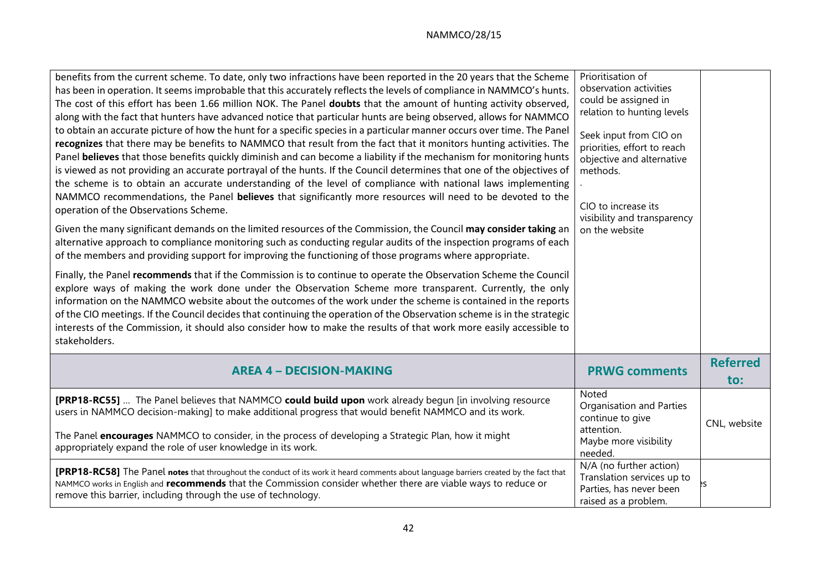| benefits from the current scheme. To date, only two infractions have been reported in the 20 years that the Scheme<br>has been in operation. It seems improbable that this accurately reflects the levels of compliance in NAMMCO's hunts.<br>The cost of this effort has been 1.66 million NOK. The Panel doubts that the amount of hunting activity observed,<br>along with the fact that hunters have advanced notice that particular hunts are being observed, allows for NAMMCO<br>to obtain an accurate picture of how the hunt for a specific species in a particular manner occurs over time. The Panel<br>recognizes that there may be benefits to NAMMCO that result from the fact that it monitors hunting activities. The<br>Panel believes that those benefits quickly diminish and can become a liability if the mechanism for monitoring hunts<br>is viewed as not providing an accurate portrayal of the hunts. If the Council determines that one of the objectives of<br>the scheme is to obtain an accurate understanding of the level of compliance with national laws implementing<br>NAMMCO recommendations, the Panel believes that significantly more resources will need to be devoted to the<br>operation of the Observations Scheme.<br>Given the many significant demands on the limited resources of the Commission, the Council may consider taking an<br>alternative approach to compliance monitoring such as conducting regular audits of the inspection programs of each<br>of the members and providing support for improving the functioning of those programs where appropriate.<br>Finally, the Panel recommends that if the Commission is to continue to operate the Observation Scheme the Council<br>explore ways of making the work done under the Observation Scheme more transparent. Currently, the only<br>information on the NAMMCO website about the outcomes of the work under the scheme is contained in the reports<br>of the CIO meetings. If the Council decides that continuing the operation of the Observation scheme is in the strategic<br>interests of the Commission, it should also consider how to make the results of that work more easily accessible to<br>stakeholders. | Prioritisation of<br>observation activities<br>could be assigned in<br>relation to hunting levels<br>Seek input from CIO on<br>priorities, effort to reach<br>objective and alternative<br>methods.<br>CIO to increase its<br>visibility and transparency<br>on the website |                        |
|-------------------------------------------------------------------------------------------------------------------------------------------------------------------------------------------------------------------------------------------------------------------------------------------------------------------------------------------------------------------------------------------------------------------------------------------------------------------------------------------------------------------------------------------------------------------------------------------------------------------------------------------------------------------------------------------------------------------------------------------------------------------------------------------------------------------------------------------------------------------------------------------------------------------------------------------------------------------------------------------------------------------------------------------------------------------------------------------------------------------------------------------------------------------------------------------------------------------------------------------------------------------------------------------------------------------------------------------------------------------------------------------------------------------------------------------------------------------------------------------------------------------------------------------------------------------------------------------------------------------------------------------------------------------------------------------------------------------------------------------------------------------------------------------------------------------------------------------------------------------------------------------------------------------------------------------------------------------------------------------------------------------------------------------------------------------------------------------------------------------------------------------------------------------------------------------------------------------------------------------|-----------------------------------------------------------------------------------------------------------------------------------------------------------------------------------------------------------------------------------------------------------------------------|------------------------|
| <b>AREA 4 - DECISION-MAKING</b>                                                                                                                                                                                                                                                                                                                                                                                                                                                                                                                                                                                                                                                                                                                                                                                                                                                                                                                                                                                                                                                                                                                                                                                                                                                                                                                                                                                                                                                                                                                                                                                                                                                                                                                                                                                                                                                                                                                                                                                                                                                                                                                                                                                                           | <b>PRWG comments</b>                                                                                                                                                                                                                                                        | <b>Referred</b><br>to: |
| [PRP18-RC55]  The Panel believes that NAMMCO could build upon work already begun [in involving resource<br>users in NAMMCO decision-making] to make additional progress that would benefit NAMMCO and its work.<br>The Panel encourages NAMMCO to consider, in the process of developing a Strategic Plan, how it might<br>appropriately expand the role of user knowledge in its work.                                                                                                                                                                                                                                                                                                                                                                                                                                                                                                                                                                                                                                                                                                                                                                                                                                                                                                                                                                                                                                                                                                                                                                                                                                                                                                                                                                                                                                                                                                                                                                                                                                                                                                                                                                                                                                                   | Noted<br>Organisation and Parties<br>continue to give<br>attention.<br>Maybe more visibility<br>needed.                                                                                                                                                                     | CNL, website           |
| <b>[PRP18-RC58]</b> The Panel notes that throughout the conduct of its work it heard comments about language barriers created by the fact that<br>NAMMCO works in English and recommends that the Commission consider whether there are viable ways to reduce or<br>remove this barrier, including through the use of technology.                                                                                                                                                                                                                                                                                                                                                                                                                                                                                                                                                                                                                                                                                                                                                                                                                                                                                                                                                                                                                                                                                                                                                                                                                                                                                                                                                                                                                                                                                                                                                                                                                                                                                                                                                                                                                                                                                                         | N/A (no further action)<br>Translation services up to<br>Parties, has never been<br>raised as a problem.                                                                                                                                                                    |                        |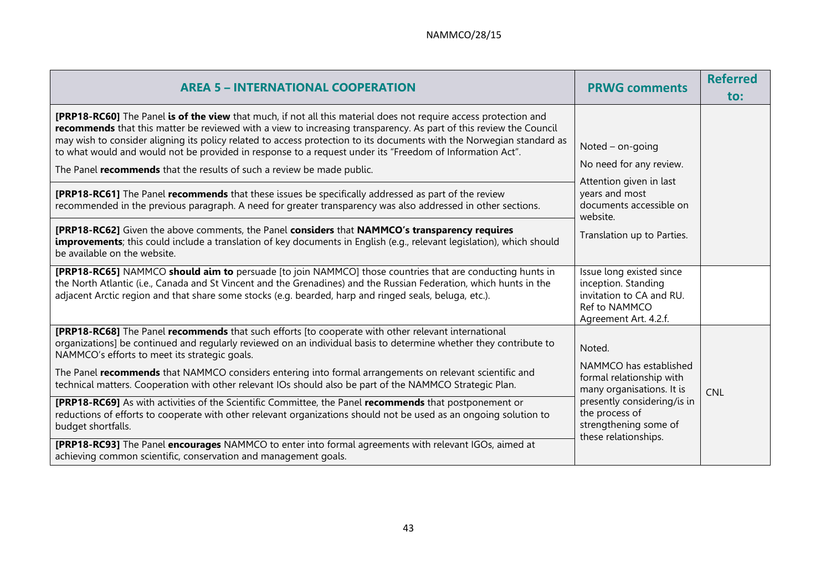| <b>AREA 5 - INTERNATIONAL COOPERATION</b>                                                                                                                                                                                                                                                                                                                                                                                                                                                                                                                                                                                                                                                                                                                                                                                                                                                    | <b>PRWG comments</b>                                                                                                                                                              | <b>Referred</b><br>to: |
|----------------------------------------------------------------------------------------------------------------------------------------------------------------------------------------------------------------------------------------------------------------------------------------------------------------------------------------------------------------------------------------------------------------------------------------------------------------------------------------------------------------------------------------------------------------------------------------------------------------------------------------------------------------------------------------------------------------------------------------------------------------------------------------------------------------------------------------------------------------------------------------------|-----------------------------------------------------------------------------------------------------------------------------------------------------------------------------------|------------------------|
| <b>[PRP18-RC60]</b> The Panel is of the view that much, if not all this material does not require access protection and<br>recommends that this matter be reviewed with a view to increasing transparency. As part of this review the Council<br>may wish to consider aligning its policy related to access protection to its documents with the Norwegian standard as<br>to what would and would not be provided in response to a request under its "Freedom of Information Act".<br>The Panel recommends that the results of such a review be made public.<br><b>[PRP18-RC61]</b> The Panel recommends that these issues be specifically addressed as part of the review<br>recommended in the previous paragraph. A need for greater transparency was also addressed in other sections.<br>[PRP18-RC62] Given the above comments, the Panel considers that NAMMCO's transparency requires | Noted - on-going<br>No need for any review.<br>Attention given in last<br>years and most<br>documents accessible on<br>website.                                                   |                        |
| <b>improvements</b> ; this could include a translation of key documents in English (e.g., relevant legislation), which should<br>be available on the website.                                                                                                                                                                                                                                                                                                                                                                                                                                                                                                                                                                                                                                                                                                                                | Translation up to Parties.                                                                                                                                                        |                        |
| [PRP18-RC65] NAMMCO should aim to persuade [to join NAMMCO] those countries that are conducting hunts in<br>the North Atlantic (i.e., Canada and St Vincent and the Grenadines) and the Russian Federation, which hunts in the<br>adjacent Arctic region and that share some stocks (e.g. bearded, harp and ringed seals, beluga, etc.).                                                                                                                                                                                                                                                                                                                                                                                                                                                                                                                                                     | Issue long existed since<br>inception. Standing<br>invitation to CA and RU.<br>Ref to NAMMCO<br>Agreement Art. 4.2.f.                                                             |                        |
| <b>[PRP18-RC68]</b> The Panel recommends that such efforts [to cooperate with other relevant international<br>organizations] be continued and regularly reviewed on an individual basis to determine whether they contribute to<br>NAMMCO's efforts to meet its strategic goals.                                                                                                                                                                                                                                                                                                                                                                                                                                                                                                                                                                                                             | Noted.                                                                                                                                                                            |                        |
| The Panel recommends that NAMMCO considers entering into formal arrangements on relevant scientific and<br>technical matters. Cooperation with other relevant IOs should also be part of the NAMMCO Strategic Plan.                                                                                                                                                                                                                                                                                                                                                                                                                                                                                                                                                                                                                                                                          | NAMMCO has established<br>formal relationship with<br>many organisations. It is<br>presently considering/is in<br>the process of<br>strengthening some of<br>these relationships. | <b>CNL</b>             |
| <b>[PRP18-RC69]</b> As with activities of the Scientific Committee, the Panel recommends that postponement or<br>reductions of efforts to cooperate with other relevant organizations should not be used as an ongoing solution to<br>budget shortfalls.                                                                                                                                                                                                                                                                                                                                                                                                                                                                                                                                                                                                                                     |                                                                                                                                                                                   |                        |
| [PRP18-RC93] The Panel encourages NAMMCO to enter into formal agreements with relevant IGOs, aimed at<br>achieving common scientific, conservation and management goals.                                                                                                                                                                                                                                                                                                                                                                                                                                                                                                                                                                                                                                                                                                                     |                                                                                                                                                                                   |                        |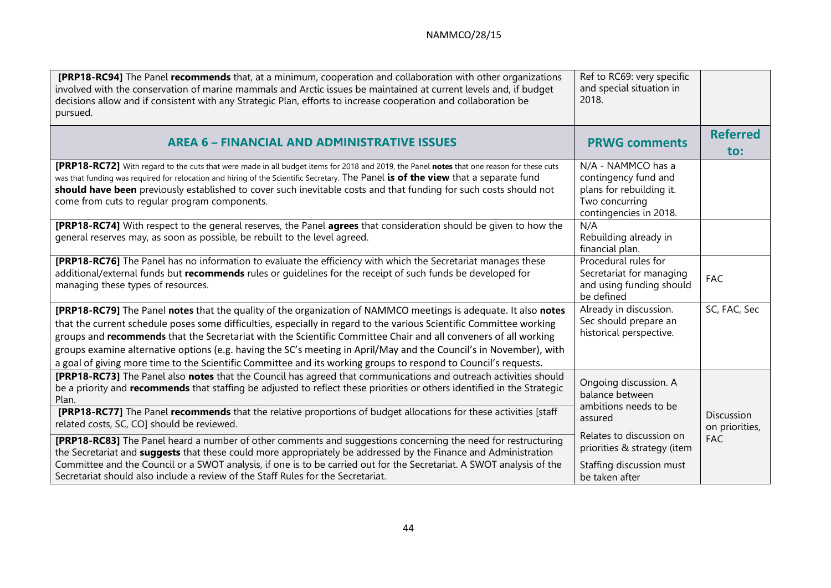| [PRP18-RC94] The Panel recommends that, at a minimum, cooperation and collaboration with other organizations<br>involved with the conservation of marine mammals and Arctic issues be maintained at current levels and, if budget<br>decisions allow and if consistent with any Strategic Plan, efforts to increase cooperation and collaboration be<br>pursued.                                                                                                                                                                                                                                   | Ref to RC69: very specific<br>and special situation in<br>2018.                                                    |                              |
|----------------------------------------------------------------------------------------------------------------------------------------------------------------------------------------------------------------------------------------------------------------------------------------------------------------------------------------------------------------------------------------------------------------------------------------------------------------------------------------------------------------------------------------------------------------------------------------------------|--------------------------------------------------------------------------------------------------------------------|------------------------------|
| <b>AREA 6 - FINANCIAL AND ADMINISTRATIVE ISSUES</b>                                                                                                                                                                                                                                                                                                                                                                                                                                                                                                                                                | <b>PRWG comments</b>                                                                                               | <b>Referred</b><br>to:       |
| [PRP18-RC72] With regard to the cuts that were made in all budget items for 2018 and 2019, the Panel notes that one reason for these cuts<br>was that funding was required for relocation and hiring of the Scientific Secretary. The Panel is of the view that a separate fund<br>should have been previously established to cover such inevitable costs and that funding for such costs should not<br>come from cuts to regular program components.                                                                                                                                              | N/A - NAMMCO has a<br>contingency fund and<br>plans for rebuilding it.<br>Two concurring<br>contingencies in 2018. |                              |
| [PRP18-RC74] With respect to the general reserves, the Panel agrees that consideration should be given to how the<br>general reserves may, as soon as possible, be rebuilt to the level agreed.                                                                                                                                                                                                                                                                                                                                                                                                    | N/A<br>Rebuilding already in<br>financial plan.                                                                    |                              |
| [PRP18-RC76] The Panel has no information to evaluate the efficiency with which the Secretariat manages these<br>additional/external funds but recommends rules or guidelines for the receipt of such funds be developed for<br>managing these types of resources.                                                                                                                                                                                                                                                                                                                                 | Procedural rules for<br>Secretariat for managing<br>and using funding should<br>be defined                         | <b>FAC</b>                   |
| [PRP18-RC79] The Panel notes that the quality of the organization of NAMMCO meetings is adequate. It also notes<br>that the current schedule poses some difficulties, especially in regard to the various Scientific Committee working<br>groups and recommends that the Secretariat with the Scientific Committee Chair and all conveners of all working<br>groups examine alternative options (e.g. having the SC's meeting in April/May and the Council's in November), with<br>a goal of giving more time to the Scientific Committee and its working groups to respond to Council's requests. | Already in discussion.<br>Sec should prepare an<br>historical perspective.                                         | SC, FAC, Sec                 |
| [PRP18-RC73] The Panel also notes that the Council has agreed that communications and outreach activities should<br>be a priority and recommends that staffing be adjusted to reflect these priorities or others identified in the Strategic<br>Plan.<br>[PRP18-RC77] The Panel recommends that the relative proportions of budget allocations for these activities [staff<br>related costs, SC, CO] should be reviewed.                                                                                                                                                                           | Ongoing discussion. A<br>balance between<br>ambitions needs to be<br>assured                                       | Discussion<br>on priorities, |
| <b>[PRP18-RC83]</b> The Panel heard a number of other comments and suggestions concerning the need for restructuring<br>the Secretariat and <b>suggests</b> that these could more appropriately be addressed by the Finance and Administration<br>Committee and the Council or a SWOT analysis, if one is to be carried out for the Secretariat. A SWOT analysis of the<br>Secretariat should also include a review of the Staff Rules for the Secretariat.                                                                                                                                        | Relates to discussion on<br>priorities & strategy (item<br>Staffing discussion must<br>be taken after              | <b>FAC</b>                   |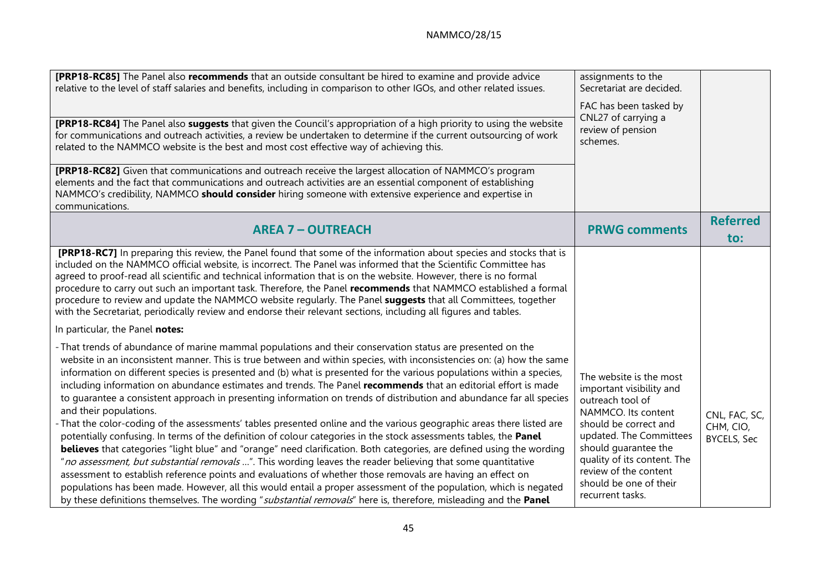| [PRP18-RC85] The Panel also recommends that an outside consultant be hired to examine and provide advice<br>relative to the level of staff salaries and benefits, including in comparison to other IGOs, and other related issues.<br>[PRP18-RC84] The Panel also suggests that given the Council's appropriation of a high priority to using the website<br>for communications and outreach activities, a review be undertaken to determine if the current outsourcing of work<br>related to the NAMMCO website is the best and most cost effective way of achieving this.<br>[PRP18-RC82] Given that communications and outreach receive the largest allocation of NAMMCO's program<br>elements and the fact that communications and outreach activities are an essential component of establishing<br>NAMMCO's credibility, NAMMCO should consider hiring someone with extensive experience and expertise in                                                                                                                                                                                                                                                                                                                                                                                                                                                                                                                                                             | assignments to the<br>Secretariat are decided.<br>FAC has been tasked by<br>CNL27 of carrying a<br>review of pension<br>schemes.                                                                                                                                                 |                                                  |
|-----------------------------------------------------------------------------------------------------------------------------------------------------------------------------------------------------------------------------------------------------------------------------------------------------------------------------------------------------------------------------------------------------------------------------------------------------------------------------------------------------------------------------------------------------------------------------------------------------------------------------------------------------------------------------------------------------------------------------------------------------------------------------------------------------------------------------------------------------------------------------------------------------------------------------------------------------------------------------------------------------------------------------------------------------------------------------------------------------------------------------------------------------------------------------------------------------------------------------------------------------------------------------------------------------------------------------------------------------------------------------------------------------------------------------------------------------------------------------|----------------------------------------------------------------------------------------------------------------------------------------------------------------------------------------------------------------------------------------------------------------------------------|--------------------------------------------------|
| communications.<br><b>AREA 7 - OUTREACH</b>                                                                                                                                                                                                                                                                                                                                                                                                                                                                                                                                                                                                                                                                                                                                                                                                                                                                                                                                                                                                                                                                                                                                                                                                                                                                                                                                                                                                                                 | <b>PRWG comments</b>                                                                                                                                                                                                                                                             | <b>Referred</b><br>to:                           |
| <b>[PRP18-RC7]</b> In preparing this review, the Panel found that some of the information about species and stocks that is<br>included on the NAMMCO official website, is incorrect. The Panel was informed that the Scientific Committee has<br>agreed to proof-read all scientific and technical information that is on the website. However, there is no formal<br>procedure to carry out such an important task. Therefore, the Panel recommends that NAMMCO established a formal<br>procedure to review and update the NAMMCO website regularly. The Panel suggests that all Committees, together<br>with the Secretariat, periodically review and endorse their relevant sections, including all figures and tables.                                                                                                                                                                                                                                                                                                                                                                                                                                                                                                                                                                                                                                                                                                                                                  |                                                                                                                                                                                                                                                                                  |                                                  |
| In particular, the Panel notes:                                                                                                                                                                                                                                                                                                                                                                                                                                                                                                                                                                                                                                                                                                                                                                                                                                                                                                                                                                                                                                                                                                                                                                                                                                                                                                                                                                                                                                             |                                                                                                                                                                                                                                                                                  |                                                  |
| - That trends of abundance of marine mammal populations and their conservation status are presented on the<br>website in an inconsistent manner. This is true between and within species, with inconsistencies on: (a) how the same<br>information on different species is presented and (b) what is presented for the various populations within a species,<br>including information on abundance estimates and trends. The Panel recommends that an editorial effort is made<br>to quarantee a consistent approach in presenting information on trends of distribution and abundance far all species<br>and their populations.<br>That the color-coding of the assessments' tables presented online and the various geographic areas there listed are<br>potentially confusing. In terms of the definition of colour categories in the stock assessments tables, the Panel<br>believes that categories "light blue" and "orange" need clarification. Both categories, are defined using the wording<br>"no assessment, but substantial removals ". This wording leaves the reader believing that some quantitative<br>assessment to establish reference points and evaluations of whether those removals are having an effect on<br>populations has been made. However, all this would entail a proper assessment of the population, which is negated<br>by these definitions themselves. The wording "substantial removals" here is, therefore, misleading and the Panel | The website is the most<br>important visibility and<br>outreach tool of<br>NAMMCO. Its content<br>should be correct and<br>updated. The Committees<br>should guarantee the<br>quality of its content. The<br>review of the content<br>should be one of their<br>recurrent tasks. | CNL, FAC, SC,<br>CHM, CIO,<br><b>BYCELS, Sec</b> |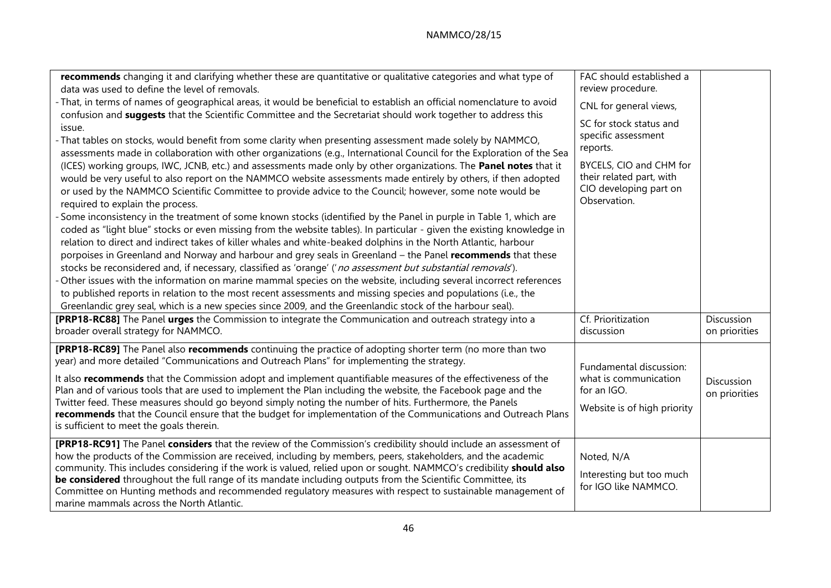| recommends changing it and clarifying whether these are quantitative or qualitative categories and what type of<br>data was used to define the level of removals.<br>- That, in terms of names of geographical areas, it would be beneficial to establish an official nomenclature to avoid<br>confusion and suggests that the Scientific Committee and the Secretariat should work together to address this<br>issue.<br>- That tables on stocks, would benefit from some clarity when presenting assessment made solely by NAMMCO,<br>assessments made in collaboration with other organizations (e.g., International Council for the Exploration of the Sea<br>(ICES) working groups, IWC, JCNB, etc.) and assessments made only by other organizations. The Panel notes that it<br>would be very useful to also report on the NAMMCO website assessments made entirely by others, if then adopted<br>or used by the NAMMCO Scientific Committee to provide advice to the Council; however, some note would be<br>required to explain the process.<br>- Some inconsistency in the treatment of some known stocks (identified by the Panel in purple in Table 1, which are<br>coded as "light blue" stocks or even missing from the website tables). In particular - given the existing knowledge in<br>relation to direct and indirect takes of killer whales and white-beaked dolphins in the North Atlantic, harbour<br>porpoises in Greenland and Norway and harbour and grey seals in Greenland - the Panel recommends that these<br>stocks be reconsidered and, if necessary, classified as 'orange' ('no assessment but substantial removals').<br>- Other issues with the information on marine mammal species on the website, including several incorrect references<br>to published reports in relation to the most recent assessments and missing species and populations (i.e., the<br>Greenlandic grey seal, which is a new species since 2009, and the Greenlandic stock of the harbour seal). | FAC should established a<br>review procedure.<br>CNL for general views,<br>SC for stock status and<br>specific assessment<br>reports.<br>BYCELS, CIO and CHM for<br>their related part, with<br>CIO developing part on<br>Observation. |                             |
|----------------------------------------------------------------------------------------------------------------------------------------------------------------------------------------------------------------------------------------------------------------------------------------------------------------------------------------------------------------------------------------------------------------------------------------------------------------------------------------------------------------------------------------------------------------------------------------------------------------------------------------------------------------------------------------------------------------------------------------------------------------------------------------------------------------------------------------------------------------------------------------------------------------------------------------------------------------------------------------------------------------------------------------------------------------------------------------------------------------------------------------------------------------------------------------------------------------------------------------------------------------------------------------------------------------------------------------------------------------------------------------------------------------------------------------------------------------------------------------------------------------------------------------------------------------------------------------------------------------------------------------------------------------------------------------------------------------------------------------------------------------------------------------------------------------------------------------------------------------------------------------------------------------------------------------------------------------------------------------------------------------|----------------------------------------------------------------------------------------------------------------------------------------------------------------------------------------------------------------------------------------|-----------------------------|
| [PRP18-RC88] The Panel urges the Commission to integrate the Communication and outreach strategy into a<br>broader overall strategy for NAMMCO.                                                                                                                                                                                                                                                                                                                                                                                                                                                                                                                                                                                                                                                                                                                                                                                                                                                                                                                                                                                                                                                                                                                                                                                                                                                                                                                                                                                                                                                                                                                                                                                                                                                                                                                                                                                                                                                                | Cf. Prioritization<br>discussion                                                                                                                                                                                                       | Discussion<br>on priorities |
| [PRP18-RC89] The Panel also recommends continuing the practice of adopting shorter term (no more than two<br>year) and more detailed "Communications and Outreach Plans" for implementing the strategy.<br>It also recommends that the Commission adopt and implement quantifiable measures of the effectiveness of the<br>Plan and of various tools that are used to implement the Plan including the website, the Facebook page and the<br>Twitter feed. These measures should go beyond simply noting the number of hits. Furthermore, the Panels<br>recommends that the Council ensure that the budget for implementation of the Communications and Outreach Plans<br>is sufficient to meet the goals therein.                                                                                                                                                                                                                                                                                                                                                                                                                                                                                                                                                                                                                                                                                                                                                                                                                                                                                                                                                                                                                                                                                                                                                                                                                                                                                             | Fundamental discussion:<br>what is communication<br>for an IGO.<br>Website is of high priority                                                                                                                                         | Discussion<br>on priorities |
| [PRP18-RC91] The Panel considers that the review of the Commission's credibility should include an assessment of<br>how the products of the Commission are received, including by members, peers, stakeholders, and the academic<br>community. This includes considering if the work is valued, relied upon or sought. NAMMCO's credibility should also<br>be considered throughout the full range of its mandate including outputs from the Scientific Committee, its<br>Committee on Hunting methods and recommended regulatory measures with respect to sustainable management of<br>marine mammals across the North Atlantic.                                                                                                                                                                                                                                                                                                                                                                                                                                                                                                                                                                                                                                                                                                                                                                                                                                                                                                                                                                                                                                                                                                                                                                                                                                                                                                                                                                              | Noted, N/A<br>Interesting but too much<br>for IGO like NAMMCO.                                                                                                                                                                         |                             |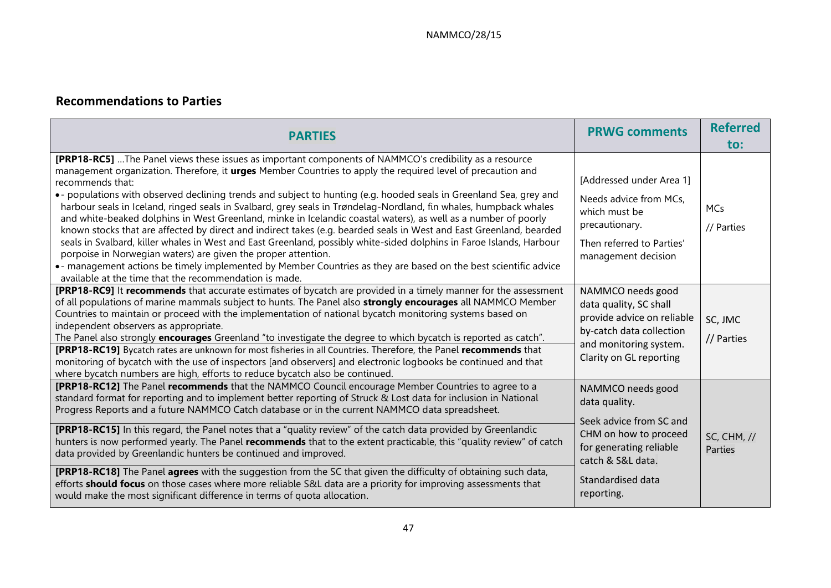# **Recommendations to Parties**

| <b>PARTIES</b>                                                                                                                                                                                                                                                                                                                                                                                                                                                                                                                                                                                                                                                                                                                                                                                                                                                                                                                                                                                                                                                                                       | <b>PRWG comments</b>                                                                                                                                                      | <b>Referred</b><br>to:        |
|------------------------------------------------------------------------------------------------------------------------------------------------------------------------------------------------------------------------------------------------------------------------------------------------------------------------------------------------------------------------------------------------------------------------------------------------------------------------------------------------------------------------------------------------------------------------------------------------------------------------------------------------------------------------------------------------------------------------------------------------------------------------------------------------------------------------------------------------------------------------------------------------------------------------------------------------------------------------------------------------------------------------------------------------------------------------------------------------------|---------------------------------------------------------------------------------------------------------------------------------------------------------------------------|-------------------------------|
| [PRP18-RC5]  The Panel views these issues as important components of NAMMCO's credibility as a resource<br>management organization. Therefore, it urges Member Countries to apply the required level of precaution and<br>recommends that:<br>. populations with observed declining trends and subject to hunting (e.g. hooded seals in Greenland Sea, grey and<br>harbour seals in Iceland, ringed seals in Svalbard, grey seals in Trøndelag-Nordland, fin whales, humpback whales<br>and white-beaked dolphins in West Greenland, minke in Icelandic coastal waters), as well as a number of poorly<br>known stocks that are affected by direct and indirect takes (e.g. bearded seals in West and East Greenland, bearded<br>seals in Svalbard, killer whales in West and East Greenland, possibly white-sided dolphins in Faroe Islands, Harbour<br>porpoise in Norwegian waters) are given the proper attention.<br>• - management actions be timely implemented by Member Countries as they are based on the best scientific advice<br>available at the time that the recommendation is made. | [Addressed under Area 1]<br>Needs advice from MCs,<br>which must be<br>precautionary.<br>Then referred to Parties'<br>management decision                                 | MCs<br>// Parties             |
| [PRP18-RC9] It recommends that accurate estimates of bycatch are provided in a timely manner for the assessment<br>of all populations of marine mammals subject to hunts. The Panel also strongly encourages all NAMMCO Member<br>Countries to maintain or proceed with the implementation of national bycatch monitoring systems based on<br>independent observers as appropriate.<br>The Panel also strongly encourages Greenland "to investigate the degree to which bycatch is reported as catch".<br>[PRP18-RC19] Bycatch rates are unknown for most fisheries in all Countries. Therefore, the Panel recommends that<br>monitoring of bycatch with the use of inspectors [and observers] and electronic logbooks be continued and that<br>where bycatch numbers are high, efforts to reduce bycatch also be continued.                                                                                                                                                                                                                                                                         | NAMMCO needs good<br>data quality, SC shall<br>provide advice on reliable<br>by-catch data collection<br>and monitoring system.<br>Clarity on GL reporting                | SC, JMC<br>// Parties         |
| [PRP18-RC12] The Panel recommends that the NAMMCO Council encourage Member Countries to agree to a<br>standard format for reporting and to implement better reporting of Struck & Lost data for inclusion in National<br>Progress Reports and a future NAMMCO Catch database or in the current NAMMCO data spreadsheet.<br>[PRP18-RC15] In this regard, the Panel notes that a "quality review" of the catch data provided by Greenlandic<br>hunters is now performed yearly. The Panel recommends that to the extent practicable, this "quality review" of catch<br>data provided by Greenlandic hunters be continued and improved.<br>[PRP18-RC18] The Panel agrees with the suggestion from the SC that given the difficulty of obtaining such data,<br>efforts <b>should focus</b> on those cases where more reliable S&L data are a priority for improving assessments that<br>would make the most significant difference in terms of quota allocation.                                                                                                                                         | NAMMCO needs good<br>data quality.<br>Seek advice from SC and<br>CHM on how to proceed<br>for generating reliable<br>catch & S&L data.<br>Standardised data<br>reporting. | <b>SC, CHM, //</b><br>Parties |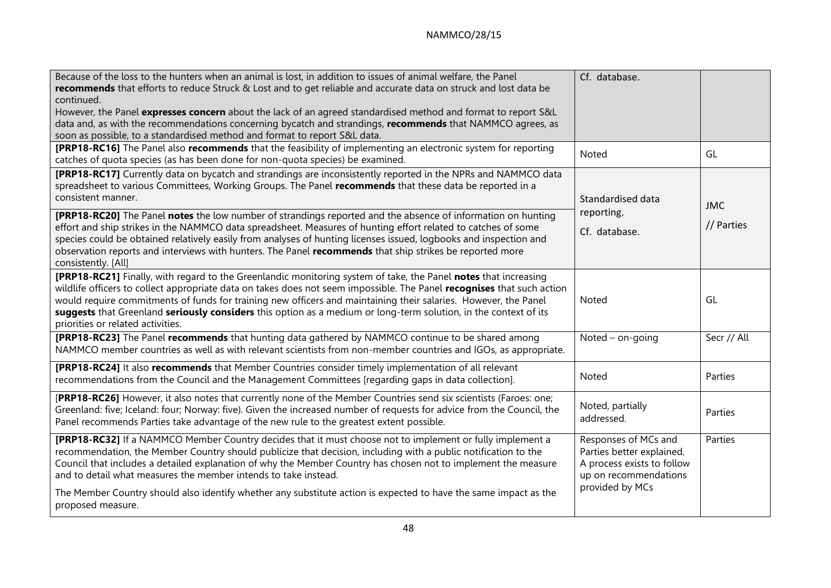| Because of the loss to the hunters when an animal is lost, in addition to issues of animal welfare, the Panel<br>recommends that efforts to reduce Struck & Lost and to get reliable and accurate data on struck and lost data be<br>continued.<br>However, the Panel expresses concern about the lack of an agreed standardised method and format to report S&L<br>data and, as with the recommendations concerning bycatch and strandings, recommends that NAMMCO agrees, as<br>soon as possible, to a standardised method and format to report S&L data.                                                                                                                                                                              | Cf. database.                                                                                                               |                          |
|------------------------------------------------------------------------------------------------------------------------------------------------------------------------------------------------------------------------------------------------------------------------------------------------------------------------------------------------------------------------------------------------------------------------------------------------------------------------------------------------------------------------------------------------------------------------------------------------------------------------------------------------------------------------------------------------------------------------------------------|-----------------------------------------------------------------------------------------------------------------------------|--------------------------|
| [PRP18-RC16] The Panel also recommends that the feasibility of implementing an electronic system for reporting<br>catches of quota species (as has been done for non-quota species) be examined.                                                                                                                                                                                                                                                                                                                                                                                                                                                                                                                                         | Noted                                                                                                                       | GL                       |
| [PRP18-RC17] Currently data on bycatch and strandings are inconsistently reported in the NPRs and NAMMCO data<br>spreadsheet to various Committees, Working Groups. The Panel recommends that these data be reported in a<br>consistent manner.<br>[PRP18-RC20] The Panel notes the low number of strandings reported and the absence of information on hunting<br>effort and ship strikes in the NAMMCO data spreadsheet. Measures of hunting effort related to catches of some<br>species could be obtained relatively easily from analyses of hunting licenses issued, logbooks and inspection and<br>observation reports and interviews with hunters. The Panel recommends that ship strikes be reported more<br>consistently. [All] | Standardised data<br>reporting.<br>Cf. database.                                                                            | <b>JMC</b><br>// Parties |
| [PRP18-RC21] Finally, with regard to the Greenlandic monitoring system of take, the Panel notes that increasing<br>wildlife officers to collect appropriate data on takes does not seem impossible. The Panel recognises that such action<br>would require commitments of funds for training new officers and maintaining their salaries. However, the Panel<br>suggests that Greenland seriously considers this option as a medium or long-term solution, in the context of its<br>priorities or related activities.                                                                                                                                                                                                                    | Noted                                                                                                                       | GL                       |
| [PRP18-RC23] The Panel recommends that hunting data gathered by NAMMCO continue to be shared among<br>NAMMCO member countries as well as with relevant scientists from non-member countries and IGOs, as appropriate.                                                                                                                                                                                                                                                                                                                                                                                                                                                                                                                    | Noted $-$ on-going                                                                                                          | Secr // All              |
| [PRP18-RC24] It also recommends that Member Countries consider timely implementation of all relevant<br>recommendations from the Council and the Management Committees [regarding gaps in data collection].                                                                                                                                                                                                                                                                                                                                                                                                                                                                                                                              | Noted                                                                                                                       | Parties                  |
| [PRP18-RC26] However, it also notes that currently none of the Member Countries send six scientists (Faroes: one;<br>Greenland: five; Iceland: four; Norway: five). Given the increased number of requests for advice from the Council, the<br>Panel recommends Parties take advantage of the new rule to the greatest extent possible.                                                                                                                                                                                                                                                                                                                                                                                                  | Noted, partially<br>addressed.                                                                                              | Parties                  |
| [PRP18-RC32] If a NAMMCO Member Country decides that it must choose not to implement or fully implement a<br>recommendation, the Member Country should publicize that decision, including with a public notification to the<br>Council that includes a detailed explanation of why the Member Country has chosen not to implement the measure<br>and to detail what measures the member intends to take instead.<br>The Member Country should also identify whether any substitute action is expected to have the same impact as the                                                                                                                                                                                                     | Responses of MCs and<br>Parties better explained.<br>A process exists to follow<br>up on recommendations<br>provided by MCs | Parties                  |
| proposed measure.                                                                                                                                                                                                                                                                                                                                                                                                                                                                                                                                                                                                                                                                                                                        |                                                                                                                             |                          |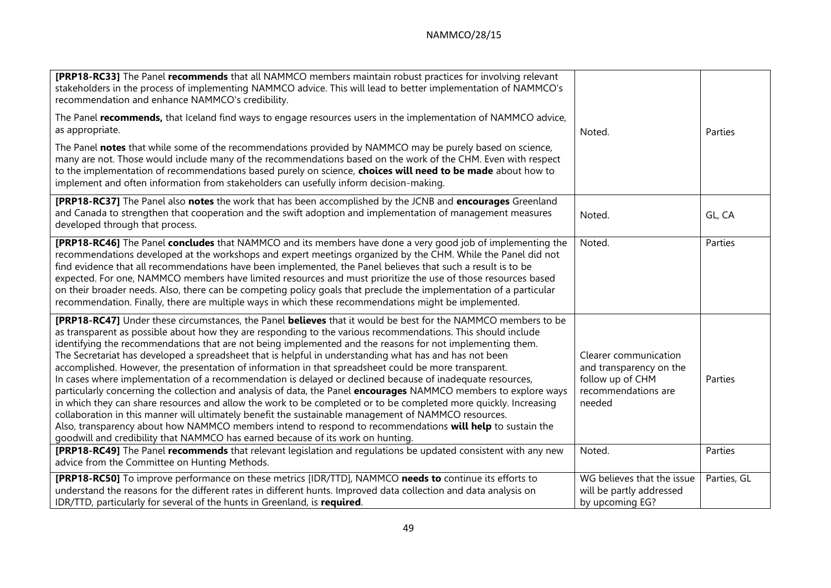| [PRP18-RC33] The Panel recommends that all NAMMCO members maintain robust practices for involving relevant<br>stakeholders in the process of implementing NAMMCO advice. This will lead to better implementation of NAMMCO's<br>recommendation and enhance NAMMCO's credibility.                                                                                                                                                                                                                                                                                                                                                                                                                                                                                                                                                                                                                                                                                                                                                                                                                                                                                                                                           |                                                                                                       |             |
|----------------------------------------------------------------------------------------------------------------------------------------------------------------------------------------------------------------------------------------------------------------------------------------------------------------------------------------------------------------------------------------------------------------------------------------------------------------------------------------------------------------------------------------------------------------------------------------------------------------------------------------------------------------------------------------------------------------------------------------------------------------------------------------------------------------------------------------------------------------------------------------------------------------------------------------------------------------------------------------------------------------------------------------------------------------------------------------------------------------------------------------------------------------------------------------------------------------------------|-------------------------------------------------------------------------------------------------------|-------------|
| The Panel recommends, that Iceland find ways to engage resources users in the implementation of NAMMCO advice,<br>as appropriate.                                                                                                                                                                                                                                                                                                                                                                                                                                                                                                                                                                                                                                                                                                                                                                                                                                                                                                                                                                                                                                                                                          | Noted.                                                                                                | Parties     |
| The Panel notes that while some of the recommendations provided by NAMMCO may be purely based on science,<br>many are not. Those would include many of the recommendations based on the work of the CHM. Even with respect<br>to the implementation of recommendations based purely on science, choices will need to be made about how to<br>implement and often information from stakeholders can usefully inform decision-making.                                                                                                                                                                                                                                                                                                                                                                                                                                                                                                                                                                                                                                                                                                                                                                                        |                                                                                                       |             |
| [PRP18-RC37] The Panel also notes the work that has been accomplished by the JCNB and encourages Greenland<br>and Canada to strengthen that cooperation and the swift adoption and implementation of management measures<br>developed through that process.                                                                                                                                                                                                                                                                                                                                                                                                                                                                                                                                                                                                                                                                                                                                                                                                                                                                                                                                                                | Noted.                                                                                                | GL, CA      |
| [PRP18-RC46] The Panel concludes that NAMMCO and its members have done a very good job of implementing the<br>recommendations developed at the workshops and expert meetings organized by the CHM. While the Panel did not<br>find evidence that all recommendations have been implemented, the Panel believes that such a result is to be<br>expected. For one, NAMMCO members have limited resources and must prioritize the use of those resources based<br>on their broader needs. Also, there can be competing policy goals that preclude the implementation of a particular<br>recommendation. Finally, there are multiple ways in which these recommendations might be implemented.                                                                                                                                                                                                                                                                                                                                                                                                                                                                                                                                 | Noted.                                                                                                | Parties     |
| [PRP18-RC47] Under these circumstances, the Panel believes that it would be best for the NAMMCO members to be<br>as transparent as possible about how they are responding to the various recommendations. This should include<br>identifying the recommendations that are not being implemented and the reasons for not implementing them.<br>The Secretariat has developed a spreadsheet that is helpful in understanding what has and has not been<br>accomplished. However, the presentation of information in that spreadsheet could be more transparent.<br>In cases where implementation of a recommendation is delayed or declined because of inadequate resources,<br>particularly concerning the collection and analysis of data, the Panel encourages NAMMCO members to explore ways<br>in which they can share resources and allow the work to be completed or to be completed more quickly. Increasing<br>collaboration in this manner will ultimately benefit the sustainable management of NAMMCO resources.<br>Also, transparency about how NAMMCO members intend to respond to recommendations will help to sustain the<br>goodwill and credibility that NAMMCO has earned because of its work on hunting. | Clearer communication<br>and transparency on the<br>follow up of CHM<br>recommendations are<br>needed | Parties     |
| [PRP18-RC49] The Panel recommends that relevant legislation and regulations be updated consistent with any new<br>advice from the Committee on Hunting Methods.                                                                                                                                                                                                                                                                                                                                                                                                                                                                                                                                                                                                                                                                                                                                                                                                                                                                                                                                                                                                                                                            | Noted.                                                                                                | Parties     |
| [PRP18-RC50] To improve performance on these metrics [IDR/TTD], NAMMCO needs to continue its efforts to<br>understand the reasons for the different rates in different hunts. Improved data collection and data analysis on<br>IDR/TTD, particularly for several of the hunts in Greenland, is required.                                                                                                                                                                                                                                                                                                                                                                                                                                                                                                                                                                                                                                                                                                                                                                                                                                                                                                                   | WG believes that the issue<br>will be partly addressed<br>by upcoming EG?                             | Parties, GL |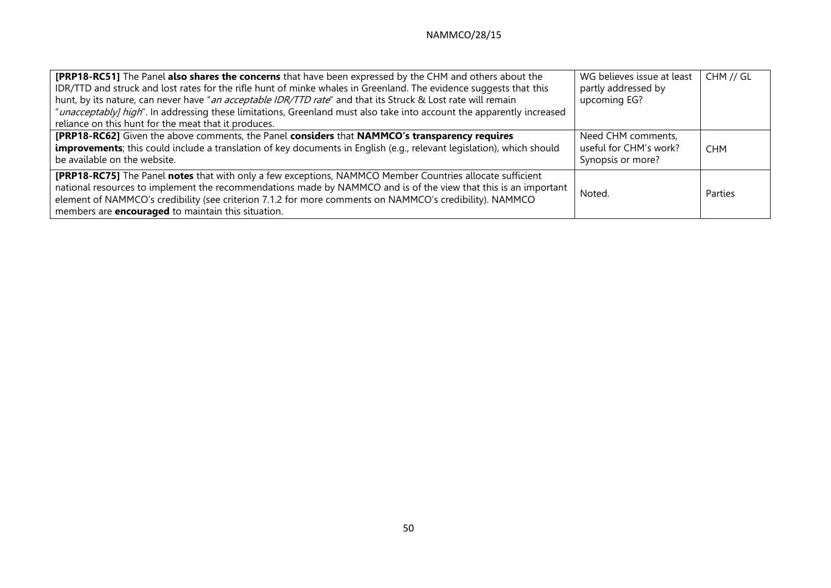| <b>[PRP18-RC51]</b> The Panel also shares the concerns that have been expressed by the CHM and others about the<br>IDR/TTD and struck and lost rates for the rifle hunt of minke whales in Greenland. The evidence suggests that this<br>hunt, by its nature, can never have "an acceptable IDR/TTD rate" and that its Struck & Lost rate will remain<br>"unacceptably] high". In addressing these limitations, Greenland must also take into account the apparently increased<br>reliance on this hunt for the meat that it produces. | WG believes issue at least<br>partly addressed by<br>upcoming EG? | CHM // GL  |
|----------------------------------------------------------------------------------------------------------------------------------------------------------------------------------------------------------------------------------------------------------------------------------------------------------------------------------------------------------------------------------------------------------------------------------------------------------------------------------------------------------------------------------------|-------------------------------------------------------------------|------------|
| [PRP18-RC62] Given the above comments, the Panel considers that NAMMCO's transparency requires<br>improvements; this could include a translation of key documents in English (e.g., relevant legislation), which should<br>be available on the website.                                                                                                                                                                                                                                                                                | Need CHM comments,<br>useful for CHM's work?<br>Synopsis or more? | <b>CHM</b> |
| [PRP18-RC75] The Panel notes that with only a few exceptions, NAMMCO Member Countries allocate sufficient<br>national resources to implement the recommendations made by NAMMCO and is of the view that this is an important<br>element of NAMMCO's credibility (see criterion 7.1.2 for more comments on NAMMCO's credibility). NAMMCO<br>members are <b>encouraged</b> to maintain this situation.                                                                                                                                   | Noted.                                                            | Parties    |